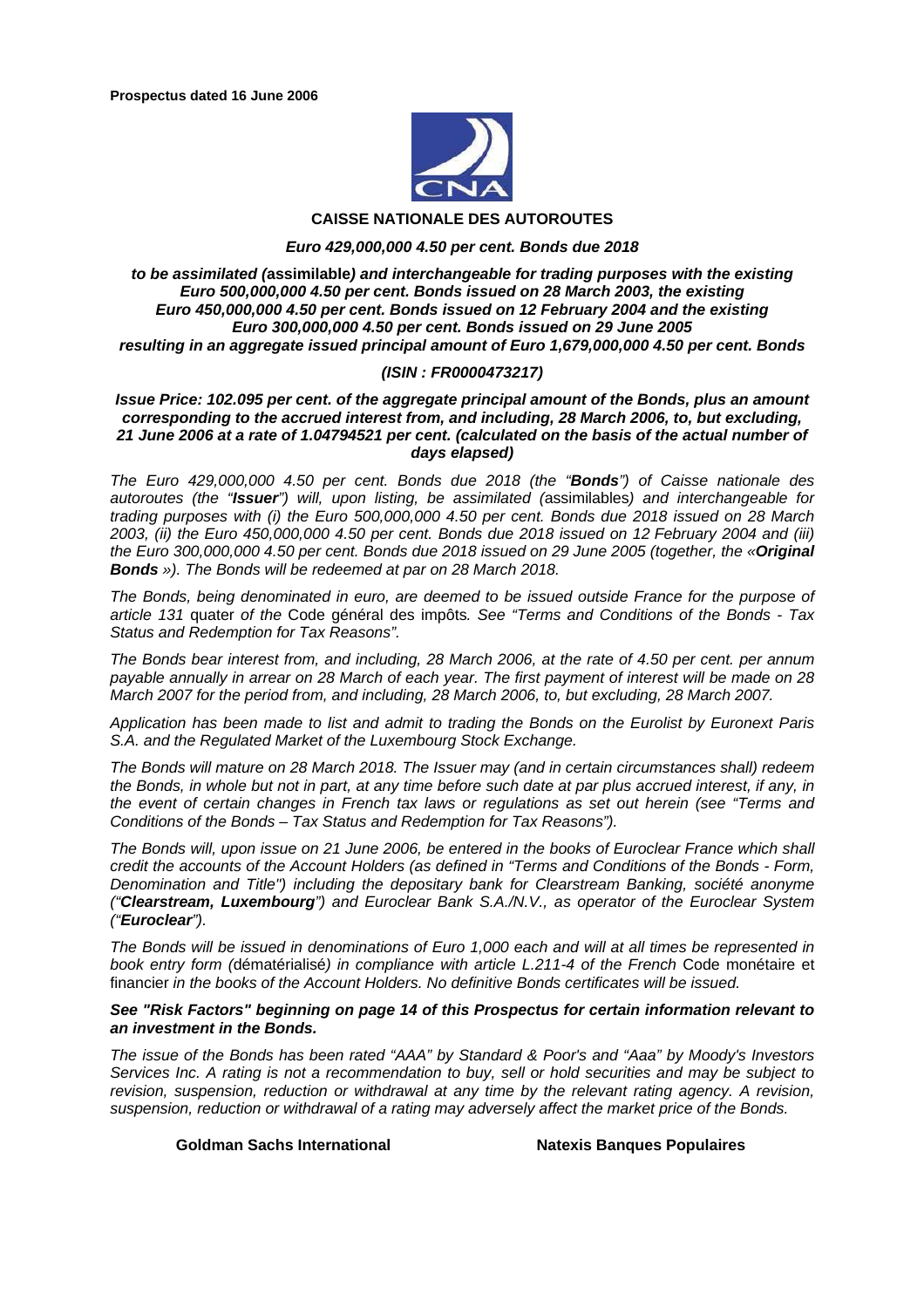

#### **CAISSE NATIONALE DES AUTOROUTES**

#### *Euro 429,000,000 4.50 per cent. Bonds due 2018*

#### *to be assimilated (***assimilable***) and interchangeable for trading purposes with the existing Euro 500,000,000 4.50 per cent. Bonds issued on 28 March 2003, the existing Euro 450,000,000 4.50 per cent. Bonds issued on 12 February 2004 and the existing Euro 300,000,000 4.50 per cent. Bonds issued on 29 June 2005 resulting in an aggregate issued principal amount of Euro 1,679,000,000 4.50 per cent. Bonds*

#### *(ISIN : FR0000473217)*

#### *Issue Price: 102.095 per cent. of the aggregate principal amount of the Bonds, plus an amount corresponding to the accrued interest from, and including, 28 March 2006, to, but excluding, 21 June 2006 at a rate of 1.04794521 per cent. (calculated on the basis of the actual number of days elapsed)*

*The Euro 429,000,000 4.50 per cent. Bonds due 2018 (the "Bonds") of Caisse nationale des autoroutes (the "Issuer") will, upon listing, be assimilated (*assimilables*) and interchangeable for trading purposes with (i) the Euro 500,000,000 4.50 per cent. Bonds due 2018 issued on 28 March 2003, (ii) the Euro 450,000,000 4.50 per cent. Bonds due 2018 issued on 12 February 2004 and (iii) the Euro 300,000,000 4.50 per cent. Bonds due 2018 issued on 29 June 2005 (together, the «Original Bonds »). The Bonds will be redeemed at par on 28 March 2018.* 

*The Bonds, being denominated in euro, are deemed to be issued outside France for the purpose of article 131* quater *of the* Code général des impôts*. See "Terms and Conditions of the Bonds - Tax Status and Redemption for Tax Reasons".* 

*The Bonds bear interest from, and including, 28 March 2006, at the rate of 4.50 per cent. per annum payable annually in arrear on 28 March of each year. The first payment of interest will be made on 28 March 2007 for the period from, and including, 28 March 2006, to, but excluding, 28 March 2007.* 

*Application has been made to list and admit to trading the Bonds on the Eurolist by Euronext Paris S.A. and the Regulated Market of the Luxembourg Stock Exchange.* 

*The Bonds will mature on 28 March 2018. The Issuer may (and in certain circumstances shall) redeem the Bonds, in whole but not in part, at any time before such date at par plus accrued interest, if any, in the event of certain changes in French tax laws or regulations as set out herein (see "Terms and Conditions of the Bonds – Tax Status and Redemption for Tax Reasons").* 

*The Bonds will, upon issue on 21 June 2006, be entered in the books of Euroclear France which shall credit the accounts of the Account Holders (as defined in "Terms and Conditions of the Bonds - Form, Denomination and Title") including the depositary bank for Clearstream Banking, société anonyme ("Clearstream, Luxembourg") and Euroclear Bank S.A./N.V., as operator of the Euroclear System ("Euroclear").* 

*The Bonds will be issued in denominations of Euro 1,000 each and will at all times be represented in book entry form (*dématérialisé*) in compliance with article L.211-4 of the French* Code monétaire et financier *in the books of the Account Holders. No definitive Bonds certificates will be issued.* 

#### *See "Risk Factors" beginning on page 14 of this Prospectus for certain information relevant to an investment in the Bonds.*

*The issue of the Bonds has been rated "AAA" by Standard & Poor's and "Aaa" by Moody's Investors Services Inc. A rating is not a recommendation to buy, sell or hold securities and may be subject to revision, suspension, reduction or withdrawal at any time by the relevant rating agency. A revision, suspension, reduction or withdrawal of a rating may adversely affect the market price of the Bonds.* 

**Goldman Sachs International Natexis Banques Populaires**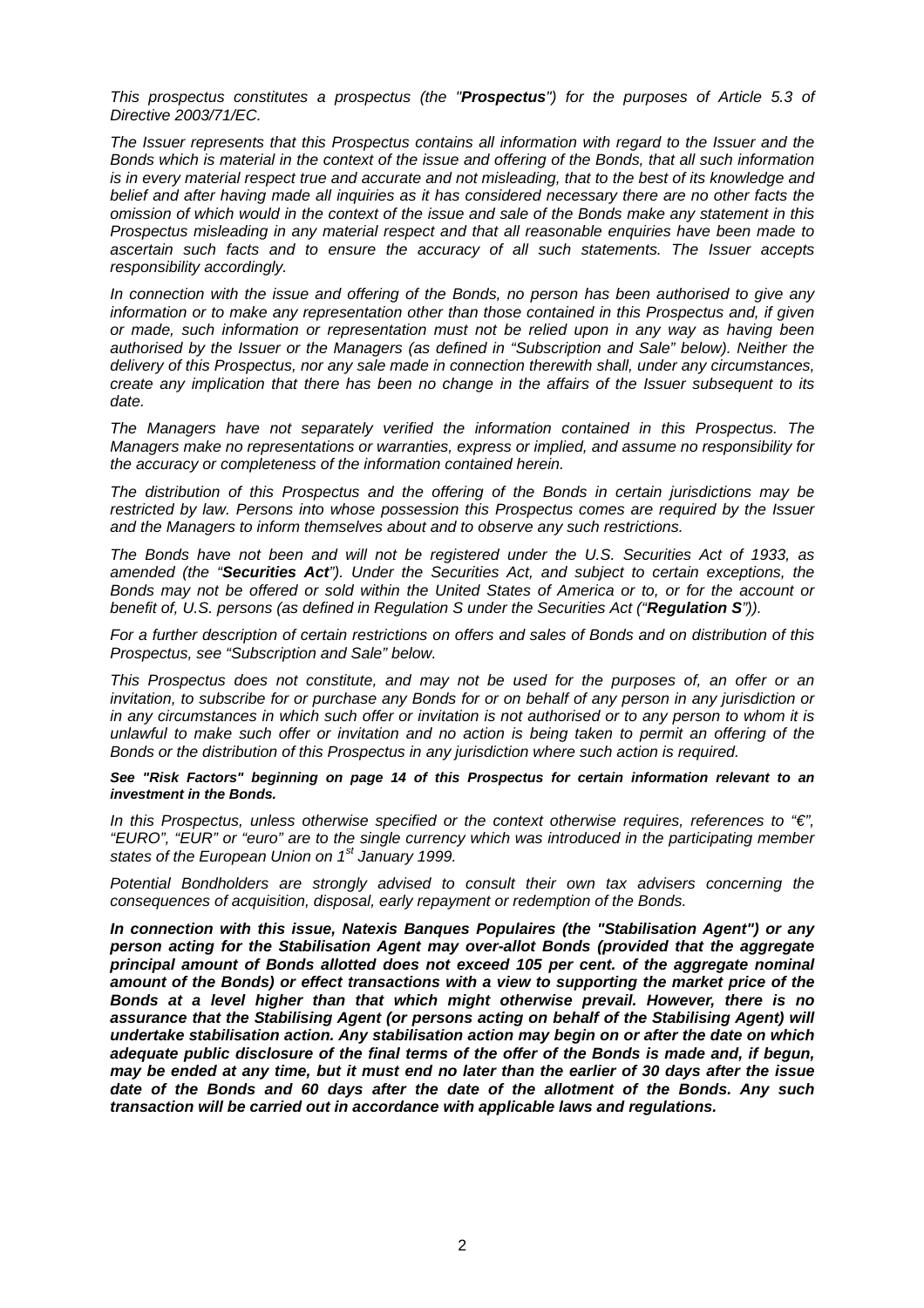*This prospectus constitutes a prospectus (the "Prospectus") for the purposes of Article 5.3 of Directive 2003/71/EC.* 

*The Issuer represents that this Prospectus contains all information with regard to the Issuer and the Bonds which is material in the context of the issue and offering of the Bonds, that all such information is in every material respect true and accurate and not misleading, that to the best of its knowledge and belief and after having made all inquiries as it has considered necessary there are no other facts the omission of which would in the context of the issue and sale of the Bonds make any statement in this Prospectus misleading in any material respect and that all reasonable enquiries have been made to ascertain such facts and to ensure the accuracy of all such statements. The Issuer accepts responsibility accordingly.* 

*In connection with the issue and offering of the Bonds, no person has been authorised to give any information or to make any representation other than those contained in this Prospectus and, if given or made, such information or representation must not be relied upon in any way as having been authorised by the Issuer or the Managers (as defined in "Subscription and Sale" below). Neither the delivery of this Prospectus, nor any sale made in connection therewith shall, under any circumstances, create any implication that there has been no change in the affairs of the Issuer subsequent to its date.* 

*The Managers have not separately verified the information contained in this Prospectus. The Managers make no representations or warranties, express or implied, and assume no responsibility for the accuracy or completeness of the information contained herein.* 

*The distribution of this Prospectus and the offering of the Bonds in certain jurisdictions may be restricted by law. Persons into whose possession this Prospectus comes are required by the Issuer and the Managers to inform themselves about and to observe any such restrictions.* 

*The Bonds have not been and will not be registered under the U.S. Securities Act of 1933, as amended (the "Securities Act"). Under the Securities Act, and subject to certain exceptions, the Bonds may not be offered or sold within the United States of America or to, or for the account or benefit of, U.S. persons (as defined in Regulation S under the Securities Act ("Regulation S")).* 

*For a further description of certain restrictions on offers and sales of Bonds and on distribution of this Prospectus, see "Subscription and Sale" below.* 

*This Prospectus does not constitute, and may not be used for the purposes of, an offer or an invitation, to subscribe for or purchase any Bonds for or on behalf of any person in any jurisdiction or in any circumstances in which such offer or invitation is not authorised or to any person to whom it is unlawful to make such offer or invitation and no action is being taken to permit an offering of the Bonds or the distribution of this Prospectus in any jurisdiction where such action is required.* 

*See "Risk Factors" beginning on page 14 of this Prospectus for certain information relevant to an investment in the Bonds.* 

*In this Prospectus, unless otherwise specified or the context otherwise requires, references to "€", "EURO", "EUR" or "euro" are to the single currency which was introduced in the participating member states of the European Union on 1st January 1999.* 

*Potential Bondholders are strongly advised to consult their own tax advisers concerning the consequences of acquisition, disposal, early repayment or redemption of the Bonds.* 

*In connection with this issue, Natexis Banques Populaires (the "Stabilisation Agent") or any person acting for the Stabilisation Agent may over-allot Bonds (provided that the aggregate principal amount of Bonds allotted does not exceed 105 per cent. of the aggregate nominal amount of the Bonds) or effect transactions with a view to supporting the market price of the Bonds at a level higher than that which might otherwise prevail. However, there is no assurance that the Stabilising Agent (or persons acting on behalf of the Stabilising Agent) will undertake stabilisation action. Any stabilisation action may begin on or after the date on which adequate public disclosure of the final terms of the offer of the Bonds is made and, if begun, may be ended at any time, but it must end no later than the earlier of 30 days after the issue date of the Bonds and 60 days after the date of the allotment of the Bonds. Any such transaction will be carried out in accordance with applicable laws and regulations.*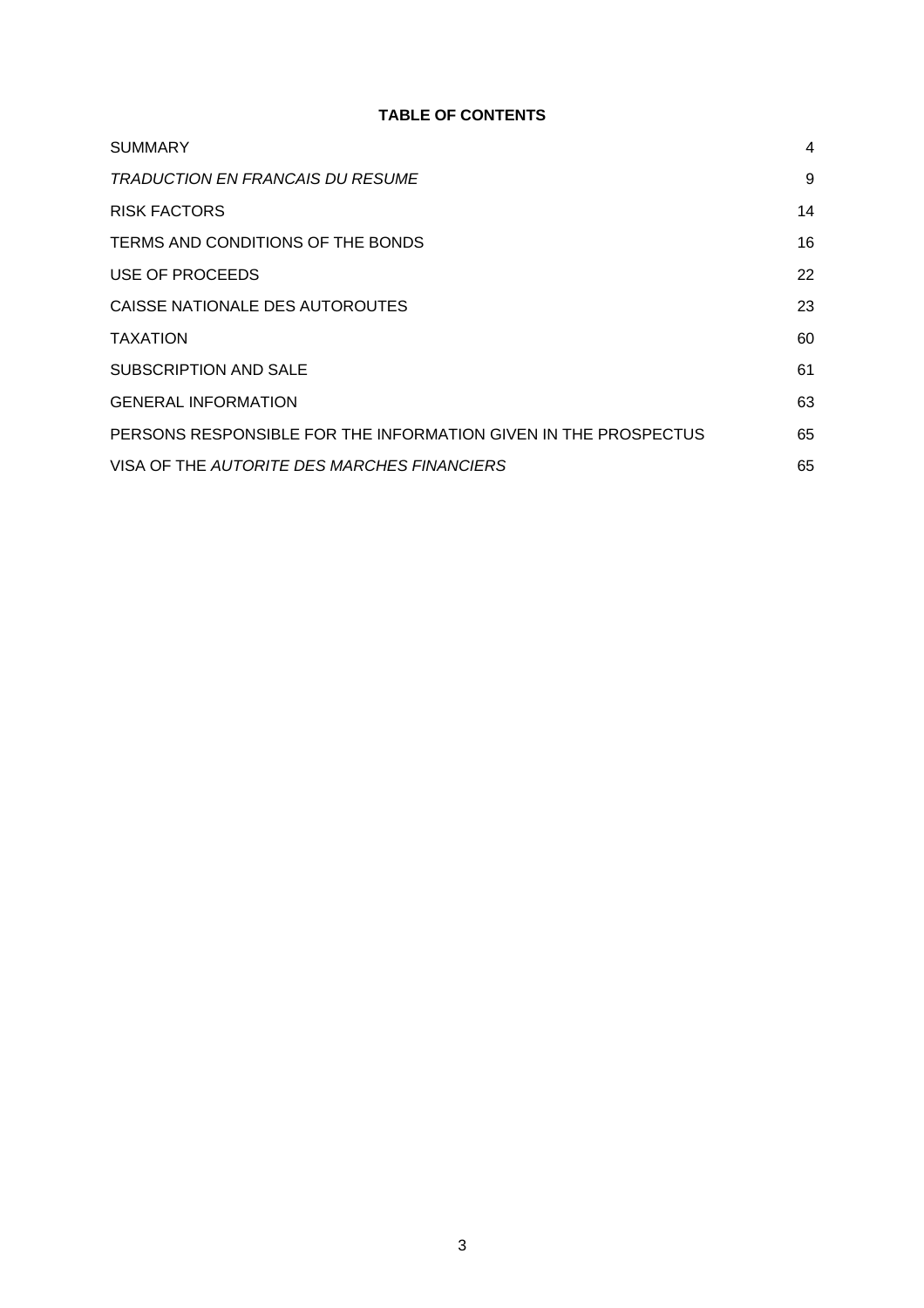# **TABLE OF CONTENTS**

| <b>SUMMARY</b>                                                  | 4  |
|-----------------------------------------------------------------|----|
| <i>TRADUCTION EN FRANCAIS DU RESUME</i>                         | 9  |
| <b>RISK FACTORS</b>                                             | 14 |
| TERMS AND CONDITIONS OF THE BONDS                               | 16 |
| USE OF PROCEEDS                                                 | 22 |
| CAISSE NATIONALE DES AUTOROUTES                                 | 23 |
| <b>TAXATION</b>                                                 | 60 |
| SUBSCRIPTION AND SALE                                           | 61 |
| <b>GENERAL INFORMATION</b>                                      | 63 |
| PERSONS RESPONSIBLE FOR THE INFORMATION GIVEN IN THE PROSPECTUS | 65 |
| VISA OF THE AUTORITE DES MARCHES FINANCIERS                     | 65 |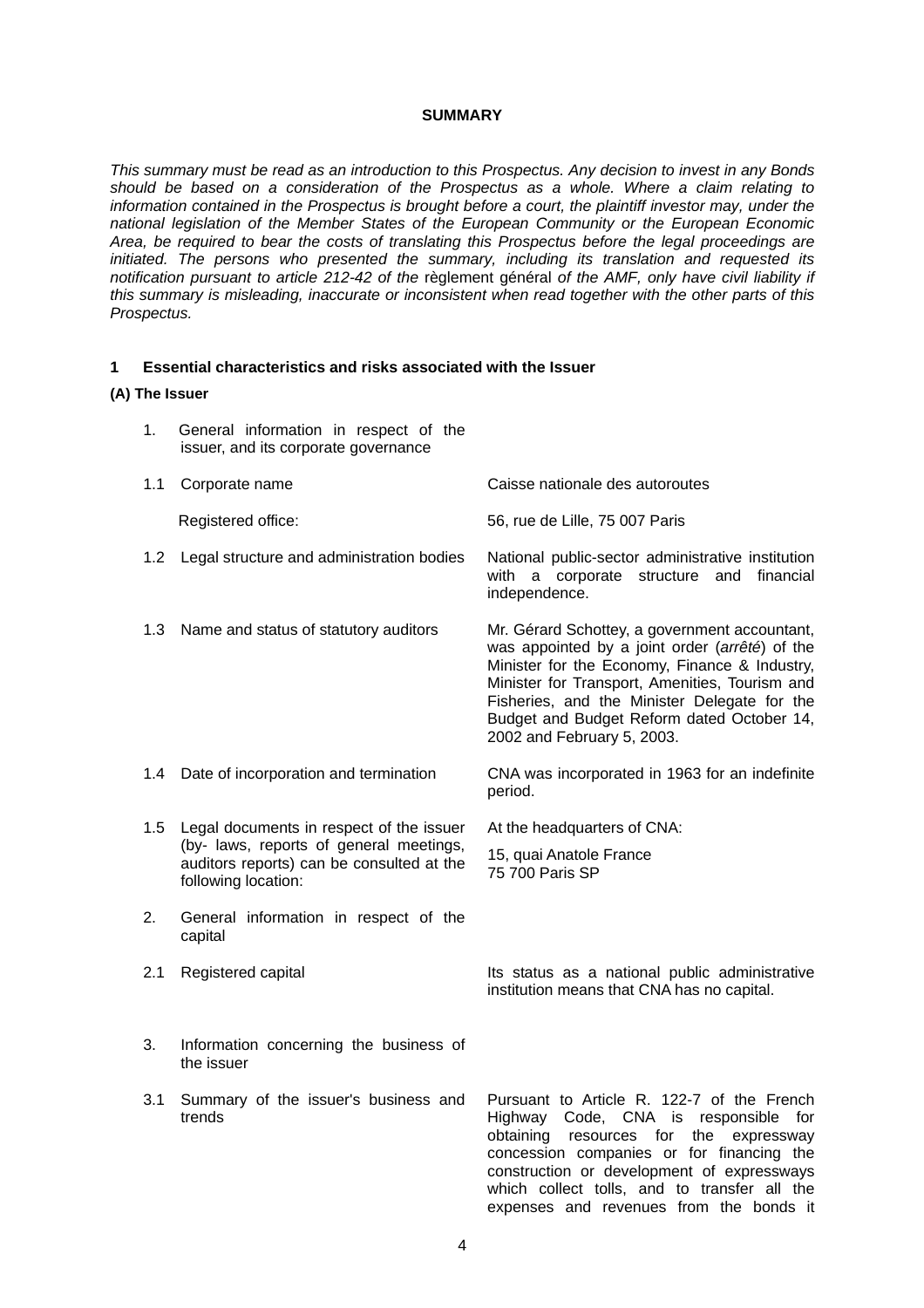#### **SUMMARY**

*This summary must be read as an introduction to this Prospectus. Any decision to invest in any Bonds should be based on a consideration of the Prospectus as a whole. Where a claim relating to information contained in the Prospectus is brought before a court, the plaintiff investor may, under the national legislation of the Member States of the European Community or the European Economic Area, be required to bear the costs of translating this Prospectus before the legal proceedings are initiated. The persons who presented the summary, including its translation and requested its notification pursuant to article 212-42 of the* règlement général *of the AMF, only have civil liability if this summary is misleading, inaccurate or inconsistent when read together with the other parts of this Prospectus.* 

#### **1 Essential characteristics and risks associated with the Issuer**

#### **(A) The Issuer**

1. General information in respect of the issuer, and its corporate governance 1.1 Corporate name Caisse nationale des autoroutes Registered office: 56, rue de Lille, 75 007 Paris 1.2 Legal structure and administration bodies National public-sector administrative institution with a corporate structure and financial independence. 1.3 Name and status of statutory auditors Mr. Gérard Schottey, a government accountant, was appointed by a joint order (*arrêté*) of the Minister for the Economy, Finance & Industry, Minister for Transport, Amenities, Tourism and Fisheries, and the Minister Delegate for the Budget and Budget Reform dated October 14, 2002 and February 5, 2003. 1.4 Date of incorporation and termination CNA was incorporated in 1963 for an indefinite period. 1.5 Legal documents in respect of the issuer (by- laws, reports of general meetings, auditors reports) can be consulted at the following location: At the headquarters of CNA: 15, quai Anatole France 75 700 Paris SP 2. General information in respect of the capital 2.1 Registered capital **Its status as a national public administrative** institution means that CNA has no capital. 3. Information concerning the business of the issuer 3.1 Summary of the issuer's business and trends Pursuant to Article R. 122-7 of the French Highway Code, CNA is responsible for obtaining resources for the expressway

concession companies or for financing the construction or development of expressways which collect tolls, and to transfer all the expenses and revenues from the bonds it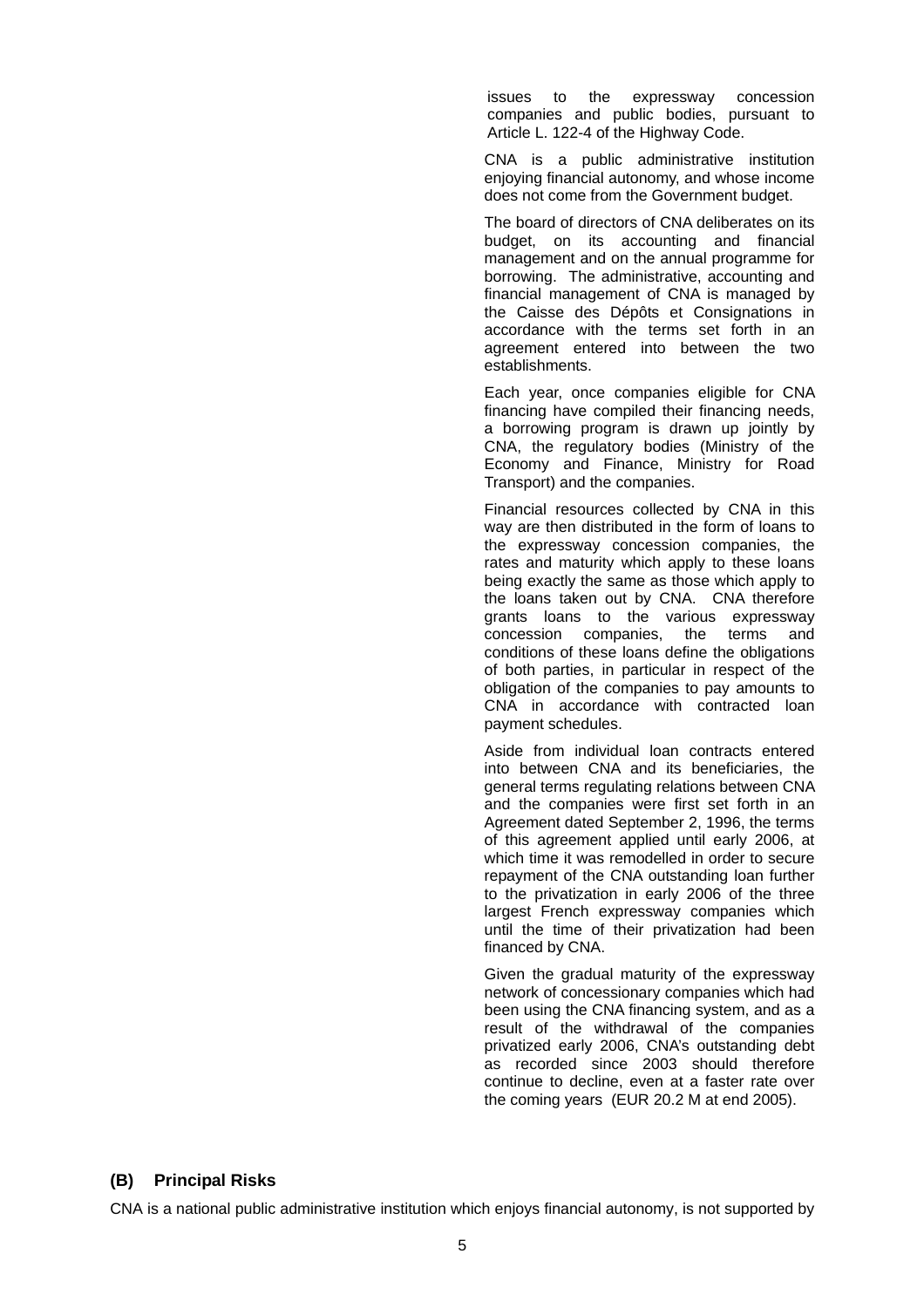issues to the expressway concession companies and public bodies, pursuant to Article L. 122-4 of the Highway Code.

CNA is a public administrative institution enjoying financial autonomy, and whose income does not come from the Government budget.

The board of directors of CNA deliberates on its budget, on its accounting and financial management and on the annual programme for borrowing. The administrative, accounting and financial management of CNA is managed by the Caisse des Dépôts et Consignations in accordance with the terms set forth in an agreement entered into between the two establishments.

Each year, once companies eligible for CNA financing have compiled their financing needs, a borrowing program is drawn up jointly by CNA, the regulatory bodies (Ministry of the Economy and Finance, Ministry for Road Transport) and the companies.

Financial resources collected by CNA in this way are then distributed in the form of loans to the expressway concession companies, the rates and maturity which apply to these loans being exactly the same as those which apply to the loans taken out by CNA. CNA therefore grants loans to the various expressway concession companies, the terms and conditions of these loans define the obligations of both parties, in particular in respect of the obligation of the companies to pay amounts to CNA in accordance with contracted loan payment schedules.

Aside from individual loan contracts entered into between CNA and its beneficiaries, the general terms regulating relations between CNA and the companies were first set forth in an Agreement dated September 2, 1996, the terms of this agreement applied until early 2006, at which time it was remodelled in order to secure repayment of the CNA outstanding loan further to the privatization in early 2006 of the three largest French expressway companies which until the time of their privatization had been financed by CNA.

Given the gradual maturity of the expressway network of concessionary companies which had been using the CNA financing system, and as a result of the withdrawal of the companies privatized early 2006, CNA's outstanding debt as recorded since 2003 should therefore continue to decline, even at a faster rate over the coming years (EUR 20.2 M at end 2005).

# **(B) Principal Risks**

CNA is a national public administrative institution which enjoys financial autonomy, is not supported by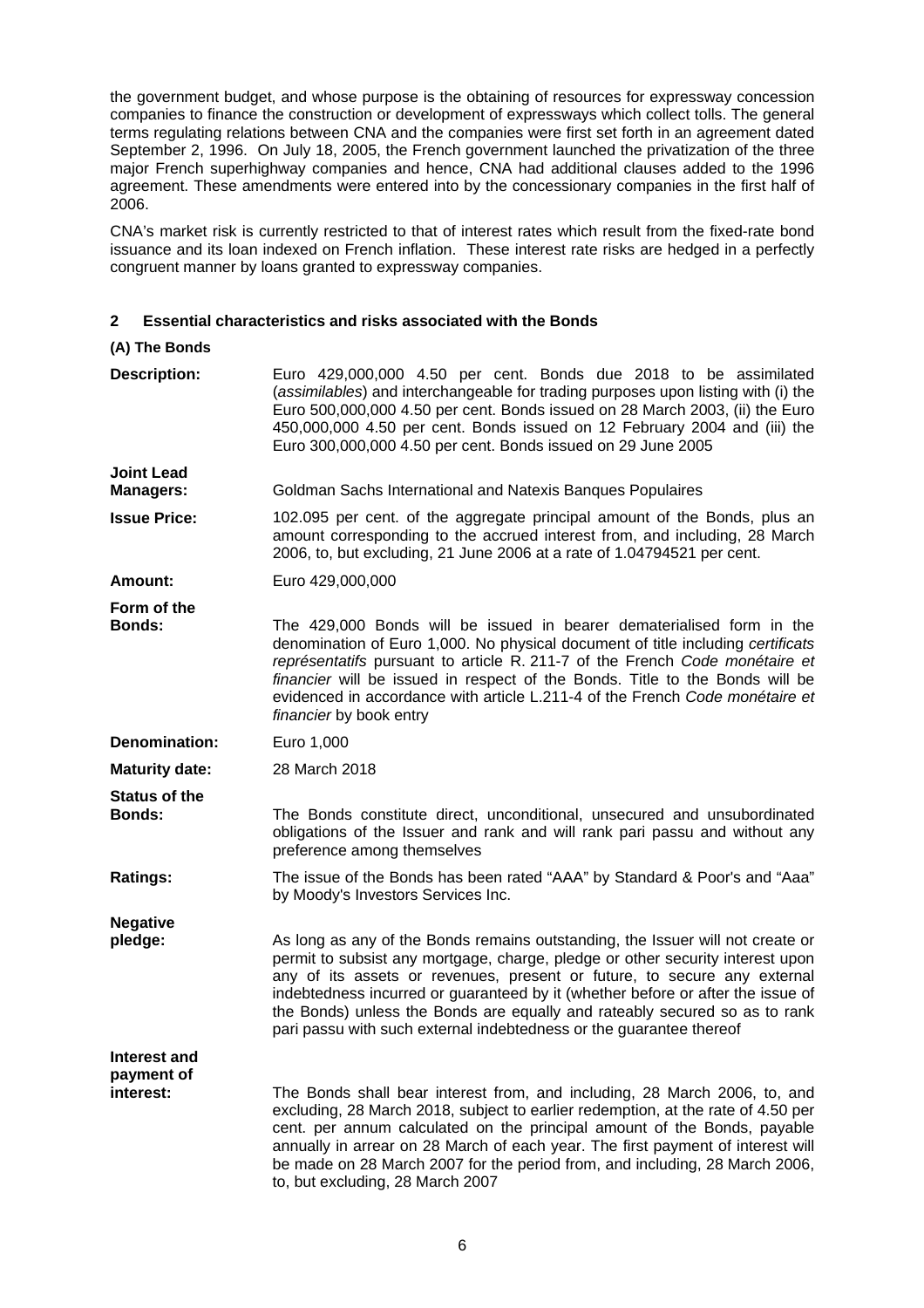the government budget, and whose purpose is the obtaining of resources for expressway concession companies to finance the construction or development of expressways which collect tolls. The general terms regulating relations between CNA and the companies were first set forth in an agreement dated September 2, 1996. On July 18, 2005, the French government launched the privatization of the three major French superhighway companies and hence, CNA had additional clauses added to the 1996 agreement. These amendments were entered into by the concessionary companies in the first half of 2006.

CNA's market risk is currently restricted to that of interest rates which result from the fixed-rate bond issuance and its loan indexed on French inflation. These interest rate risks are hedged in a perfectly congruent manner by loans granted to expressway companies.

# **2 Essential characteristics and risks associated with the Bonds**

## **(A) The Bonds**

| <b>Description:</b>                     | Euro 429,000,000 4.50 per cent. Bonds due 2018 to be assimilated<br>(assimilables) and interchangeable for trading purposes upon listing with (i) the<br>Euro 500,000,000 4.50 per cent. Bonds issued on 28 March 2003, (ii) the Euro<br>450,000,000 4.50 per cent. Bonds issued on 12 February 2004 and (iii) the<br>Euro 300,000,000 4.50 per cent. Bonds issued on 29 June 2005                                                              |
|-----------------------------------------|-------------------------------------------------------------------------------------------------------------------------------------------------------------------------------------------------------------------------------------------------------------------------------------------------------------------------------------------------------------------------------------------------------------------------------------------------|
| <b>Joint Lead</b><br><b>Managers:</b>   | Goldman Sachs International and Natexis Banques Populaires                                                                                                                                                                                                                                                                                                                                                                                      |
| <b>Issue Price:</b>                     | 102.095 per cent. of the aggregate principal amount of the Bonds, plus an<br>amount corresponding to the accrued interest from, and including, 28 March<br>2006, to, but excluding, 21 June 2006 at a rate of 1.04794521 per cent.                                                                                                                                                                                                              |
| Amount:                                 | Euro 429,000,000                                                                                                                                                                                                                                                                                                                                                                                                                                |
| Form of the<br><b>Bonds:</b>            | The 429,000 Bonds will be issued in bearer dematerialised form in the<br>denomination of Euro 1,000. No physical document of title including certificats<br>représentatifs pursuant to article R. 211-7 of the French Code monétaire et<br>financier will be issued in respect of the Bonds. Title to the Bonds will be<br>evidenced in accordance with article L.211-4 of the French Code monétaire et<br>financier by book entry              |
| Denomination:                           | Euro 1,000                                                                                                                                                                                                                                                                                                                                                                                                                                      |
| <b>Maturity date:</b>                   | 28 March 2018                                                                                                                                                                                                                                                                                                                                                                                                                                   |
| <b>Status of the</b><br><b>Bonds:</b>   | The Bonds constitute direct, unconditional, unsecured and unsubordinated<br>obligations of the Issuer and rank and will rank pari passu and without any<br>preference among themselves                                                                                                                                                                                                                                                          |
| <b>Ratings:</b>                         | The issue of the Bonds has been rated "AAA" by Standard & Poor's and "Aaa"<br>by Moody's Investors Services Inc.                                                                                                                                                                                                                                                                                                                                |
| <b>Negative</b><br>pledge:              | As long as any of the Bonds remains outstanding, the Issuer will not create or                                                                                                                                                                                                                                                                                                                                                                  |
|                                         | permit to subsist any mortgage, charge, pledge or other security interest upon<br>any of its assets or revenues, present or future, to secure any external<br>indebtedness incurred or guaranteed by it (whether before or after the issue of<br>the Bonds) unless the Bonds are equally and rateably secured so as to rank<br>pari passu with such external indebtedness or the guarantee thereof                                              |
| Interest and<br>payment of<br>interest: | The Bonds shall bear interest from, and including, 28 March 2006, to, and<br>excluding, 28 March 2018, subject to earlier redemption, at the rate of 4.50 per<br>cent. per annum calculated on the principal amount of the Bonds, payable<br>annually in arrear on 28 March of each year. The first payment of interest will<br>be made on 28 March 2007 for the period from, and including, 28 March 2006,<br>to, but excluding, 28 March 2007 |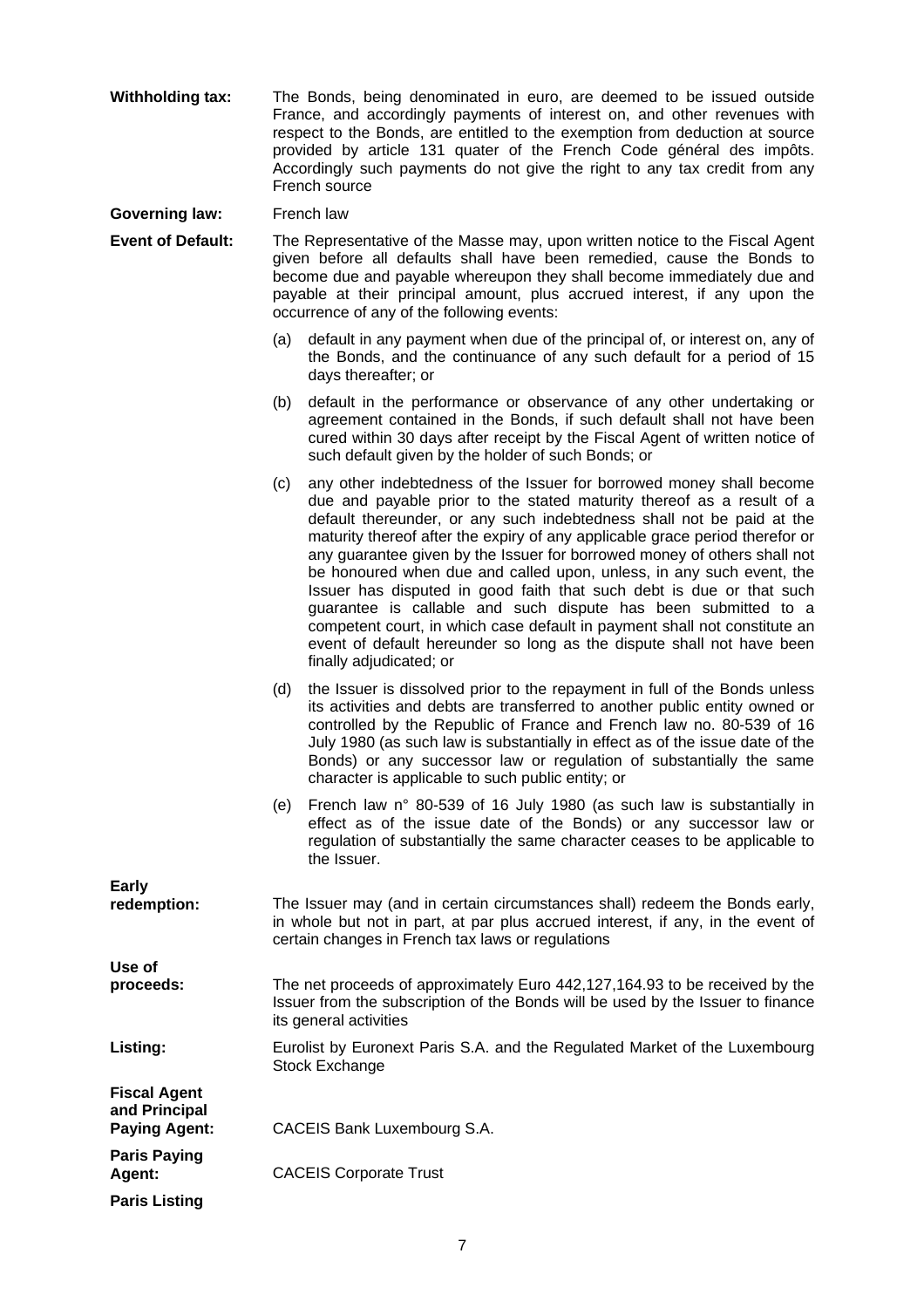**Withholding tax:** The Bonds, being denominated in euro, are deemed to be issued outside France, and accordingly payments of interest on, and other revenues with respect to the Bonds, are entitled to the exemption from deduction at source provided by article 131 quater of the French Code général des impôts. Accordingly such payments do not give the right to any tax credit from any French source

**Governing law:** French law

**Event of Default:** The Representative of the Masse may, upon written notice to the Fiscal Agent given before all defaults shall have been remedied, cause the Bonds to become due and payable whereupon they shall become immediately due and payable at their principal amount, plus accrued interest, if any upon the occurrence of any of the following events:

- (a) default in any payment when due of the principal of, or interest on, any of the Bonds, and the continuance of any such default for a period of 15 days thereafter; or
- (b) default in the performance or observance of any other undertaking or agreement contained in the Bonds, if such default shall not have been cured within 30 days after receipt by the Fiscal Agent of written notice of such default given by the holder of such Bonds; or
- (c) any other indebtedness of the Issuer for borrowed money shall become due and payable prior to the stated maturity thereof as a result of a default thereunder, or any such indebtedness shall not be paid at the maturity thereof after the expiry of any applicable grace period therefor or any guarantee given by the Issuer for borrowed money of others shall not be honoured when due and called upon, unless, in any such event, the Issuer has disputed in good faith that such debt is due or that such guarantee is callable and such dispute has been submitted to a competent court, in which case default in payment shall not constitute an event of default hereunder so long as the dispute shall not have been finally adjudicated; or
- (d) the Issuer is dissolved prior to the repayment in full of the Bonds unless its activities and debts are transferred to another public entity owned or controlled by the Republic of France and French law no. 80-539 of 16 July 1980 (as such law is substantially in effect as of the issue date of the Bonds) or any successor law or regulation of substantially the same character is applicable to such public entity; or
- (e) French law n° 80-539 of 16 July 1980 (as such law is substantially in effect as of the issue date of the Bonds) or any successor law or regulation of substantially the same character ceases to be applicable to the Issuer.

| Early<br>redemption:                                         | The Issuer may (and in certain circumstances shall) redeem the Bonds early,<br>in whole but not in part, at par plus accrued interest, if any, in the event of<br>certain changes in French tax laws or regulations |
|--------------------------------------------------------------|---------------------------------------------------------------------------------------------------------------------------------------------------------------------------------------------------------------------|
| Use of                                                       |                                                                                                                                                                                                                     |
| proceeds:                                                    | The net proceeds of approximately Euro 442,127,164.93 to be received by the<br>Issuer from the subscription of the Bonds will be used by the Issuer to finance<br>its general activities                            |
| Listing:                                                     | Eurolist by Euronext Paris S.A. and the Regulated Market of the Luxembourg<br>Stock Exchange                                                                                                                        |
| <b>Fiscal Agent</b><br>and Principal<br><b>Paying Agent:</b> | CACEIS Bank Luxembourg S.A.                                                                                                                                                                                         |
|                                                              |                                                                                                                                                                                                                     |
| <b>Paris Paying</b><br>Agent:                                | <b>CACEIS Corporate Trust</b>                                                                                                                                                                                       |
| <b>Paris Listing</b>                                         |                                                                                                                                                                                                                     |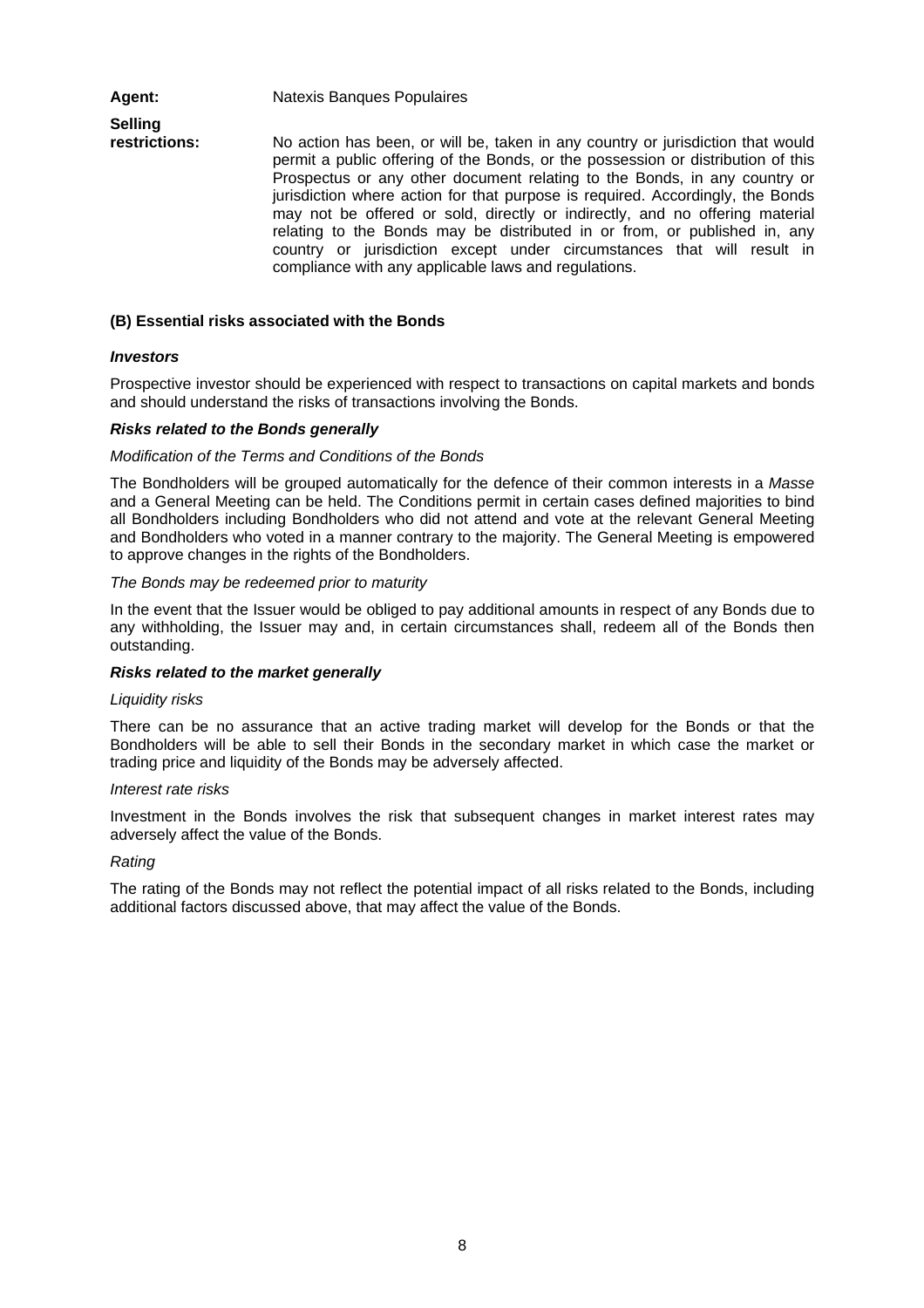Agent: Natexis Banques Populaires **Selling restrictions:**  No action has been, or will be, taken in any country or jurisdiction that would permit a public offering of the Bonds, or the possession or distribution of this Prospectus or any other document relating to the Bonds, in any country or jurisdiction where action for that purpose is required. Accordingly, the Bonds may not be offered or sold, directly or indirectly, and no offering material relating to the Bonds may be distributed in or from, or published in, any country or jurisdiction except under circumstances that will result in compliance with any applicable laws and regulations.

#### **(B) Essential risks associated with the Bonds**

#### *Investors*

Prospective investor should be experienced with respect to transactions on capital markets and bonds and should understand the risks of transactions involving the Bonds.

#### *Risks related to the Bonds generally*

#### *Modification of the Terms and Conditions of the Bonds*

The Bondholders will be grouped automatically for the defence of their common interests in a *Masse* and a General Meeting can be held. The Conditions permit in certain cases defined majorities to bind all Bondholders including Bondholders who did not attend and vote at the relevant General Meeting and Bondholders who voted in a manner contrary to the majority. The General Meeting is empowered to approve changes in the rights of the Bondholders.

#### *The Bonds may be redeemed prior to maturity*

In the event that the Issuer would be obliged to pay additional amounts in respect of any Bonds due to any withholding, the Issuer may and, in certain circumstances shall, redeem all of the Bonds then outstanding.

#### *Risks related to the market generally*

# *Liquidity risks*

There can be no assurance that an active trading market will develop for the Bonds or that the Bondholders will be able to sell their Bonds in the secondary market in which case the market or trading price and liquidity of the Bonds may be adversely affected.

#### *Interest rate risks*

Investment in the Bonds involves the risk that subsequent changes in market interest rates may adversely affect the value of the Bonds.

#### *Rating*

The rating of the Bonds may not reflect the potential impact of all risks related to the Bonds, including additional factors discussed above, that may affect the value of the Bonds.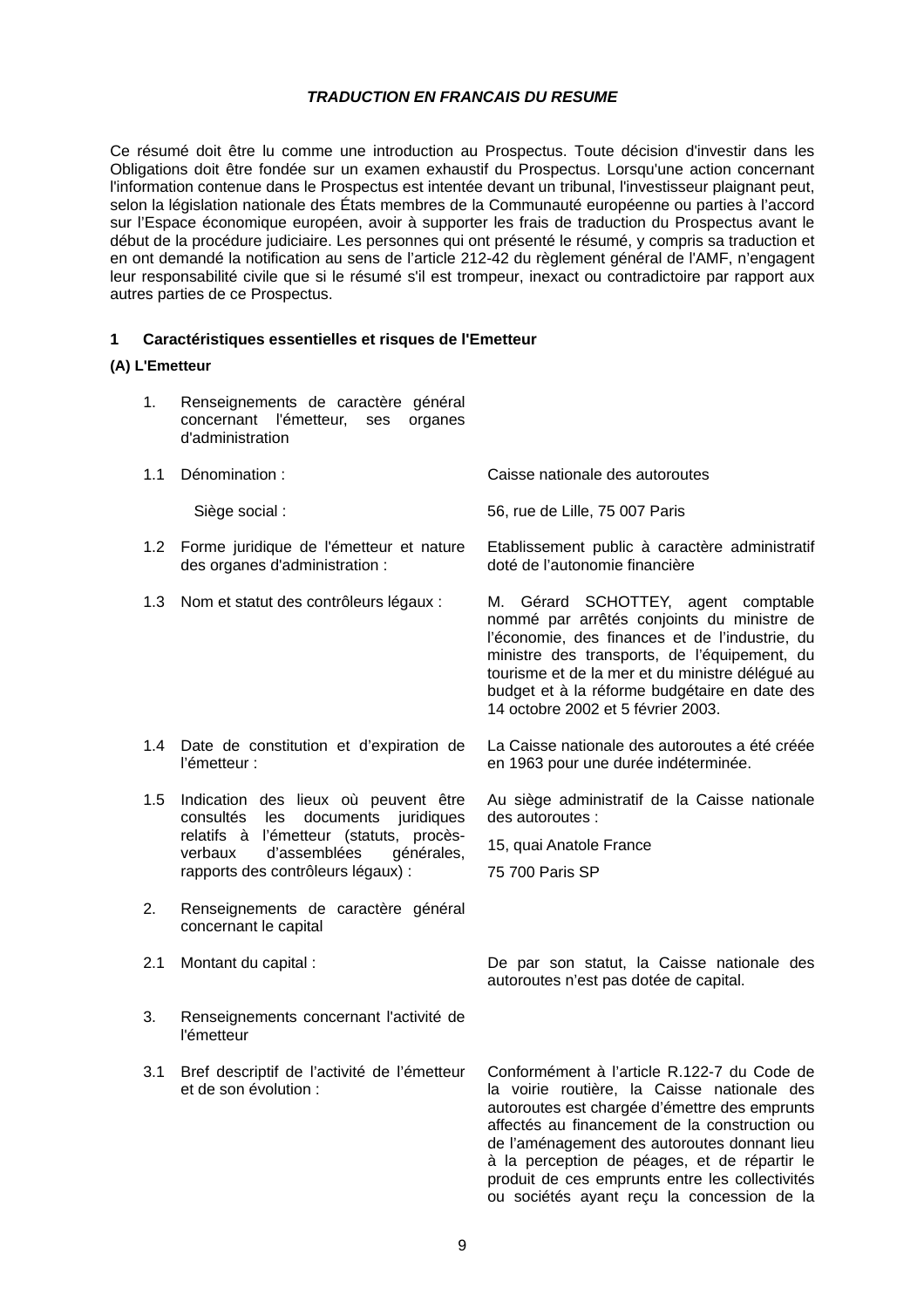## *TRADUCTION EN FRANCAIS DU RESUME*

Ce résumé doit être lu comme une introduction au Prospectus. Toute décision d'investir dans les Obligations doit être fondée sur un examen exhaustif du Prospectus. Lorsqu'une action concernant l'information contenue dans le Prospectus est intentée devant un tribunal, l'investisseur plaignant peut, selon la législation nationale des États membres de la Communauté européenne ou parties à l'accord sur l'Espace économique européen, avoir à supporter les frais de traduction du Prospectus avant le début de la procédure judiciaire. Les personnes qui ont présenté le résumé, y compris sa traduction et en ont demandé la notification au sens de l'article 212-42 du règlement général de l'AMF, n'engagent leur responsabilité civile que si le résumé s'il est trompeur, inexact ou contradictoire par rapport aux autres parties de ce Prospectus.

# **1 Caractéristiques essentielles et risques de l'Emetteur**

#### **(A) L'Emetteur**

- 1. Renseignements de caractère général concernant l'émetteur, ses organes d'administration
- 1.1 Dénomination : Caisse nationale des autoroutes

Siège social : 56, rue de Lille, 75 007 Paris

- 1.2 Forme juridique de l'émetteur et nature des organes d'administration : Etablissement public à caractère administratif doté de l'autonomie financière
- 1.3 Nom et statut des contrôleurs légaux : M. Gérard SCHOTTEY, agent comptable
- 1.4 Date de constitution et d'expiration de l'émetteur :
- 1.5 Indication des lieux où peuvent être consultés les documents juridiques relatifs à l'émetteur (statuts, procèsverbaux d'assemblées générales, rapports des contrôleurs légaux) :
- 2. Renseignements de caractère général concernant le capital
- 
- 3. Renseignements concernant l'activité de l'émetteur
- 3.1 Bref descriptif de l'activité de l'émetteur et de son évolution :

2.1 Montant du capital : De par son statut, la Caisse nationale des autoroutes n'est pas dotée de capital.

nommé par arrêtés conjoints du ministre de l'économie, des finances et de l'industrie, du ministre des transports, de l'équipement, du tourisme et de la mer et du ministre délégué au budget et à la réforme budgétaire en date des

La Caisse nationale des autoroutes a été créée

Au siège administratif de la Caisse nationale

14 octobre 2002 et 5 février 2003.

des autoroutes :

75 700 Paris SP

15, quai Anatole France

en 1963 pour une durée indéterminée.

Conformément à l'article R.122-7 du Code de la voirie routière, la Caisse nationale des autoroutes est chargée d'émettre des emprunts affectés au financement de la construction ou de l'aménagement des autoroutes donnant lieu à la perception de péages, et de répartir le produit de ces emprunts entre les collectivités ou sociétés ayant reçu la concession de la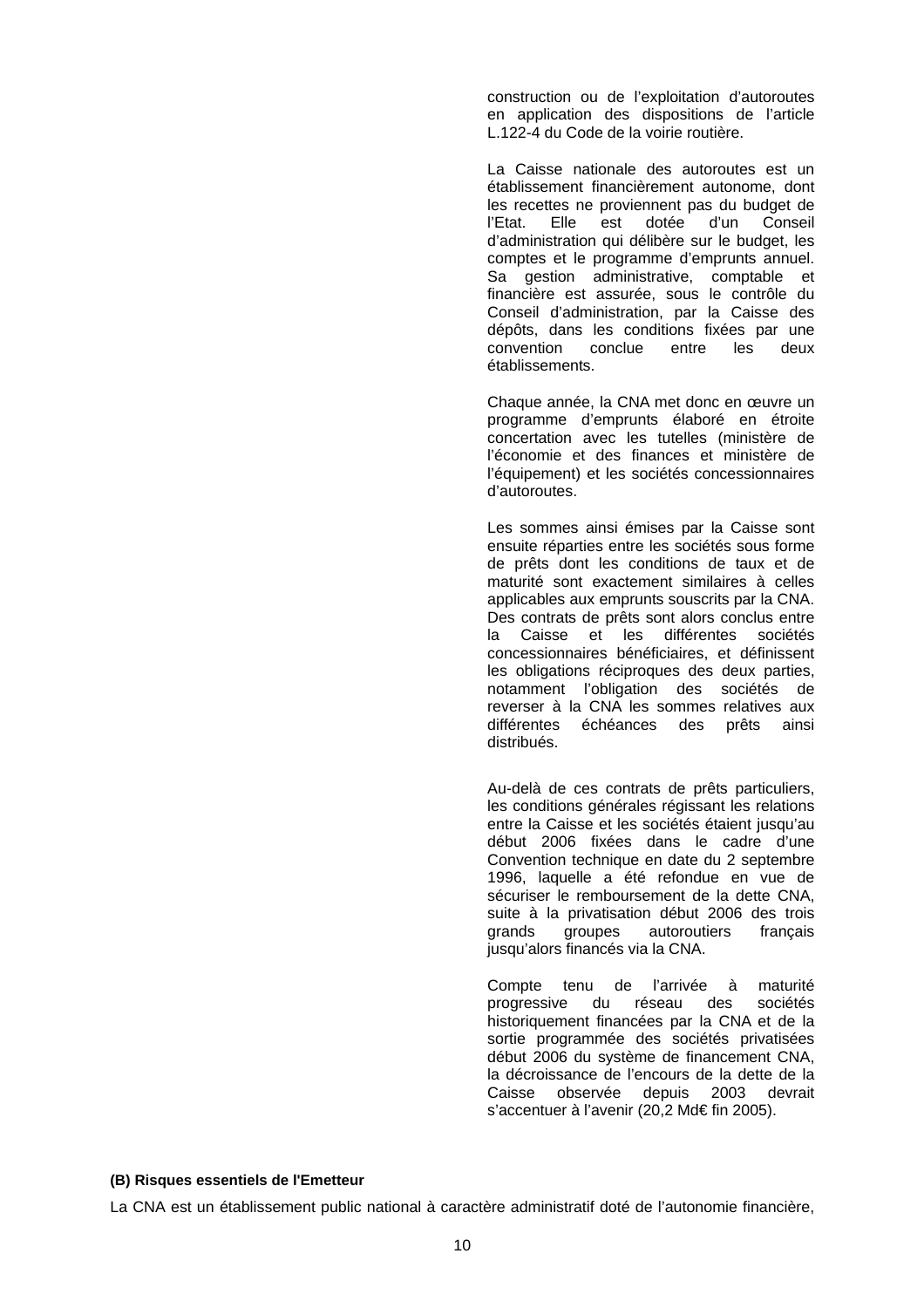construction ou de l'exploitation d'autoroutes en application des dispositions de l'article L.122-4 du Code de la voirie routière.

La Caisse nationale des autoroutes est un établissement financièrement autonome, dont les recettes ne proviennent pas du budget de l'Etat. Elle est dotée d'un Conseil d'administration qui délibère sur le budget, les comptes et le programme d'emprunts annuel. Sa gestion administrative, comptable et financière est assurée, sous le contrôle du Conseil d'administration, par la Caisse des dépôts, dans les conditions fixées par une convention conclue entre les deux établissements.

Chaque année, la CNA met donc en œuvre un programme d'emprunts élaboré en étroite concertation avec les tutelles (ministère de l'économie et des finances et ministère de l'équipement) et les sociétés concessionnaires d'autoroutes.

Les sommes ainsi émises par la Caisse sont ensuite réparties entre les sociétés sous forme de prêts dont les conditions de taux et de maturité sont exactement similaires à celles applicables aux emprunts souscrits par la CNA. Des contrats de prêts sont alors conclus entre la Caisse et les différentes sociétés concessionnaires bénéficiaires, et définissent les obligations réciproques des deux parties, notamment l'obligation des sociétés de reverser à la CNA les sommes relatives aux différentes échéances des prêts ainsi distribués.

Au-delà de ces contrats de prêts particuliers, les conditions générales régissant les relations entre la Caisse et les sociétés étaient jusqu'au début 2006 fixées dans le cadre d'une Convention technique en date du 2 septembre 1996, laquelle a été refondue en vue de sécuriser le remboursement de la dette CNA, suite à la privatisation début 2006 des trois grands groupes autoroutiers français jusqu'alors financés via la CNA.

Compte tenu de l'arrivée à maturité progressive du réseau des sociétés historiquement financées par la CNA et de la sortie programmée des sociétés privatisées début 2006 du système de financement CNA, la décroissance de l'encours de la dette de la Caisse observée depuis 2003 devrait s'accentuer à l'avenir (20,2 Md€ fin 2005).

#### **(B) Risques essentiels de l'Emetteur**

La CNA est un établissement public national à caractère administratif doté de l'autonomie financière,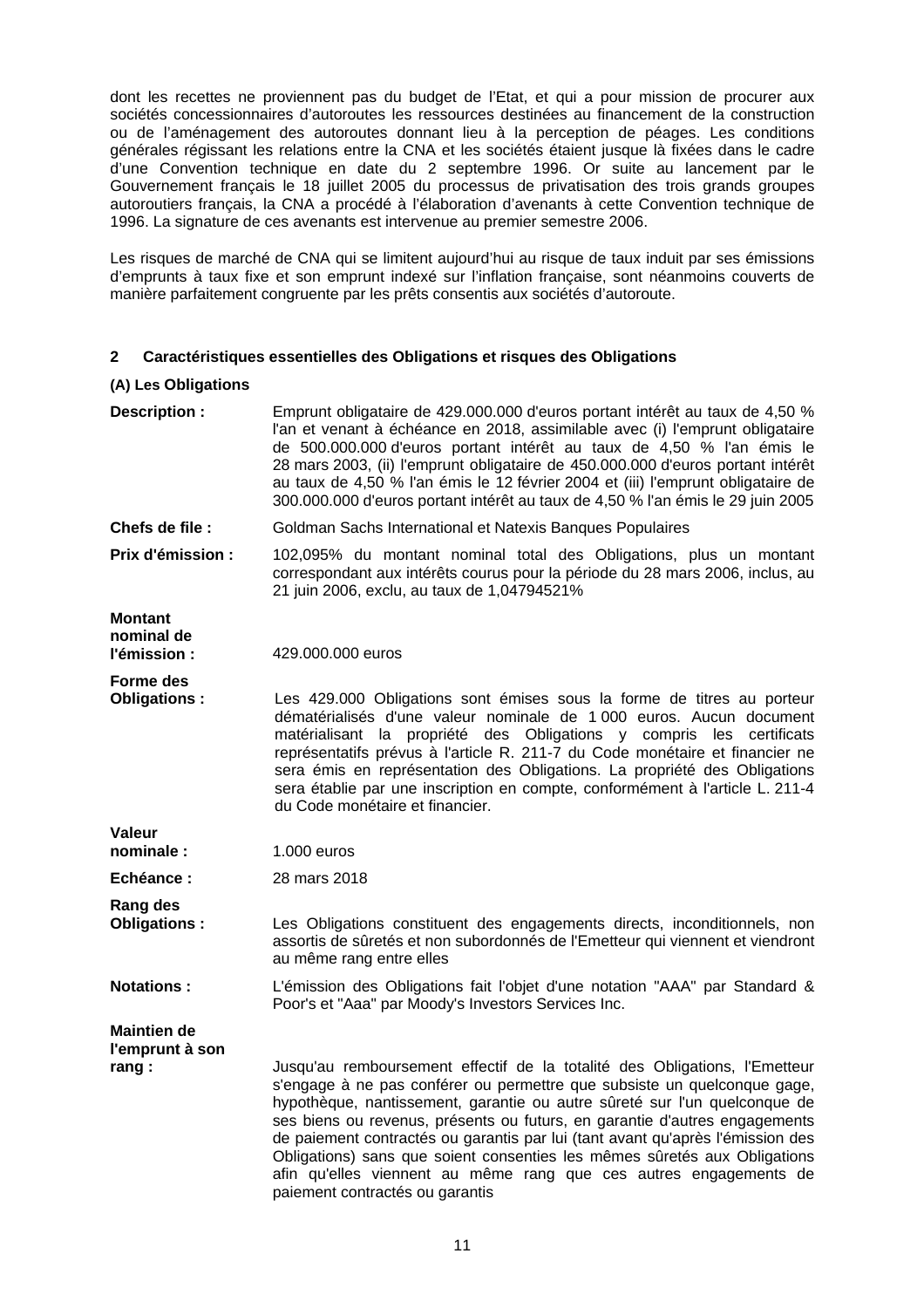dont les recettes ne proviennent pas du budget de l'Etat, et qui a pour mission de procurer aux sociétés concessionnaires d'autoroutes les ressources destinées au financement de la construction ou de l'aménagement des autoroutes donnant lieu à la perception de péages. Les conditions générales régissant les relations entre la CNA et les sociétés étaient jusque là fixées dans le cadre d'une Convention technique en date du 2 septembre 1996. Or suite au lancement par le Gouvernement français le 18 juillet 2005 du processus de privatisation des trois grands groupes autoroutiers français, la CNA a procédé à l'élaboration d'avenants à cette Convention technique de 1996. La signature de ces avenants est intervenue au premier semestre 2006.

Les risques de marché de CNA qui se limitent aujourd'hui au risque de taux induit par ses émissions d'emprunts à taux fixe et son emprunt indexé sur l'inflation française, sont néanmoins couverts de manière parfaitement congruente par les prêts consentis aux sociétés d'autoroute.

# **2 Caractéristiques essentielles des Obligations et risques des Obligations**

# **(A) Les Obligations**

| Description :                                  | Emprunt obligataire de 429.000.000 d'euros portant intérêt au taux de 4,50 %<br>l'an et venant à échéance en 2018, assimilable avec (i) l'emprunt obligataire<br>de 500.000.000 d'euros portant intérêt au taux de 4,50 % l'an émis le<br>28 mars 2003, (ii) l'emprunt obligataire de 450.000.000 d'euros portant intérêt<br>au taux de 4,50 % l'an émis le 12 février 2004 et (iii) l'emprunt obligataire de<br>300.000.000 d'euros portant intérêt au taux de 4,50 % l'an émis le 29 juin 2005                                                                                         |
|------------------------------------------------|------------------------------------------------------------------------------------------------------------------------------------------------------------------------------------------------------------------------------------------------------------------------------------------------------------------------------------------------------------------------------------------------------------------------------------------------------------------------------------------------------------------------------------------------------------------------------------------|
| Chefs de file :                                | Goldman Sachs International et Natexis Banques Populaires                                                                                                                                                                                                                                                                                                                                                                                                                                                                                                                                |
| Prix d'émission :                              | 102,095% du montant nominal total des Obligations, plus un montant<br>correspondant aux intérêts courus pour la période du 28 mars 2006, inclus, au<br>21 juin 2006, exclu, au taux de 1,04794521%                                                                                                                                                                                                                                                                                                                                                                                       |
| <b>Montant</b><br>nominal de<br>l'émission :   | 429.000.000 euros                                                                                                                                                                                                                                                                                                                                                                                                                                                                                                                                                                        |
| Forme des<br>Obligations:                      | Les 429.000 Obligations sont émises sous la forme de titres au porteur<br>dématérialisés d'une valeur nominale de 1 000 euros. Aucun document<br>matérialisant la propriété des Obligations y compris les certificats<br>représentatifs prévus à l'article R. 211-7 du Code monétaire et financier ne<br>sera émis en représentation des Obligations. La propriété des Obligations<br>sera établie par une inscription en compte, conformément à l'article L. 211-4<br>du Code monétaire et financier.                                                                                   |
| Valeur<br>nominale:                            | $1.000$ euros                                                                                                                                                                                                                                                                                                                                                                                                                                                                                                                                                                            |
| Echéance :                                     | 28 mars 2018                                                                                                                                                                                                                                                                                                                                                                                                                                                                                                                                                                             |
| Rang des<br>Obligations:                       | Les Obligations constituent des engagements directs, inconditionnels, non<br>assortis de sûretés et non subordonnés de l'Emetteur qui viennent et viendront<br>au même rang entre elles                                                                                                                                                                                                                                                                                                                                                                                                  |
| <b>Notations:</b>                              | L'émission des Obligations fait l'objet d'une notation "AAA" par Standard &<br>Poor's et "Aaa" par Moody's Investors Services Inc.                                                                                                                                                                                                                                                                                                                                                                                                                                                       |
| <b>Maintien de</b><br>l'emprunt à son<br>rang: | Jusqu'au remboursement effectif de la totalité des Obligations, l'Emetteur<br>s'engage à ne pas conférer ou permettre que subsiste un quelconque gage,<br>hypothèque, nantissement, garantie ou autre sûreté sur l'un quelconque de<br>ses biens ou revenus, présents ou futurs, en garantie d'autres engagements<br>de paiement contractés ou garantis par lui (tant avant qu'après l'émission des<br>Obligations) sans que soient consenties les mêmes sûretés aux Obligations<br>afin qu'elles viennent au même rang que ces autres engagements de<br>paiement contractés ou garantis |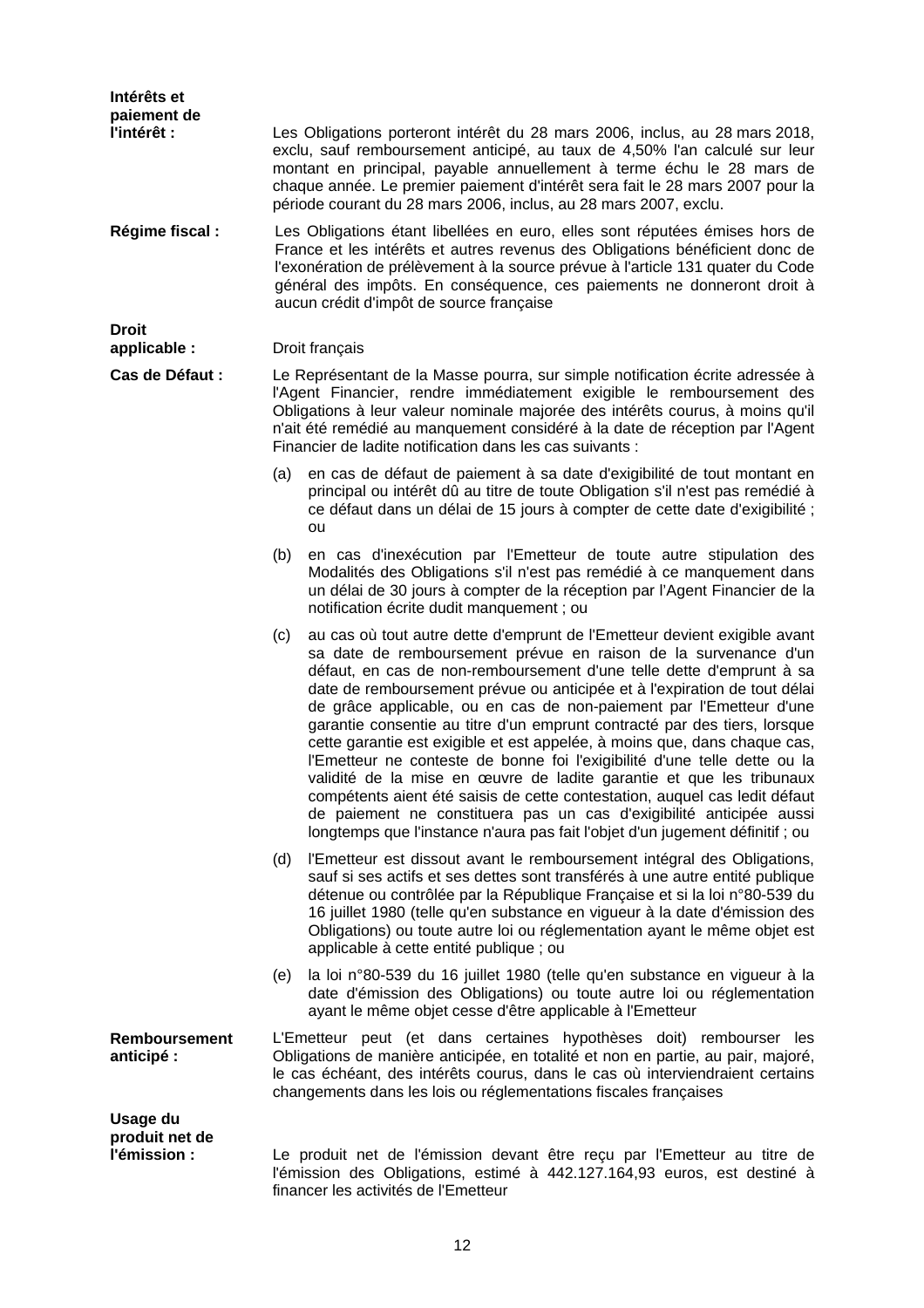| Intérêts et<br>paiement de                 |     |                                                                                                                                                                                                                                                                                                                                                                                                                                                                                                                                                                                                                                                                                                                                                                                                                                                                                                                               |
|--------------------------------------------|-----|-------------------------------------------------------------------------------------------------------------------------------------------------------------------------------------------------------------------------------------------------------------------------------------------------------------------------------------------------------------------------------------------------------------------------------------------------------------------------------------------------------------------------------------------------------------------------------------------------------------------------------------------------------------------------------------------------------------------------------------------------------------------------------------------------------------------------------------------------------------------------------------------------------------------------------|
| l'intérêt :                                |     | Les Obligations porteront intérêt du 28 mars 2006, inclus, au 28 mars 2018,<br>exclu, sauf remboursement anticipé, au taux de 4,50% l'an calculé sur leur<br>montant en principal, payable annuellement à terme échu le 28 mars de<br>chaque année. Le premier paiement d'intérêt sera fait le 28 mars 2007 pour la<br>période courant du 28 mars 2006, inclus, au 28 mars 2007, exclu.                                                                                                                                                                                                                                                                                                                                                                                                                                                                                                                                       |
| Régime fiscal :                            |     | Les Obligations étant libellées en euro, elles sont réputées émises hors de<br>France et les intérêts et autres revenus des Obligations bénéficient donc de<br>l'exonération de prélèvement à la source prévue à l'article 131 quater du Code<br>général des impôts. En conséquence, ces paiements ne donneront droit à<br>aucun crédit d'impôt de source française                                                                                                                                                                                                                                                                                                                                                                                                                                                                                                                                                           |
| <b>Droit</b><br>applicable :               |     | Droit français                                                                                                                                                                                                                                                                                                                                                                                                                                                                                                                                                                                                                                                                                                                                                                                                                                                                                                                |
| Cas de Défaut :                            |     | Le Représentant de la Masse pourra, sur simple notification écrite adressée à<br>l'Agent Financier, rendre immédiatement exigible le remboursement des<br>Obligations à leur valeur nominale majorée des intérêts courus, à moins qu'il<br>n'ait été remédié au manquement considéré à la date de réception par l'Agent<br>Financier de ladite notification dans les cas suivants :                                                                                                                                                                                                                                                                                                                                                                                                                                                                                                                                           |
|                                            | (a) | en cas de défaut de paiement à sa date d'exigibilité de tout montant en<br>principal ou intérêt dû au titre de toute Obligation s'il n'est pas remédié à<br>ce défaut dans un délai de 15 jours à compter de cette date d'exigibilité ;<br>ou                                                                                                                                                                                                                                                                                                                                                                                                                                                                                                                                                                                                                                                                                 |
|                                            | (b) | en cas d'inexécution par l'Emetteur de toute autre stipulation des<br>Modalités des Obligations s'il n'est pas remédié à ce manquement dans<br>un délai de 30 jours à compter de la réception par l'Agent Financier de la<br>notification écrite dudit manquement ; ou                                                                                                                                                                                                                                                                                                                                                                                                                                                                                                                                                                                                                                                        |
|                                            | (c) | au cas où tout autre dette d'emprunt de l'Emetteur devient exigible avant<br>sa date de remboursement prévue en raison de la survenance d'un<br>défaut, en cas de non-remboursement d'une telle dette d'emprunt à sa<br>date de remboursement prévue ou anticipée et à l'expiration de tout délai<br>de grâce applicable, ou en cas de non-paiement par l'Emetteur d'une<br>garantie consentie au titre d'un emprunt contracté par des tiers, lorsque<br>cette garantie est exigible et est appelée, à moins que, dans chaque cas,<br>l'Emetteur ne conteste de bonne foi l'exigibilité d'une telle dette ou la<br>validité de la mise en œuvre de ladite garantie et que les tribunaux<br>compétents aient été saisis de cette contestation, auquel cas ledit défaut<br>de paiement ne constituera pas un cas d'exigibilité anticipée aussi<br>longtemps que l'instance n'aura pas fait l'objet d'un jugement définitif ; ou |
|                                            | (d) | l'Emetteur est dissout avant le remboursement intégral des Obligations,<br>sauf si ses actifs et ses dettes sont transférés à une autre entité publique<br>détenue ou contrôlée par la République Française et si la loi n°80-539 du<br>16 juillet 1980 (telle qu'en substance en vigueur à la date d'émission des<br>Obligations) ou toute autre loi ou réglementation ayant le même objet est<br>applicable à cette entité publique ; ou                                                                                                                                                                                                                                                                                                                                                                                                                                                                                    |
|                                            | (e) | la loi n°80-539 du 16 juillet 1980 (telle qu'en substance en vigueur à la<br>date d'émission des Obligations) ou toute autre loi ou réglementation<br>ayant le même objet cesse d'être applicable à l'Emetteur                                                                                                                                                                                                                                                                                                                                                                                                                                                                                                                                                                                                                                                                                                                |
| <b>Remboursement</b><br>anticipé:          |     | L'Emetteur peut (et dans certaines hypothèses doit) rembourser les<br>Obligations de manière anticipée, en totalité et non en partie, au pair, majoré,<br>le cas échéant, des intérêts courus, dans le cas où interviendraient certains<br>changements dans les lois ou réglementations fiscales françaises                                                                                                                                                                                                                                                                                                                                                                                                                                                                                                                                                                                                                   |
| Usage du<br>produit net de<br>l'émission : |     | Le produit net de l'émission devant être reçu par l'Emetteur au titre de<br>l'émission des Obligations, estimé à 442.127.164,93 euros, est destiné à<br>financer les activités de l'Emetteur                                                                                                                                                                                                                                                                                                                                                                                                                                                                                                                                                                                                                                                                                                                                  |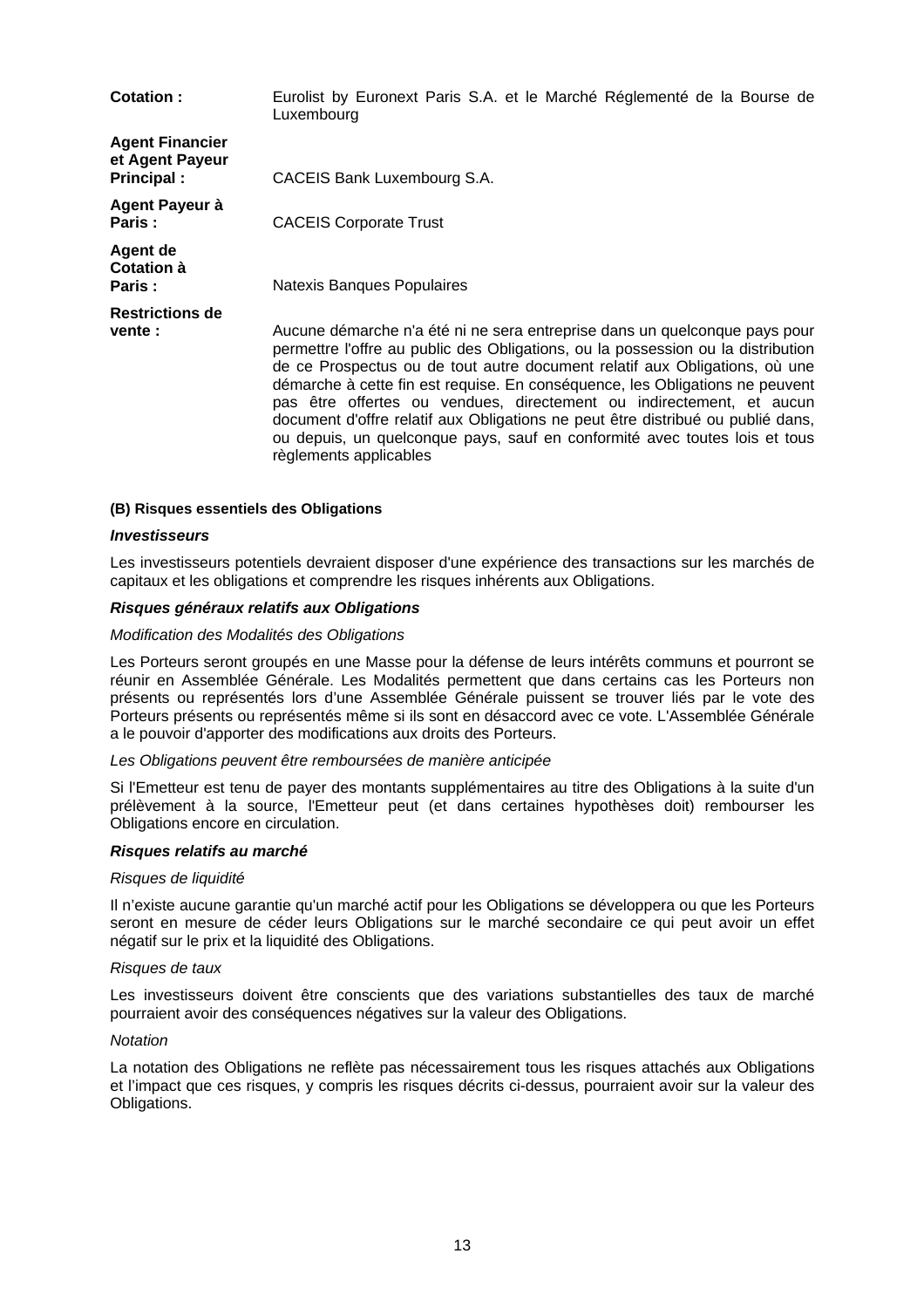| Cotation:                                                | Eurolist by Euronext Paris S.A. et le Marché Réglementé de la Bourse de<br>Luxembourg                                                                                                                                                                                                                                                                                                                                                                                                                                                                                                           |
|----------------------------------------------------------|-------------------------------------------------------------------------------------------------------------------------------------------------------------------------------------------------------------------------------------------------------------------------------------------------------------------------------------------------------------------------------------------------------------------------------------------------------------------------------------------------------------------------------------------------------------------------------------------------|
| <b>Agent Financier</b><br>et Agent Payeur<br>Principal : | CACEIS Bank Luxembourg S.A.                                                                                                                                                                                                                                                                                                                                                                                                                                                                                                                                                                     |
| Agent Payeur à<br>Paris:                                 | <b>CACEIS Corporate Trust</b>                                                                                                                                                                                                                                                                                                                                                                                                                                                                                                                                                                   |
| Agent de<br>Cotation à<br>Paris:                         | Natexis Banques Populaires                                                                                                                                                                                                                                                                                                                                                                                                                                                                                                                                                                      |
| <b>Restrictions de</b><br>vente :                        | Aucune démarche n'a été ni ne sera entreprise dans un quelconque pays pour<br>permettre l'offre au public des Obligations, ou la possession ou la distribution<br>de ce Prospectus ou de tout autre document relatif aux Obligations, où une<br>démarche à cette fin est requise. En conséquence, les Obligations ne peuvent<br>pas être offertes ou vendues, directement ou indirectement, et aucun<br>document d'offre relatif aux Obligations ne peut être distribué ou publié dans,<br>ou depuis, un quelconque pays, sauf en conformité avec toutes lois et tous<br>règlements applicables |

#### **(B) Risques essentiels des Obligations**

#### *Investisseurs*

Les investisseurs potentiels devraient disposer d'une expérience des transactions sur les marchés de capitaux et les obligations et comprendre les risques inhérents aux Obligations.

#### *Risques généraux relatifs aux Obligations*

#### *Modification des Modalités des Obligations*

Les Porteurs seront groupés en une Masse pour la défense de leurs intérêts communs et pourront se réunir en Assemblée Générale. Les Modalités permettent que dans certains cas les Porteurs non présents ou représentés lors d'une Assemblée Générale puissent se trouver liés par le vote des Porteurs présents ou représentés même si ils sont en désaccord avec ce vote. L'Assemblée Générale a le pouvoir d'apporter des modifications aux droits des Porteurs.

#### *Les Obligations peuvent être remboursées de manière anticipée*

Si l'Emetteur est tenu de payer des montants supplémentaires au titre des Obligations à la suite d'un prélèvement à la source, l'Emetteur peut (et dans certaines hypothèses doit) rembourser les Obligations encore en circulation.

#### *Risques relatifs au marché*

#### *Risques de liquidité*

Il n'existe aucune garantie qu'un marché actif pour les Obligations se développera ou que les Porteurs seront en mesure de céder leurs Obligations sur le marché secondaire ce qui peut avoir un effet négatif sur le prix et la liquidité des Obligations.

#### *Risques de taux*

Les investisseurs doivent être conscients que des variations substantielles des taux de marché pourraient avoir des conséquences négatives sur la valeur des Obligations.

#### *Notation*

La notation des Obligations ne reflète pas nécessairement tous les risques attachés aux Obligations et l'impact que ces risques, y compris les risques décrits ci-dessus, pourraient avoir sur la valeur des Obligations.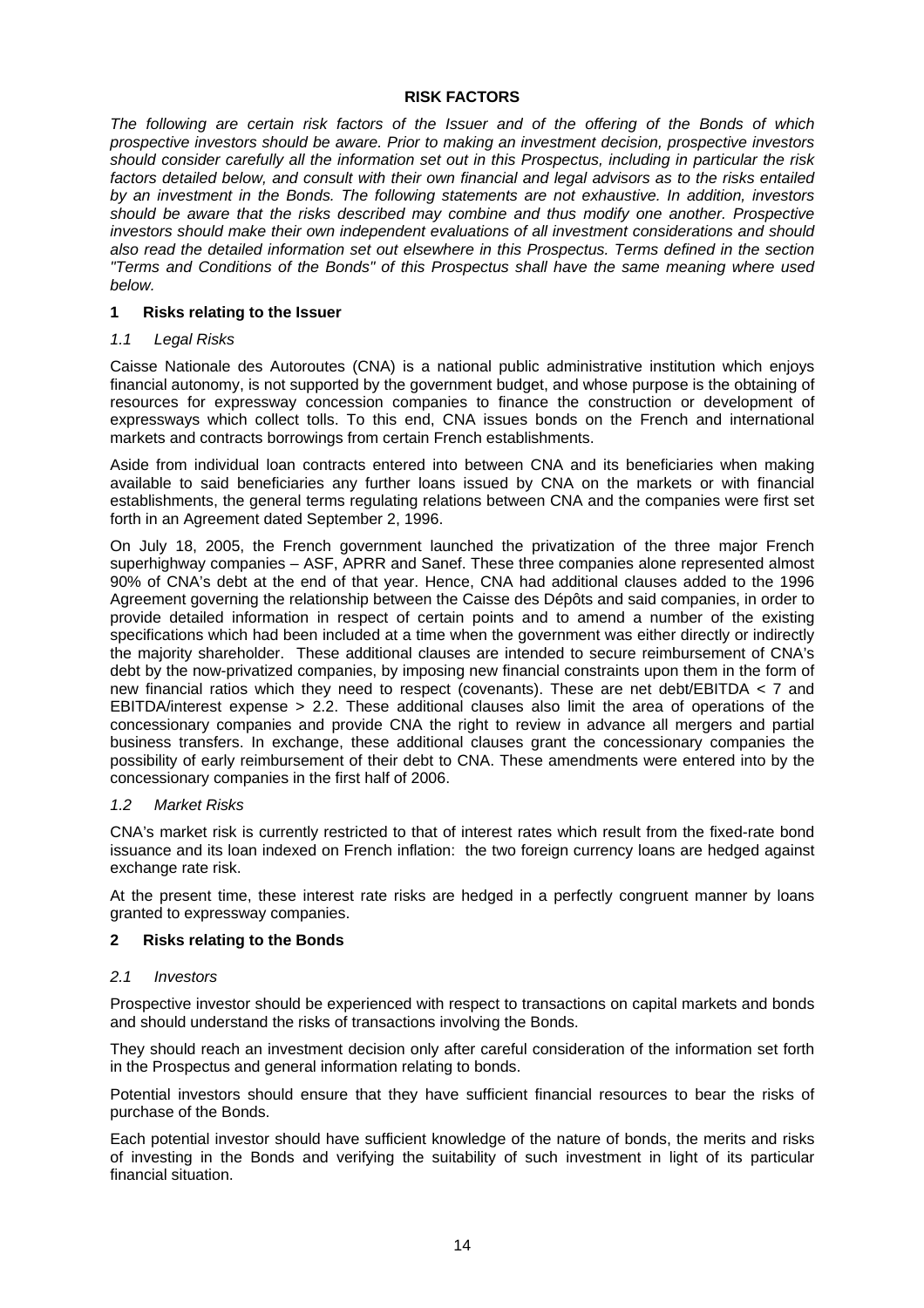### **RISK FACTORS**

*The following are certain risk factors of the Issuer and of the offering of the Bonds of which prospective investors should be aware. Prior to making an investment decision, prospective investors should consider carefully all the information set out in this Prospectus, including in particular the risk factors detailed below, and consult with their own financial and legal advisors as to the risks entailed by an investment in the Bonds. The following statements are not exhaustive. In addition, investors should be aware that the risks described may combine and thus modify one another. Prospective investors should make their own independent evaluations of all investment considerations and should also read the detailed information set out elsewhere in this Prospectus. Terms defined in the section "Terms and Conditions of the Bonds" of this Prospectus shall have the same meaning where used below.* 

# **1 Risks relating to the Issuer**

# *1.1 Legal Risks*

Caisse Nationale des Autoroutes (CNA) is a national public administrative institution which enjoys financial autonomy, is not supported by the government budget, and whose purpose is the obtaining of resources for expressway concession companies to finance the construction or development of expressways which collect tolls. To this end, CNA issues bonds on the French and international markets and contracts borrowings from certain French establishments.

Aside from individual loan contracts entered into between CNA and its beneficiaries when making available to said beneficiaries any further loans issued by CNA on the markets or with financial establishments, the general terms regulating relations between CNA and the companies were first set forth in an Agreement dated September 2, 1996.

On July 18, 2005, the French government launched the privatization of the three major French superhighway companies – ASF, APRR and Sanef. These three companies alone represented almost 90% of CNA's debt at the end of that year. Hence, CNA had additional clauses added to the 1996 Agreement governing the relationship between the Caisse des Dépôts and said companies, in order to provide detailed information in respect of certain points and to amend a number of the existing specifications which had been included at a time when the government was either directly or indirectly the majority shareholder. These additional clauses are intended to secure reimbursement of CNA's debt by the now-privatized companies, by imposing new financial constraints upon them in the form of new financial ratios which they need to respect (covenants). These are net debt/EBITDA < 7 and EBITDA/interest expense > 2.2. These additional clauses also limit the area of operations of the concessionary companies and provide CNA the right to review in advance all mergers and partial business transfers. In exchange, these additional clauses grant the concessionary companies the possibility of early reimbursement of their debt to CNA. These amendments were entered into by the concessionary companies in the first half of 2006.

# *1.2 Market Risks*

CNA's market risk is currently restricted to that of interest rates which result from the fixed-rate bond issuance and its loan indexed on French inflation: the two foreign currency loans are hedged against exchange rate risk.

At the present time, these interest rate risks are hedged in a perfectly congruent manner by loans granted to expressway companies.

# **2 Risks relating to the Bonds**

# *2.1 Investors*

Prospective investor should be experienced with respect to transactions on capital markets and bonds and should understand the risks of transactions involving the Bonds.

They should reach an investment decision only after careful consideration of the information set forth in the Prospectus and general information relating to bonds.

Potential investors should ensure that they have sufficient financial resources to bear the risks of purchase of the Bonds.

Each potential investor should have sufficient knowledge of the nature of bonds, the merits and risks of investing in the Bonds and verifying the suitability of such investment in light of its particular financial situation.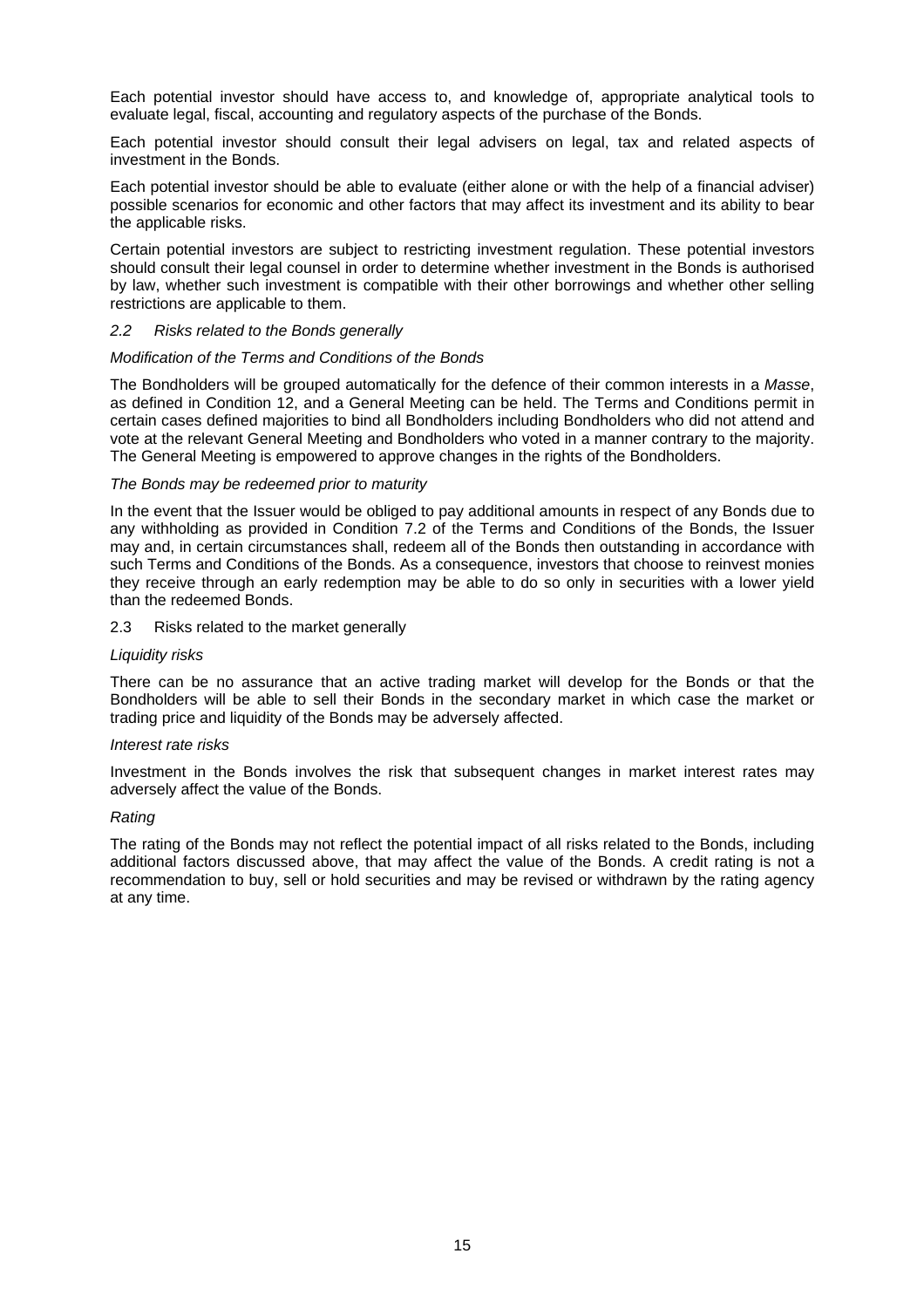Each potential investor should have access to, and knowledge of, appropriate analytical tools to evaluate legal, fiscal, accounting and regulatory aspects of the purchase of the Bonds.

Each potential investor should consult their legal advisers on legal, tax and related aspects of investment in the Bonds.

Each potential investor should be able to evaluate (either alone or with the help of a financial adviser) possible scenarios for economic and other factors that may affect its investment and its ability to bear the applicable risks.

Certain potential investors are subject to restricting investment regulation. These potential investors should consult their legal counsel in order to determine whether investment in the Bonds is authorised by law, whether such investment is compatible with their other borrowings and whether other selling restrictions are applicable to them.

#### *2.2 Risks related to the Bonds generally*

#### *Modification of the Terms and Conditions of the Bonds*

The Bondholders will be grouped automatically for the defence of their common interests in a *Masse*, as defined in Condition 12, and a General Meeting can be held. The Terms and Conditions permit in certain cases defined majorities to bind all Bondholders including Bondholders who did not attend and vote at the relevant General Meeting and Bondholders who voted in a manner contrary to the majority. The General Meeting is empowered to approve changes in the rights of the Bondholders.

# *The Bonds may be redeemed prior to maturity*

In the event that the Issuer would be obliged to pay additional amounts in respect of any Bonds due to any withholding as provided in Condition 7.2 of the Terms and Conditions of the Bonds, the Issuer may and, in certain circumstances shall, redeem all of the Bonds then outstanding in accordance with such Terms and Conditions of the Bonds. As a consequence, investors that choose to reinvest monies they receive through an early redemption may be able to do so only in securities with a lower yield than the redeemed Bonds.

#### 2.3 Risks related to the market generally

#### *Liquidity risks*

There can be no assurance that an active trading market will develop for the Bonds or that the Bondholders will be able to sell their Bonds in the secondary market in which case the market or trading price and liquidity of the Bonds may be adversely affected.

#### *Interest rate risks*

Investment in the Bonds involves the risk that subsequent changes in market interest rates may adversely affect the value of the Bonds.

#### *Rating*

The rating of the Bonds may not reflect the potential impact of all risks related to the Bonds, including additional factors discussed above, that may affect the value of the Bonds. A credit rating is not a recommendation to buy, sell or hold securities and may be revised or withdrawn by the rating agency at any time.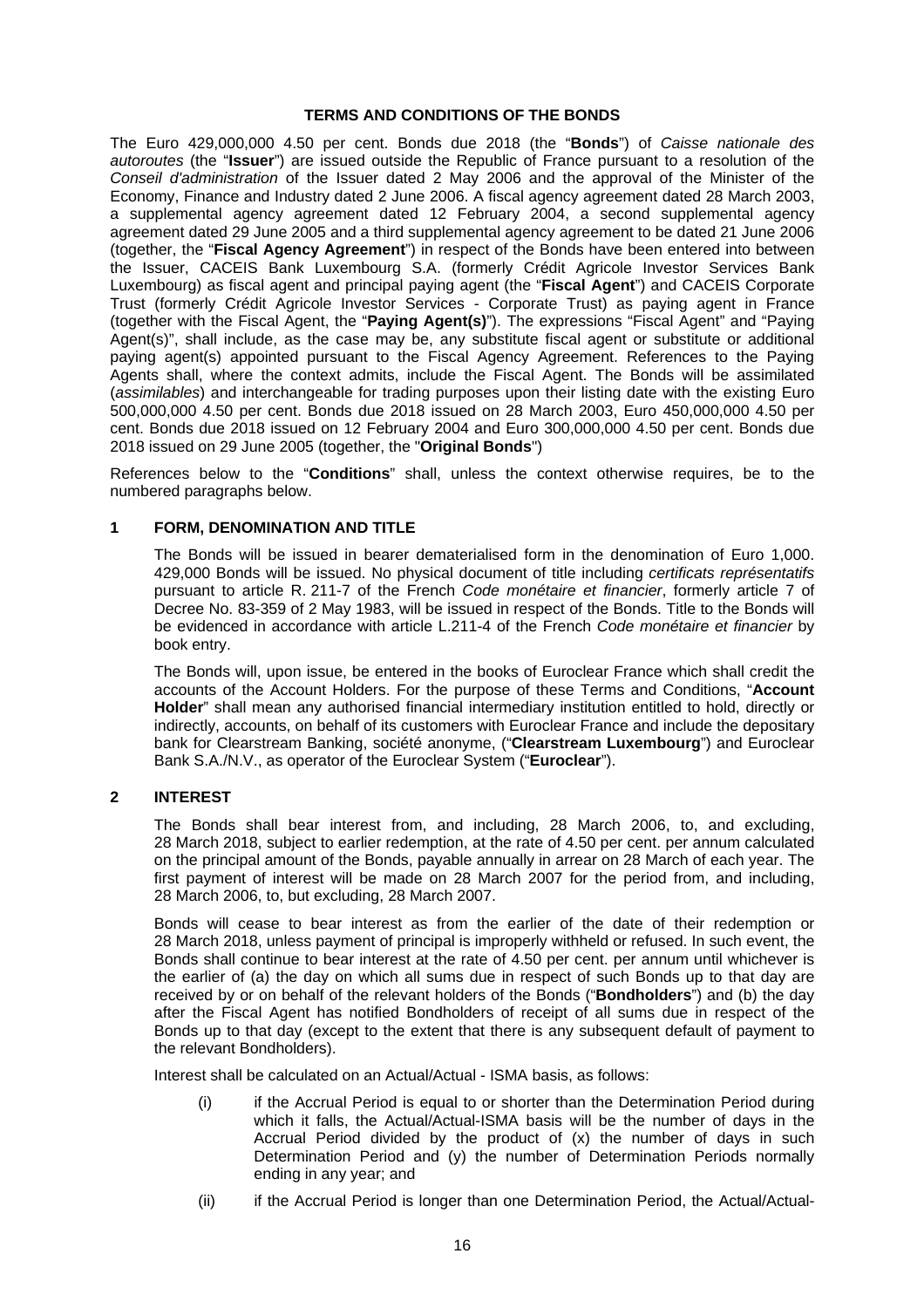## **TERMS AND CONDITIONS OF THE BONDS**

The Euro 429,000,000 4.50 per cent. Bonds due 2018 (the "**Bonds**") of *Caisse nationale des autoroutes* (the "**Issuer**") are issued outside the Republic of France pursuant to a resolution of the *Conseil d'administration* of the Issuer dated 2 May 2006 and the approval of the Minister of the Economy, Finance and Industry dated 2 June 2006. A fiscal agency agreement dated 28 March 2003, a supplemental agency agreement dated 12 February 2004, a second supplemental agency agreement dated 29 June 2005 and a third supplemental agency agreement to be dated 21 June 2006 (together, the "**Fiscal Agency Agreement**") in respect of the Bonds have been entered into between the Issuer, CACEIS Bank Luxembourg S.A. (formerly Crédit Agricole Investor Services Bank Luxembourg) as fiscal agent and principal paying agent (the "**Fiscal Agent**") and CACEIS Corporate Trust (formerly Crédit Agricole Investor Services - Corporate Trust) as paying agent in France (together with the Fiscal Agent, the "**Paying Agent(s)**"). The expressions "Fiscal Agent" and "Paying Agent(s)", shall include, as the case may be, any substitute fiscal agent or substitute or additional paying agent(s) appointed pursuant to the Fiscal Agency Agreement. References to the Paying Agents shall, where the context admits, include the Fiscal Agent. The Bonds will be assimilated (*assimilables*) and interchangeable for trading purposes upon their listing date with the existing Euro 500,000,000 4.50 per cent. Bonds due 2018 issued on 28 March 2003, Euro 450,000,000 4.50 per cent. Bonds due 2018 issued on 12 February 2004 and Euro 300,000,000 4.50 per cent. Bonds due 2018 issued on 29 June 2005 (together, the "**Original Bonds**")

References below to the "**Conditions**" shall, unless the context otherwise requires, be to the numbered paragraphs below.

# **1 FORM, DENOMINATION AND TITLE**

The Bonds will be issued in bearer dematerialised form in the denomination of Euro 1,000. 429,000 Bonds will be issued. No physical document of title including *certificats représentatifs* pursuant to article R. 211-7 of the French *Code monétaire et financier*, formerly article 7 of Decree No. 83-359 of 2 May 1983, will be issued in respect of the Bonds. Title to the Bonds will be evidenced in accordance with article L.211-4 of the French *Code monétaire et financier* by book entry.

The Bonds will, upon issue, be entered in the books of Euroclear France which shall credit the accounts of the Account Holders. For the purpose of these Terms and Conditions, "**Account Holder**" shall mean any authorised financial intermediary institution entitled to hold, directly or indirectly, accounts, on behalf of its customers with Euroclear France and include the depositary bank for Clearstream Banking, société anonyme, ("**Clearstream Luxembourg**") and Euroclear Bank S.A./N.V., as operator of the Euroclear System ("**Euroclear**").

# **2 INTEREST**

The Bonds shall bear interest from, and including, 28 March 2006, to, and excluding, 28 March 2018, subject to earlier redemption, at the rate of 4.50 per cent. per annum calculated on the principal amount of the Bonds, payable annually in arrear on 28 March of each year. The first payment of interest will be made on 28 March 2007 for the period from, and including, 28 March 2006, to, but excluding, 28 March 2007.

Bonds will cease to bear interest as from the earlier of the date of their redemption or 28 March 2018, unless payment of principal is improperly withheld or refused. In such event, the Bonds shall continue to bear interest at the rate of 4.50 per cent. per annum until whichever is the earlier of (a) the day on which all sums due in respect of such Bonds up to that day are received by or on behalf of the relevant holders of the Bonds ("**Bondholders**") and (b) the day after the Fiscal Agent has notified Bondholders of receipt of all sums due in respect of the Bonds up to that day (except to the extent that there is any subsequent default of payment to the relevant Bondholders).

Interest shall be calculated on an Actual/Actual - ISMA basis, as follows:

- (i) if the Accrual Period is equal to or shorter than the Determination Period during which it falls, the Actual/Actual-ISMA basis will be the number of days in the Accrual Period divided by the product of (x) the number of days in such Determination Period and (y) the number of Determination Periods normally ending in any year; and
- (ii) if the Accrual Period is longer than one Determination Period, the Actual/Actual-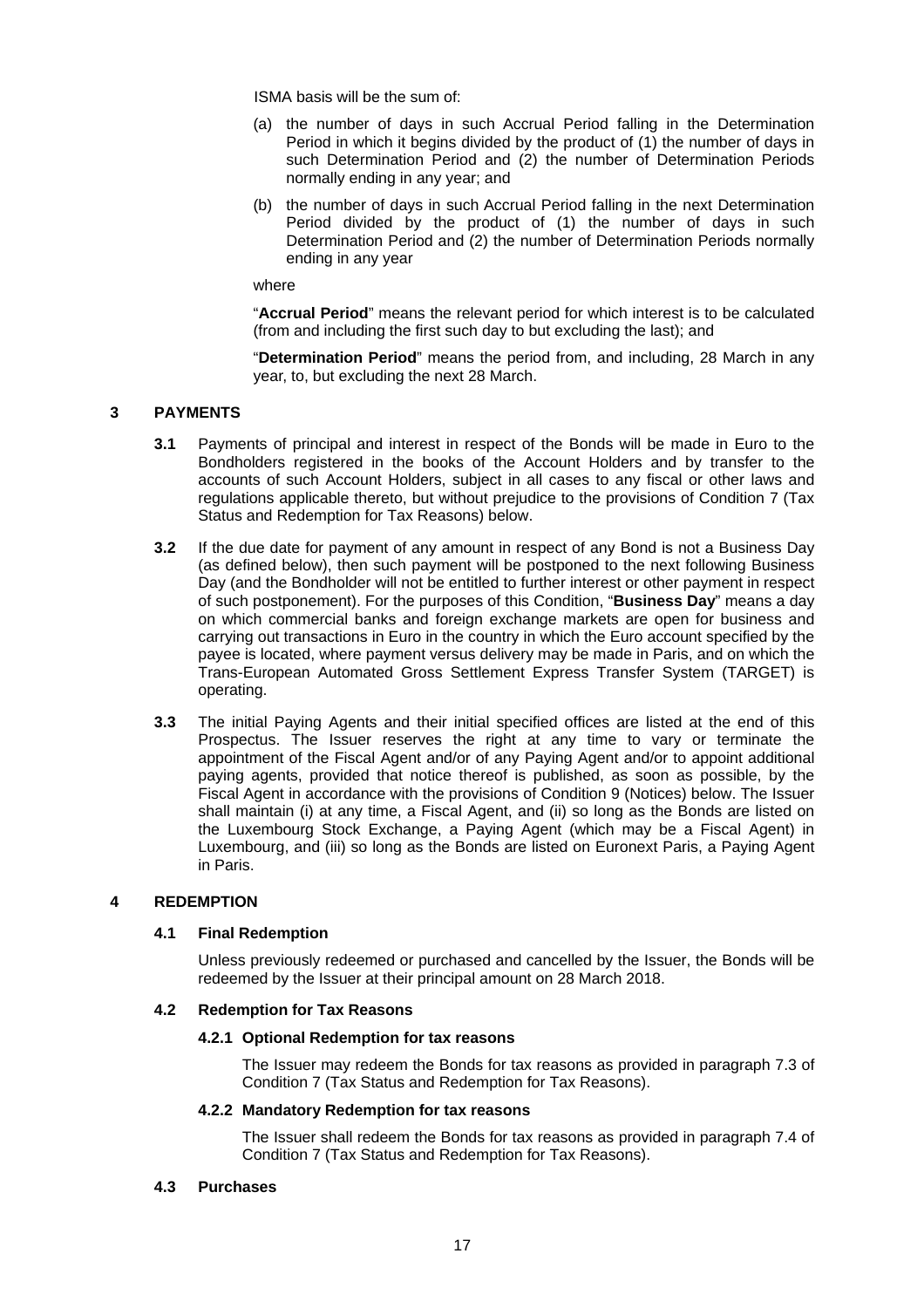ISMA basis will be the sum of:

- (a) the number of days in such Accrual Period falling in the Determination Period in which it begins divided by the product of (1) the number of days in such Determination Period and (2) the number of Determination Periods normally ending in any year; and
- (b) the number of days in such Accrual Period falling in the next Determination Period divided by the product of (1) the number of days in such Determination Period and (2) the number of Determination Periods normally ending in any year

#### where

"**Accrual Period**" means the relevant period for which interest is to be calculated (from and including the first such day to but excluding the last); and

"**Determination Period**" means the period from, and including, 28 March in any year, to, but excluding the next 28 March.

# **3 PAYMENTS**

- **3.1** Payments of principal and interest in respect of the Bonds will be made in Euro to the Bondholders registered in the books of the Account Holders and by transfer to the accounts of such Account Holders, subject in all cases to any fiscal or other laws and regulations applicable thereto, but without prejudice to the provisions of Condition 7 (Tax Status and Redemption for Tax Reasons) below.
- **3.2** If the due date for payment of any amount in respect of any Bond is not a Business Day (as defined below), then such payment will be postponed to the next following Business Day (and the Bondholder will not be entitled to further interest or other payment in respect of such postponement). For the purposes of this Condition, "**Business Day**" means a day on which commercial banks and foreign exchange markets are open for business and carrying out transactions in Euro in the country in which the Euro account specified by the payee is located, where payment versus delivery may be made in Paris, and on which the Trans-European Automated Gross Settlement Express Transfer System (TARGET) is operating.
- **3.3** The initial Paying Agents and their initial specified offices are listed at the end of this Prospectus. The Issuer reserves the right at any time to vary or terminate the appointment of the Fiscal Agent and/or of any Paying Agent and/or to appoint additional paying agents, provided that notice thereof is published, as soon as possible, by the Fiscal Agent in accordance with the provisions of Condition 9 (Notices) below. The Issuer shall maintain (i) at any time, a Fiscal Agent, and (ii) so long as the Bonds are listed on the Luxembourg Stock Exchange, a Paying Agent (which may be a Fiscal Agent) in Luxembourg, and (iii) so long as the Bonds are listed on Euronext Paris, a Paying Agent in Paris.

# **4 REDEMPTION**

# **4.1 Final Redemption**

Unless previously redeemed or purchased and cancelled by the Issuer, the Bonds will be redeemed by the Issuer at their principal amount on 28 March 2018.

# **4.2 Redemption for Tax Reasons**

# **4.2.1 Optional Redemption for tax reasons**

 The Issuer may redeem the Bonds for tax reasons as provided in paragraph 7.3 of Condition 7 (Tax Status and Redemption for Tax Reasons).

#### **4.2.2 Mandatory Redemption for tax reasons**

 The Issuer shall redeem the Bonds for tax reasons as provided in paragraph 7.4 of Condition 7 (Tax Status and Redemption for Tax Reasons).

#### **4.3 Purchases**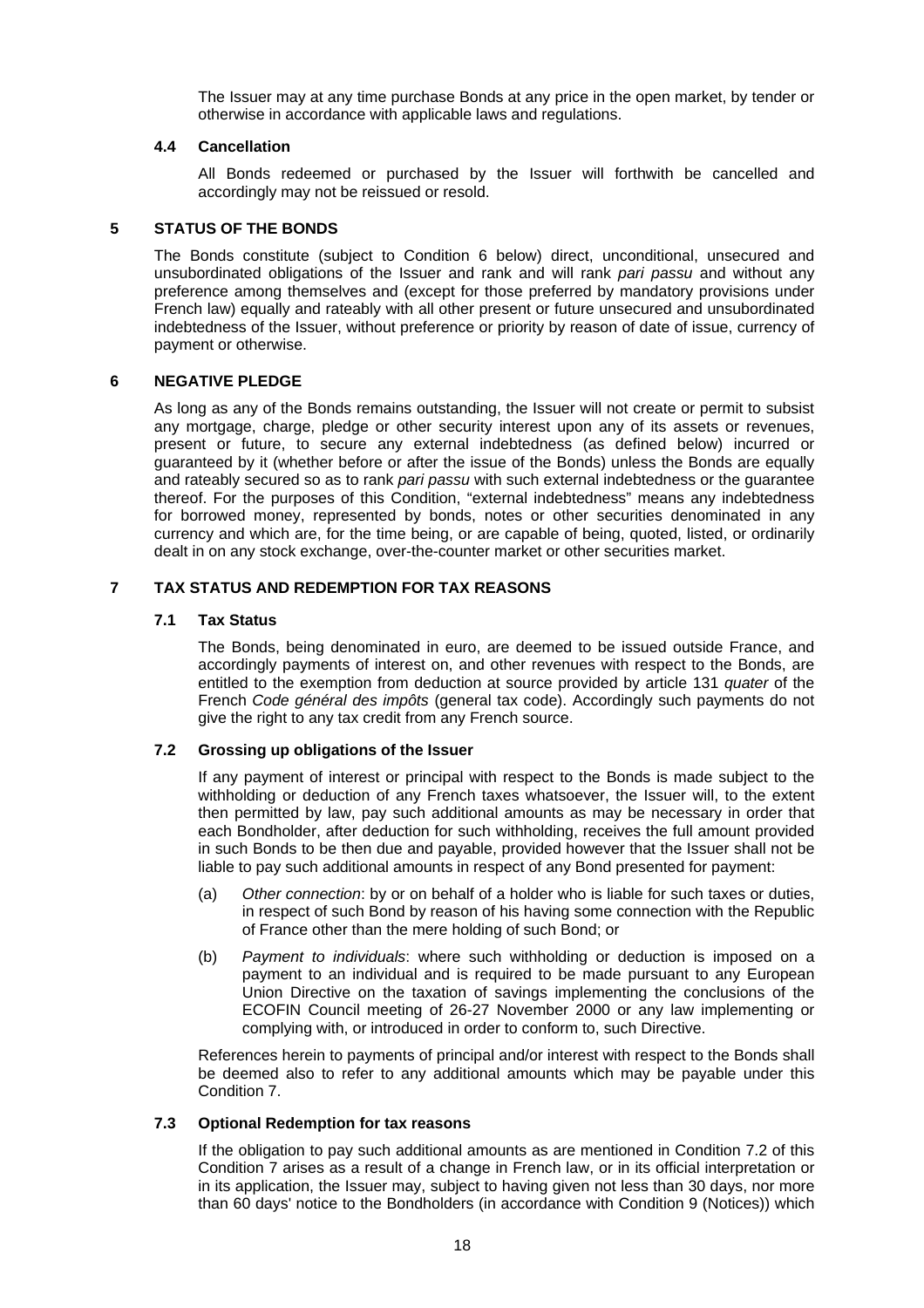The Issuer may at any time purchase Bonds at any price in the open market, by tender or otherwise in accordance with applicable laws and regulations.

# **4.4 Cancellation**

All Bonds redeemed or purchased by the Issuer will forthwith be cancelled and accordingly may not be reissued or resold.

# **5 STATUS OF THE BONDS**

The Bonds constitute (subject to Condition 6 below) direct, unconditional, unsecured and unsubordinated obligations of the Issuer and rank and will rank *pari passu* and without any preference among themselves and (except for those preferred by mandatory provisions under French law) equally and rateably with all other present or future unsecured and unsubordinated indebtedness of the Issuer, without preference or priority by reason of date of issue, currency of payment or otherwise.

# **6 NEGATIVE PLEDGE**

As long as any of the Bonds remains outstanding, the Issuer will not create or permit to subsist any mortgage, charge, pledge or other security interest upon any of its assets or revenues, present or future, to secure any external indebtedness (as defined below) incurred or guaranteed by it (whether before or after the issue of the Bonds) unless the Bonds are equally and rateably secured so as to rank *pari passu* with such external indebtedness or the guarantee thereof. For the purposes of this Condition, "external indebtedness" means any indebtedness for borrowed money, represented by bonds, notes or other securities denominated in any currency and which are, for the time being, or are capable of being, quoted, listed, or ordinarily dealt in on any stock exchange, over-the-counter market or other securities market.

# **7 TAX STATUS AND REDEMPTION FOR TAX REASONS**

# **7.1 Tax Status**

The Bonds, being denominated in euro, are deemed to be issued outside France, and accordingly payments of interest on, and other revenues with respect to the Bonds, are entitled to the exemption from deduction at source provided by article 131 *quater* of the French *Code général des impôts* (general tax code). Accordingly such payments do not give the right to any tax credit from any French source.

# **7.2 Grossing up obligations of the Issuer**

If any payment of interest or principal with respect to the Bonds is made subject to the withholding or deduction of any French taxes whatsoever, the Issuer will, to the extent then permitted by law, pay such additional amounts as may be necessary in order that each Bondholder, after deduction for such withholding, receives the full amount provided in such Bonds to be then due and payable, provided however that the Issuer shall not be liable to pay such additional amounts in respect of any Bond presented for payment:

- (a) *Other connection*: by or on behalf of a holder who is liable for such taxes or duties, in respect of such Bond by reason of his having some connection with the Republic of France other than the mere holding of such Bond; or
- (b) *Payment to individuals*: where such withholding or deduction is imposed on a payment to an individual and is required to be made pursuant to any European Union Directive on the taxation of savings implementing the conclusions of the ECOFIN Council meeting of 26-27 November 2000 or any law implementing or complying with, or introduced in order to conform to, such Directive.

References herein to payments of principal and/or interest with respect to the Bonds shall be deemed also to refer to any additional amounts which may be payable under this Condition 7.

#### **7.3 Optional Redemption for tax reasons**

If the obligation to pay such additional amounts as are mentioned in Condition 7.2 of this Condition 7 arises as a result of a change in French law, or in its official interpretation or in its application, the Issuer may, subject to having given not less than 30 days, nor more than 60 days' notice to the Bondholders (in accordance with Condition 9 (Notices)) which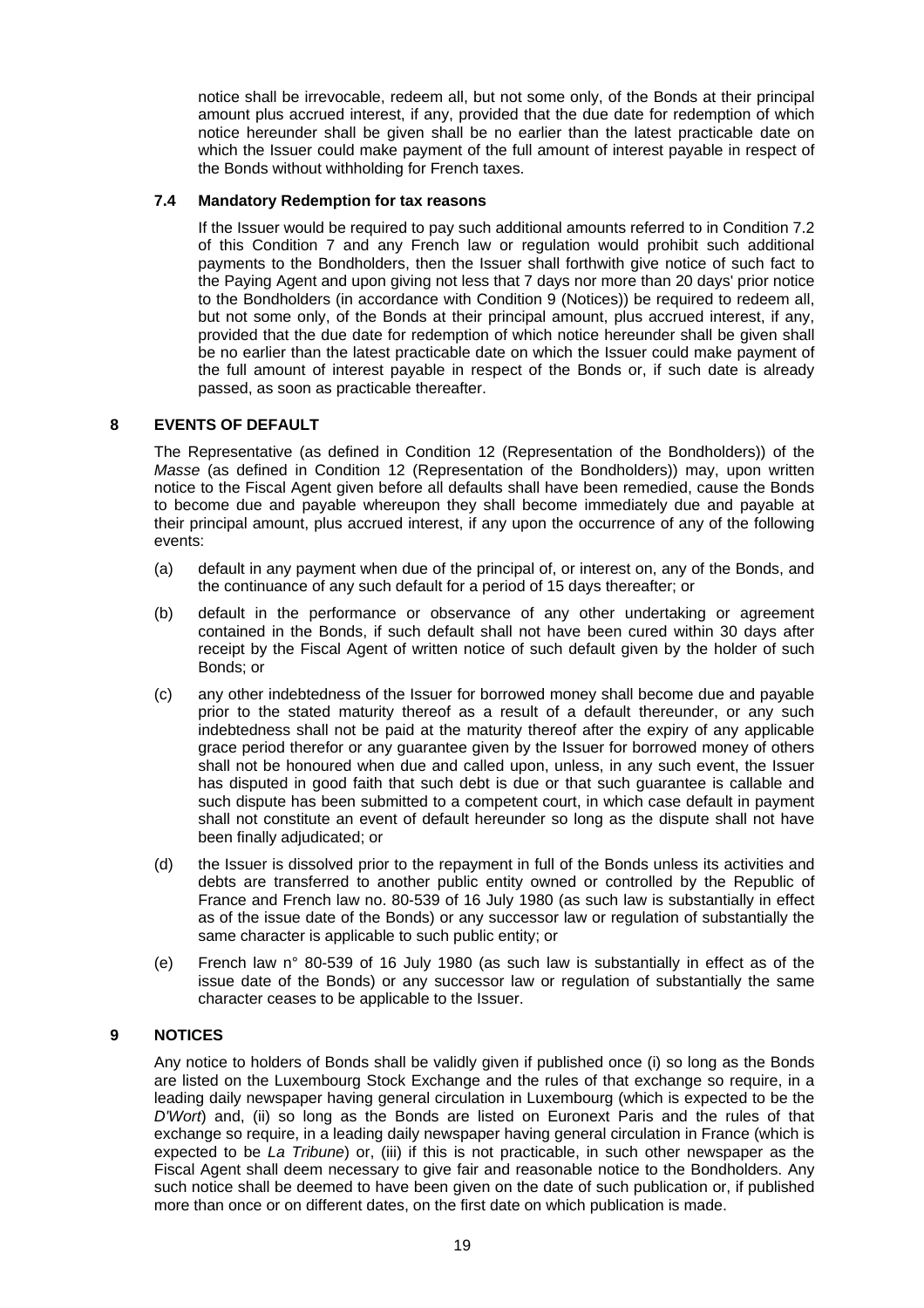notice shall be irrevocable, redeem all, but not some only, of the Bonds at their principal amount plus accrued interest, if any, provided that the due date for redemption of which notice hereunder shall be given shall be no earlier than the latest practicable date on which the Issuer could make payment of the full amount of interest payable in respect of the Bonds without withholding for French taxes.

# **7.4 Mandatory Redemption for tax reasons**

If the Issuer would be required to pay such additional amounts referred to in Condition 7.2 of this Condition 7 and any French law or regulation would prohibit such additional payments to the Bondholders, then the Issuer shall forthwith give notice of such fact to the Paying Agent and upon giving not less that 7 days nor more than 20 days' prior notice to the Bondholders (in accordance with Condition 9 (Notices)) be required to redeem all, but not some only, of the Bonds at their principal amount, plus accrued interest, if any, provided that the due date for redemption of which notice hereunder shall be given shall be no earlier than the latest practicable date on which the Issuer could make payment of the full amount of interest payable in respect of the Bonds or, if such date is already passed, as soon as practicable thereafter.

# **8 EVENTS OF DEFAULT**

The Representative (as defined in Condition 12 (Representation of the Bondholders)) of the *Masse* (as defined in Condition 12 (Representation of the Bondholders)) may, upon written notice to the Fiscal Agent given before all defaults shall have been remedied, cause the Bonds to become due and payable whereupon they shall become immediately due and payable at their principal amount, plus accrued interest, if any upon the occurrence of any of the following events:

- (a) default in any payment when due of the principal of, or interest on, any of the Bonds, and the continuance of any such default for a period of 15 days thereafter; or
- (b) default in the performance or observance of any other undertaking or agreement contained in the Bonds, if such default shall not have been cured within 30 days after receipt by the Fiscal Agent of written notice of such default given by the holder of such Bonds; or
- (c) any other indebtedness of the Issuer for borrowed money shall become due and payable prior to the stated maturity thereof as a result of a default thereunder, or any such indebtedness shall not be paid at the maturity thereof after the expiry of any applicable grace period therefor or any guarantee given by the Issuer for borrowed money of others shall not be honoured when due and called upon, unless, in any such event, the Issuer has disputed in good faith that such debt is due or that such guarantee is callable and such dispute has been submitted to a competent court, in which case default in payment shall not constitute an event of default hereunder so long as the dispute shall not have been finally adjudicated; or
- (d) the Issuer is dissolved prior to the repayment in full of the Bonds unless its activities and debts are transferred to another public entity owned or controlled by the Republic of France and French law no. 80-539 of 16 July 1980 (as such law is substantially in effect as of the issue date of the Bonds) or any successor law or regulation of substantially the same character is applicable to such public entity; or
- (e) French law n° 80-539 of 16 July 1980 (as such law is substantially in effect as of the issue date of the Bonds) or any successor law or regulation of substantially the same character ceases to be applicable to the Issuer.

# **9 NOTICES**

Any notice to holders of Bonds shall be validly given if published once (i) so long as the Bonds are listed on the Luxembourg Stock Exchange and the rules of that exchange so require, in a leading daily newspaper having general circulation in Luxembourg (which is expected to be the *D'Wort*) and, (ii) so long as the Bonds are listed on Euronext Paris and the rules of that exchange so require, in a leading daily newspaper having general circulation in France (which is expected to be *La Tribune*) or, (iii) if this is not practicable, in such other newspaper as the Fiscal Agent shall deem necessary to give fair and reasonable notice to the Bondholders. Any such notice shall be deemed to have been given on the date of such publication or, if published more than once or on different dates, on the first date on which publication is made.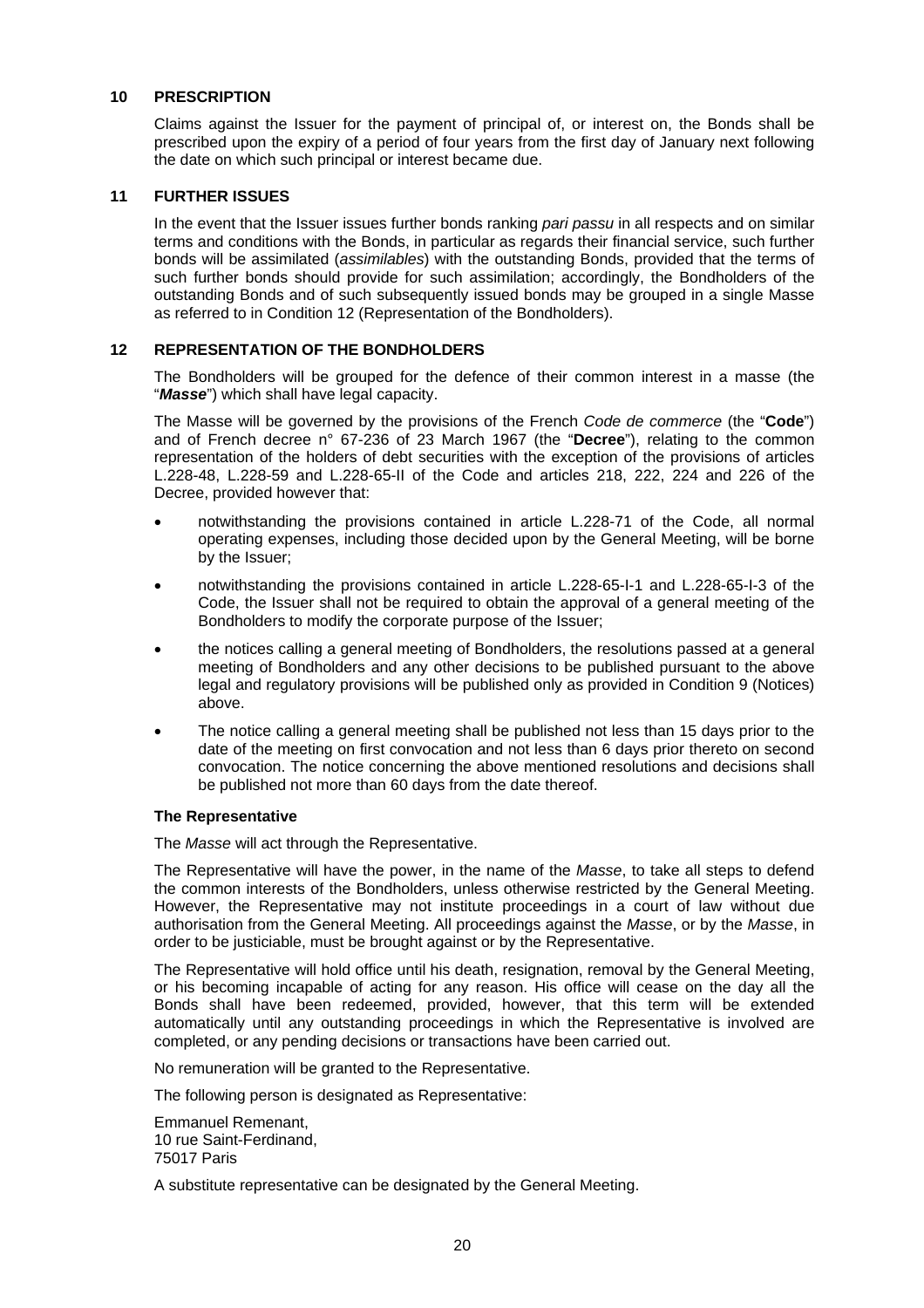#### **10 PRESCRIPTION**

Claims against the Issuer for the payment of principal of, or interest on, the Bonds shall be prescribed upon the expiry of a period of four years from the first day of January next following the date on which such principal or interest became due.

#### **11 FURTHER ISSUES**

In the event that the Issuer issues further bonds ranking *pari passu* in all respects and on similar terms and conditions with the Bonds, in particular as regards their financial service, such further bonds will be assimilated (*assimilables*) with the outstanding Bonds, provided that the terms of such further bonds should provide for such assimilation; accordingly, the Bondholders of the outstanding Bonds and of such subsequently issued bonds may be grouped in a single Masse as referred to in Condition 12 (Representation of the Bondholders).

#### **12 REPRESENTATION OF THE BONDHOLDERS**

The Bondholders will be grouped for the defence of their common interest in a masse (the "*Masse*") which shall have legal capacity.

The Masse will be governed by the provisions of the French *Code de commerce* (the "**Code**") and of French decree n° 67-236 of 23 March 1967 (the "**Decree**"), relating to the common representation of the holders of debt securities with the exception of the provisions of articles L.228-48, L.228-59 and L.228-65-II of the Code and articles 218, 222, 224 and 226 of the Decree, provided however that:

- notwithstanding the provisions contained in article L.228-71 of the Code, all normal operating expenses, including those decided upon by the General Meeting, will be borne by the Issuer;
- notwithstanding the provisions contained in article L.228-65-I-1 and L.228-65-I-3 of the Code, the Issuer shall not be required to obtain the approval of a general meeting of the Bondholders to modify the corporate purpose of the Issuer;
- the notices calling a general meeting of Bondholders, the resolutions passed at a general meeting of Bondholders and any other decisions to be published pursuant to the above legal and regulatory provisions will be published only as provided in Condition 9 (Notices) above.
- The notice calling a general meeting shall be published not less than 15 days prior to the date of the meeting on first convocation and not less than 6 days prior thereto on second convocation. The notice concerning the above mentioned resolutions and decisions shall be published not more than 60 days from the date thereof.

#### **The Representative**

The *Masse* will act through the Representative.

The Representative will have the power, in the name of the *Masse*, to take all steps to defend the common interests of the Bondholders, unless otherwise restricted by the General Meeting. However, the Representative may not institute proceedings in a court of law without due authorisation from the General Meeting. All proceedings against the *Masse*, or by the *Masse*, in order to be justiciable, must be brought against or by the Representative.

The Representative will hold office until his death, resignation, removal by the General Meeting, or his becoming incapable of acting for any reason. His office will cease on the day all the Bonds shall have been redeemed, provided, however, that this term will be extended automatically until any outstanding proceedings in which the Representative is involved are completed, or any pending decisions or transactions have been carried out.

No remuneration will be granted to the Representative.

The following person is designated as Representative:

Emmanuel Remenant, 10 rue Saint-Ferdinand, 75017 Paris

A substitute representative can be designated by the General Meeting.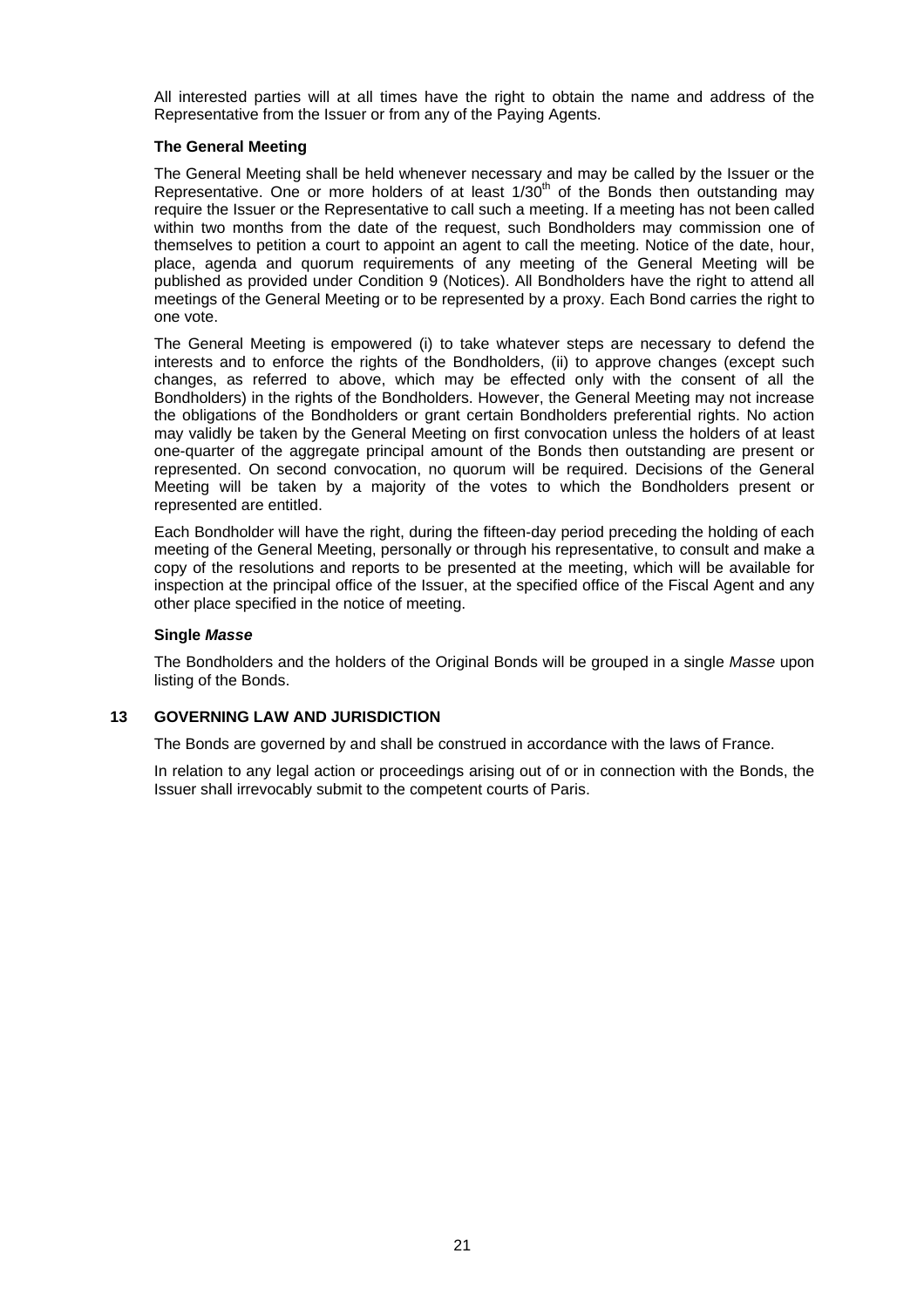All interested parties will at all times have the right to obtain the name and address of the Representative from the Issuer or from any of the Paying Agents.

# **The General Meeting**

The General Meeting shall be held whenever necessary and may be called by the Issuer or the Representative. One or more holders of at least  $1/30<sup>th</sup>$  of the Bonds then outstanding may require the Issuer or the Representative to call such a meeting. If a meeting has not been called within two months from the date of the request, such Bondholders may commission one of themselves to petition a court to appoint an agent to call the meeting. Notice of the date, hour, place, agenda and quorum requirements of any meeting of the General Meeting will be published as provided under Condition 9 (Notices). All Bondholders have the right to attend all meetings of the General Meeting or to be represented by a proxy. Each Bond carries the right to one vote.

The General Meeting is empowered (i) to take whatever steps are necessary to defend the interests and to enforce the rights of the Bondholders, (ii) to approve changes (except such changes, as referred to above, which may be effected only with the consent of all the Bondholders) in the rights of the Bondholders. However, the General Meeting may not increase the obligations of the Bondholders or grant certain Bondholders preferential rights. No action may validly be taken by the General Meeting on first convocation unless the holders of at least one-quarter of the aggregate principal amount of the Bonds then outstanding are present or represented. On second convocation, no quorum will be required. Decisions of the General Meeting will be taken by a majority of the votes to which the Bondholders present or represented are entitled.

Each Bondholder will have the right, during the fifteen-day period preceding the holding of each meeting of the General Meeting, personally or through his representative, to consult and make a copy of the resolutions and reports to be presented at the meeting, which will be available for inspection at the principal office of the Issuer, at the specified office of the Fiscal Agent and any other place specified in the notice of meeting.

# **Single** *Masse*

The Bondholders and the holders of the Original Bonds will be grouped in a single *Masse* upon listing of the Bonds.

# **13 GOVERNING LAW AND JURISDICTION**

The Bonds are governed by and shall be construed in accordance with the laws of France.

In relation to any legal action or proceedings arising out of or in connection with the Bonds, the Issuer shall irrevocably submit to the competent courts of Paris.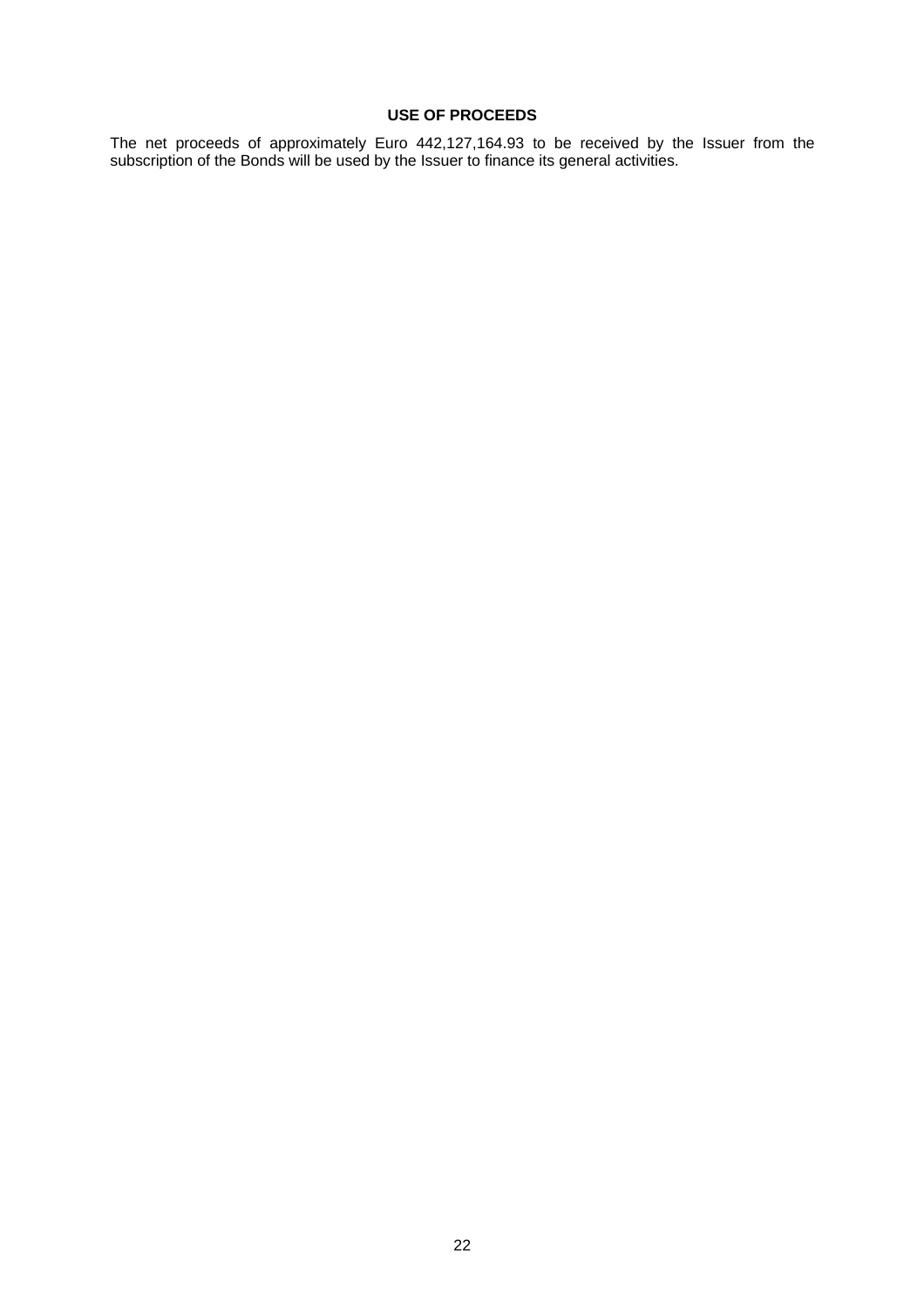# **USE OF PROCEEDS**

The net proceeds of approximately Euro 442,127,164.93 to be received by the Issuer from the subscription of the Bonds will be used by the Issuer to finance its general activities.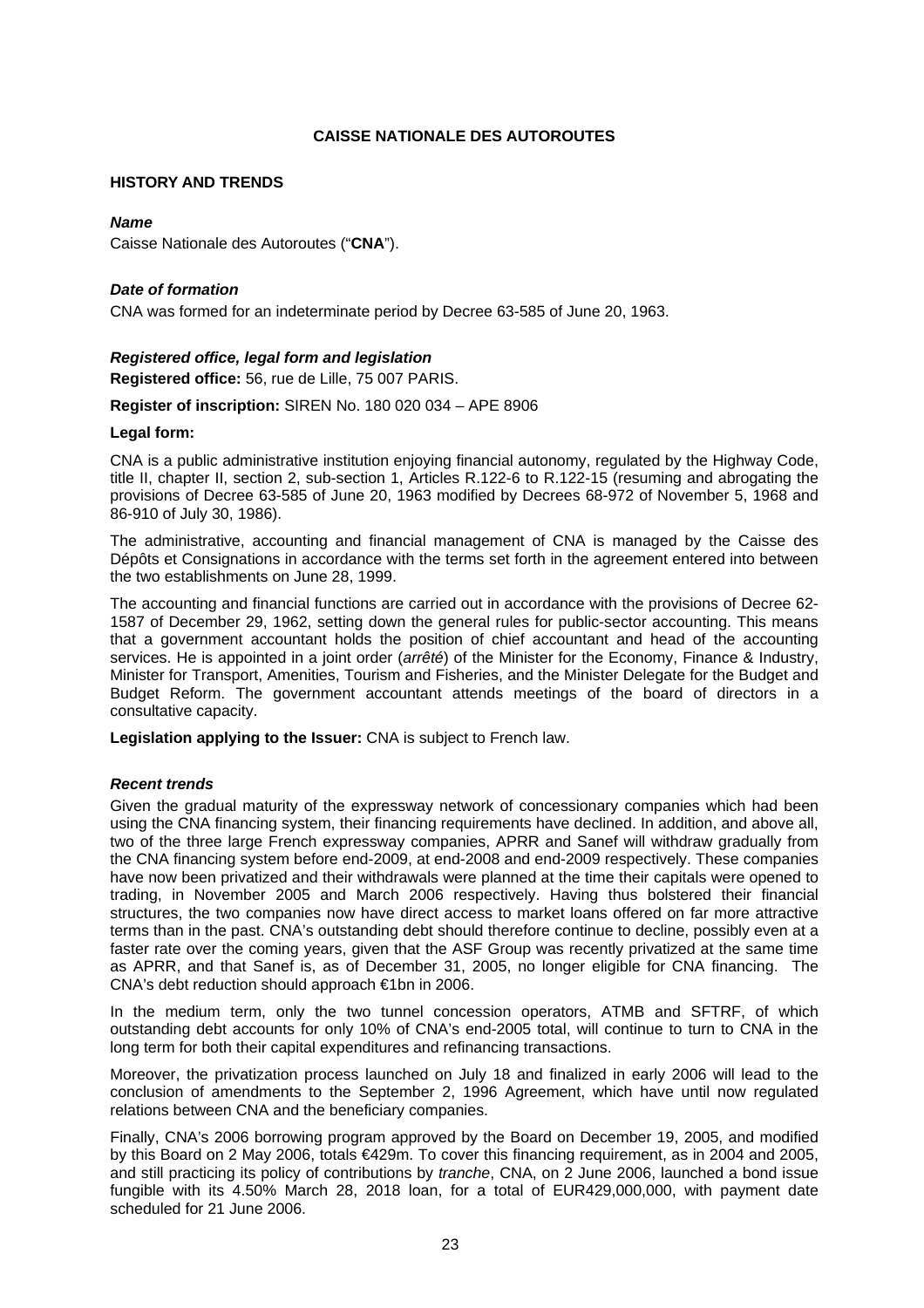# **CAISSE NATIONALE DES AUTOROUTES**

#### **HISTORY AND TRENDS**

# *Name*

Caisse Nationale des Autoroutes ("**CNA**").

# *Date of formation*

CNA was formed for an indeterminate period by Decree 63-585 of June 20, 1963.

# *Registered office, legal form and legislation*

**Registered office:** 56, rue de Lille, 75 007 PARIS.

**Register of inscription:** SIREN No. 180 020 034 – APE 8906

#### **Legal form:**

CNA is a public administrative institution enjoying financial autonomy, regulated by the Highway Code, title II, chapter II, section 2, sub-section 1, Articles R.122-6 to R.122-15 (resuming and abrogating the provisions of Decree 63-585 of June 20, 1963 modified by Decrees 68-972 of November 5, 1968 and 86-910 of July 30, 1986).

The administrative, accounting and financial management of CNA is managed by the Caisse des Dépôts et Consignations in accordance with the terms set forth in the agreement entered into between the two establishments on June 28, 1999.

The accounting and financial functions are carried out in accordance with the provisions of Decree 62- 1587 of December 29, 1962, setting down the general rules for public-sector accounting. This means that a government accountant holds the position of chief accountant and head of the accounting services. He is appointed in a joint order (*arrêté*) of the Minister for the Economy, Finance & Industry, Minister for Transport, Amenities, Tourism and Fisheries, and the Minister Delegate for the Budget and Budget Reform. The government accountant attends meetings of the board of directors in a consultative capacity.

**Legislation applying to the Issuer:** CNA is subject to French law.

#### *Recent trends*

Given the gradual maturity of the expressway network of concessionary companies which had been using the CNA financing system, their financing requirements have declined. In addition, and above all, two of the three large French expressway companies, APRR and Sanef will withdraw gradually from the CNA financing system before end-2009, at end-2008 and end-2009 respectively. These companies have now been privatized and their withdrawals were planned at the time their capitals were opened to trading, in November 2005 and March 2006 respectively. Having thus bolstered their financial structures, the two companies now have direct access to market loans offered on far more attractive terms than in the past. CNA's outstanding debt should therefore continue to decline, possibly even at a faster rate over the coming years, given that the ASF Group was recently privatized at the same time as APRR, and that Sanef is, as of December 31, 2005, no longer eligible for CNA financing. The CNA's debt reduction should approach €1bn in 2006.

In the medium term, only the two tunnel concession operators, ATMB and SFTRF, of which outstanding debt accounts for only 10% of CNA's end-2005 total, will continue to turn to CNA in the long term for both their capital expenditures and refinancing transactions.

Moreover, the privatization process launched on July 18 and finalized in early 2006 will lead to the conclusion of amendments to the September 2, 1996 Agreement, which have until now regulated relations between CNA and the beneficiary companies.

Finally, CNA's 2006 borrowing program approved by the Board on December 19, 2005, and modified by this Board on 2 May 2006, totals €429m. To cover this financing requirement, as in 2004 and 2005, and still practicing its policy of contributions by *tranche*, CNA, on 2 June 2006, launched a bond issue fungible with its 4.50% March 28, 2018 loan, for a total of EUR429,000,000, with payment date scheduled for 21 June 2006.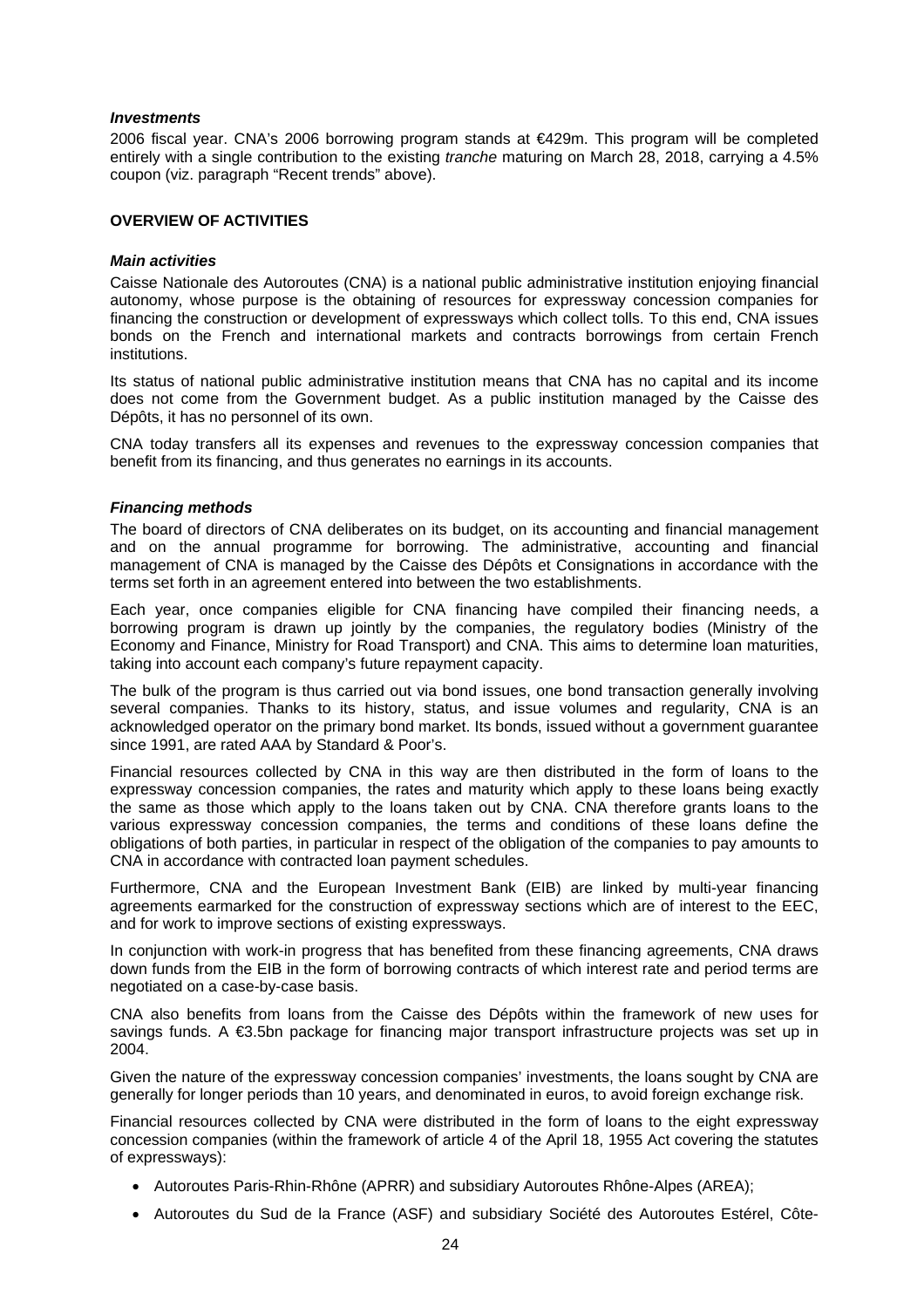#### *Investments*

2006 fiscal year. CNA's 2006 borrowing program stands at €429m. This program will be completed entirely with a single contribution to the existing *tranche* maturing on March 28, 2018, carrying a 4.5% coupon (viz. paragraph "Recent trends" above).

# **OVERVIEW OF ACTIVITIES**

#### *Main activities*

Caisse Nationale des Autoroutes (CNA) is a national public administrative institution enjoying financial autonomy, whose purpose is the obtaining of resources for expressway concession companies for financing the construction or development of expressways which collect tolls. To this end, CNA issues bonds on the French and international markets and contracts borrowings from certain French institutions.

Its status of national public administrative institution means that CNA has no capital and its income does not come from the Government budget. As a public institution managed by the Caisse des Dépôts, it has no personnel of its own.

CNA today transfers all its expenses and revenues to the expressway concession companies that benefit from its financing, and thus generates no earnings in its accounts.

# *Financing methods*

The board of directors of CNA deliberates on its budget, on its accounting and financial management and on the annual programme for borrowing. The administrative, accounting and financial management of CNA is managed by the Caisse des Dépôts et Consignations in accordance with the terms set forth in an agreement entered into between the two establishments.

Each year, once companies eligible for CNA financing have compiled their financing needs, a borrowing program is drawn up jointly by the companies, the regulatory bodies (Ministry of the Economy and Finance, Ministry for Road Transport) and CNA. This aims to determine loan maturities, taking into account each company's future repayment capacity.

The bulk of the program is thus carried out via bond issues, one bond transaction generally involving several companies. Thanks to its history, status, and issue volumes and regularity, CNA is an acknowledged operator on the primary bond market. Its bonds, issued without a government guarantee since 1991, are rated AAA by Standard & Poor's.

Financial resources collected by CNA in this way are then distributed in the form of loans to the expressway concession companies, the rates and maturity which apply to these loans being exactly the same as those which apply to the loans taken out by CNA. CNA therefore grants loans to the various expressway concession companies, the terms and conditions of these loans define the obligations of both parties, in particular in respect of the obligation of the companies to pay amounts to CNA in accordance with contracted loan payment schedules.

Furthermore, CNA and the European Investment Bank (EIB) are linked by multi-year financing agreements earmarked for the construction of expressway sections which are of interest to the EEC, and for work to improve sections of existing expressways.

In conjunction with work-in progress that has benefited from these financing agreements, CNA draws down funds from the EIB in the form of borrowing contracts of which interest rate and period terms are negotiated on a case-by-case basis.

CNA also benefits from loans from the Caisse des Dépôts within the framework of new uses for savings funds. A €3.5bn package for financing major transport infrastructure projects was set up in 2004.

Given the nature of the expressway concession companies' investments, the loans sought by CNA are generally for longer periods than 10 years, and denominated in euros, to avoid foreign exchange risk.

Financial resources collected by CNA were distributed in the form of loans to the eight expressway concession companies (within the framework of article 4 of the April 18, 1955 Act covering the statutes of expressways):

- Autoroutes Paris-Rhin-Rhône (APRR) and subsidiary Autoroutes Rhône-Alpes (AREA);
- Autoroutes du Sud de la France (ASF) and subsidiary Société des Autoroutes Estérel, Côte-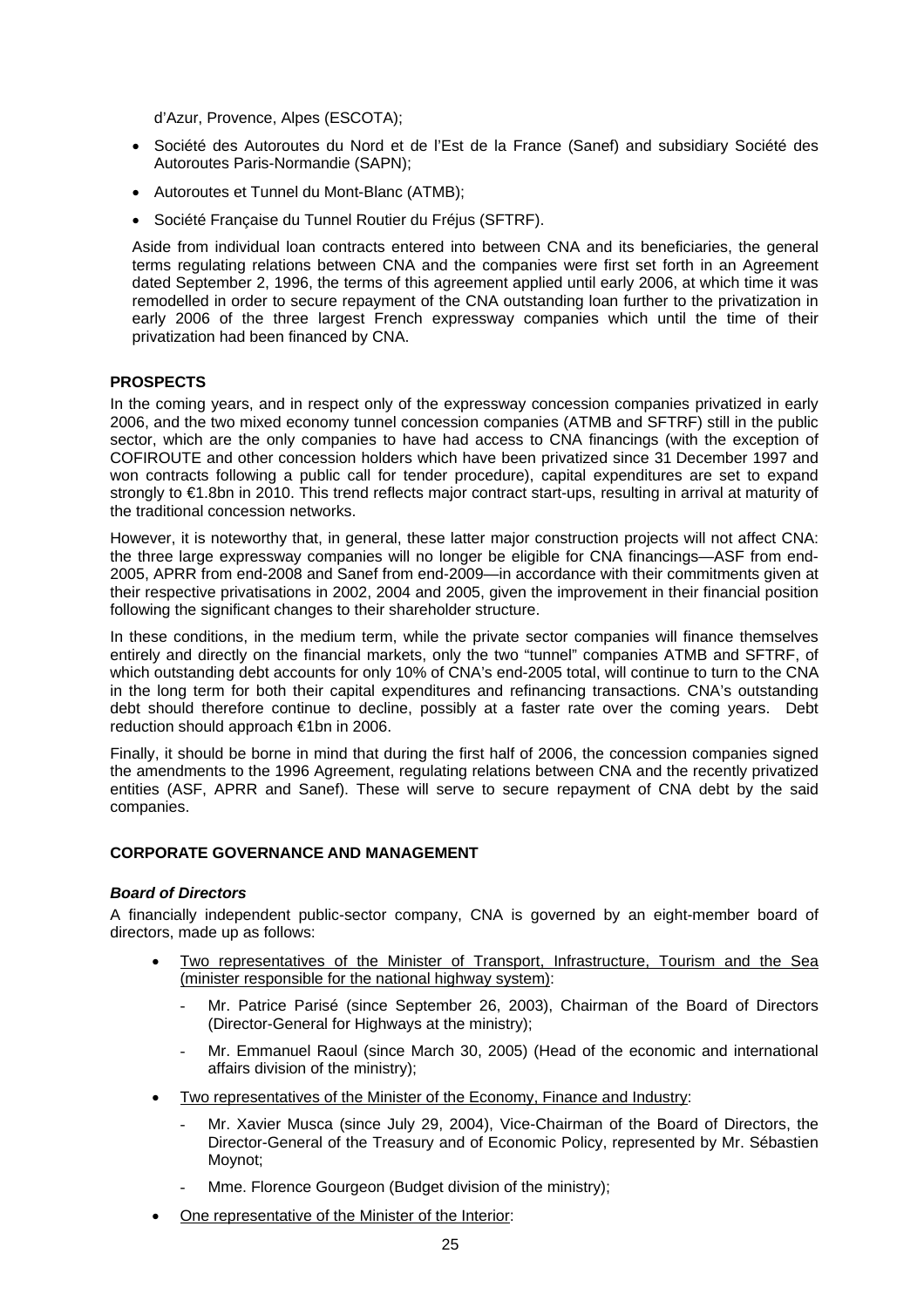d'Azur, Provence, Alpes (ESCOTA);

- Société des Autoroutes du Nord et de l'Est de la France (Sanef) and subsidiary Société des Autoroutes Paris-Normandie (SAPN);
- Autoroutes et Tunnel du Mont-Blanc (ATMB);
- Société Française du Tunnel Routier du Fréjus (SFTRF).

Aside from individual loan contracts entered into between CNA and its beneficiaries, the general terms regulating relations between CNA and the companies were first set forth in an Agreement dated September 2, 1996, the terms of this agreement applied until early 2006, at which time it was remodelled in order to secure repayment of the CNA outstanding loan further to the privatization in early 2006 of the three largest French expressway companies which until the time of their privatization had been financed by CNA.

# **PROSPECTS**

In the coming years, and in respect only of the expressway concession companies privatized in early 2006, and the two mixed economy tunnel concession companies (ATMB and SFTRF) still in the public sector, which are the only companies to have had access to CNA financings (with the exception of COFIROUTE and other concession holders which have been privatized since 31 December 1997 and won contracts following a public call for tender procedure), capital expenditures are set to expand strongly to €1.8bn in 2010. This trend reflects major contract start-ups, resulting in arrival at maturity of the traditional concession networks.

However, it is noteworthy that, in general, these latter major construction projects will not affect CNA: the three large expressway companies will no longer be eligible for CNA financings—ASF from end-2005, APRR from end-2008 and Sanef from end-2009—in accordance with their commitments given at their respective privatisations in 2002, 2004 and 2005, given the improvement in their financial position following the significant changes to their shareholder structure.

In these conditions, in the medium term, while the private sector companies will finance themselves entirely and directly on the financial markets, only the two "tunnel" companies ATMB and SFTRF, of which outstanding debt accounts for only 10% of CNA's end-2005 total, will continue to turn to the CNA in the long term for both their capital expenditures and refinancing transactions. CNA's outstanding debt should therefore continue to decline, possibly at a faster rate over the coming years. Debt reduction should approach €1bn in 2006.

Finally, it should be borne in mind that during the first half of 2006, the concession companies signed the amendments to the 1996 Agreement, regulating relations between CNA and the recently privatized entities (ASF, APRR and Sanef). These will serve to secure repayment of CNA debt by the said companies.

#### **CORPORATE GOVERNANCE AND MANAGEMENT**

#### *Board of Directors*

A financially independent public-sector company, CNA is governed by an eight-member board of directors, made up as follows:

- Two representatives of the Minister of Transport, Infrastructure, Tourism and the Sea (minister responsible for the national highway system):
	- Mr. Patrice Parisé (since September 26, 2003), Chairman of the Board of Directors (Director-General for Highways at the ministry);
	- Mr. Emmanuel Raoul (since March 30, 2005) (Head of the economic and international affairs division of the ministry);
- Two representatives of the Minister of the Economy, Finance and Industry:
	- Mr. Xavier Musca (since July 29, 2004), Vice-Chairman of the Board of Directors, the Director-General of the Treasury and of Economic Policy, represented by Mr. Sébastien Moynot;
	- Mme. Florence Gourgeon (Budget division of the ministry);
- One representative of the Minister of the Interior: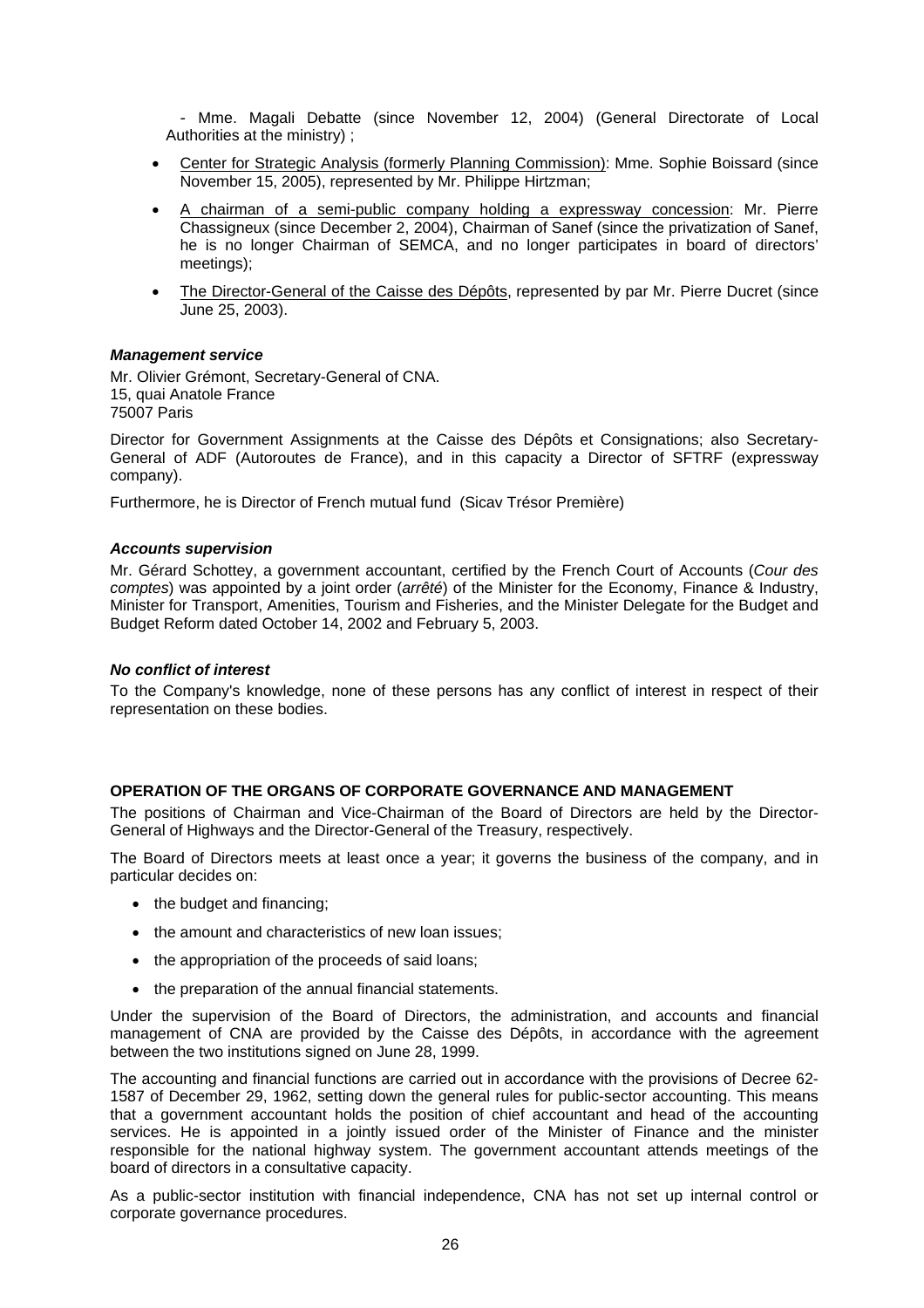- Mme. Magali Debatte (since November 12, 2004) (General Directorate of Local Authorities at the ministry) ;

- Center for Strategic Analysis (formerly Planning Commission): Mme. Sophie Boissard (since November 15, 2005), represented by Mr. Philippe Hirtzman;
- A chairman of a semi-public company holding a expressway concession: Mr. Pierre Chassigneux (since December 2, 2004), Chairman of Sanef (since the privatization of Sanef, he is no longer Chairman of SEMCA, and no longer participates in board of directors' meetings);
- The Director-General of the Caisse des Dépôts, represented by par Mr. Pierre Ducret (since June 25, 2003).

#### *Management service*

Mr. Olivier Grémont, Secretary-General of CNA. 15, quai Anatole France 75007 Paris

Director for Government Assignments at the Caisse des Dépôts et Consignations; also Secretary-General of ADF (Autoroutes de France), and in this capacity a Director of SFTRF (expressway company).

Furthermore, he is Director of French mutual fund (Sicav Trésor Première)

#### *Accounts supervision*

Mr. Gérard Schottey, a government accountant, certified by the French Court of Accounts (*Cour des comptes*) was appointed by a joint order (*arrêté*) of the Minister for the Economy, Finance & Industry, Minister for Transport, Amenities, Tourism and Fisheries, and the Minister Delegate for the Budget and Budget Reform dated October 14, 2002 and February 5, 2003.

#### *No conflict of interest*

To the Company's knowledge, none of these persons has any conflict of interest in respect of their representation on these bodies.

# **OPERATION OF THE ORGANS OF CORPORATE GOVERNANCE AND MANAGEMENT**

The positions of Chairman and Vice-Chairman of the Board of Directors are held by the Director-General of Highways and the Director-General of the Treasury, respectively.

The Board of Directors meets at least once a year; it governs the business of the company, and in particular decides on:

- the budget and financing;
- the amount and characteristics of new loan issues;
- the appropriation of the proceeds of said loans;
- the preparation of the annual financial statements.

Under the supervision of the Board of Directors, the administration, and accounts and financial management of CNA are provided by the Caisse des Dépôts, in accordance with the agreement between the two institutions signed on June 28, 1999.

The accounting and financial functions are carried out in accordance with the provisions of Decree 62- 1587 of December 29, 1962, setting down the general rules for public-sector accounting. This means that a government accountant holds the position of chief accountant and head of the accounting services. He is appointed in a jointly issued order of the Minister of Finance and the minister responsible for the national highway system. The government accountant attends meetings of the board of directors in a consultative capacity.

As a public-sector institution with financial independence, CNA has not set up internal control or corporate governance procedures.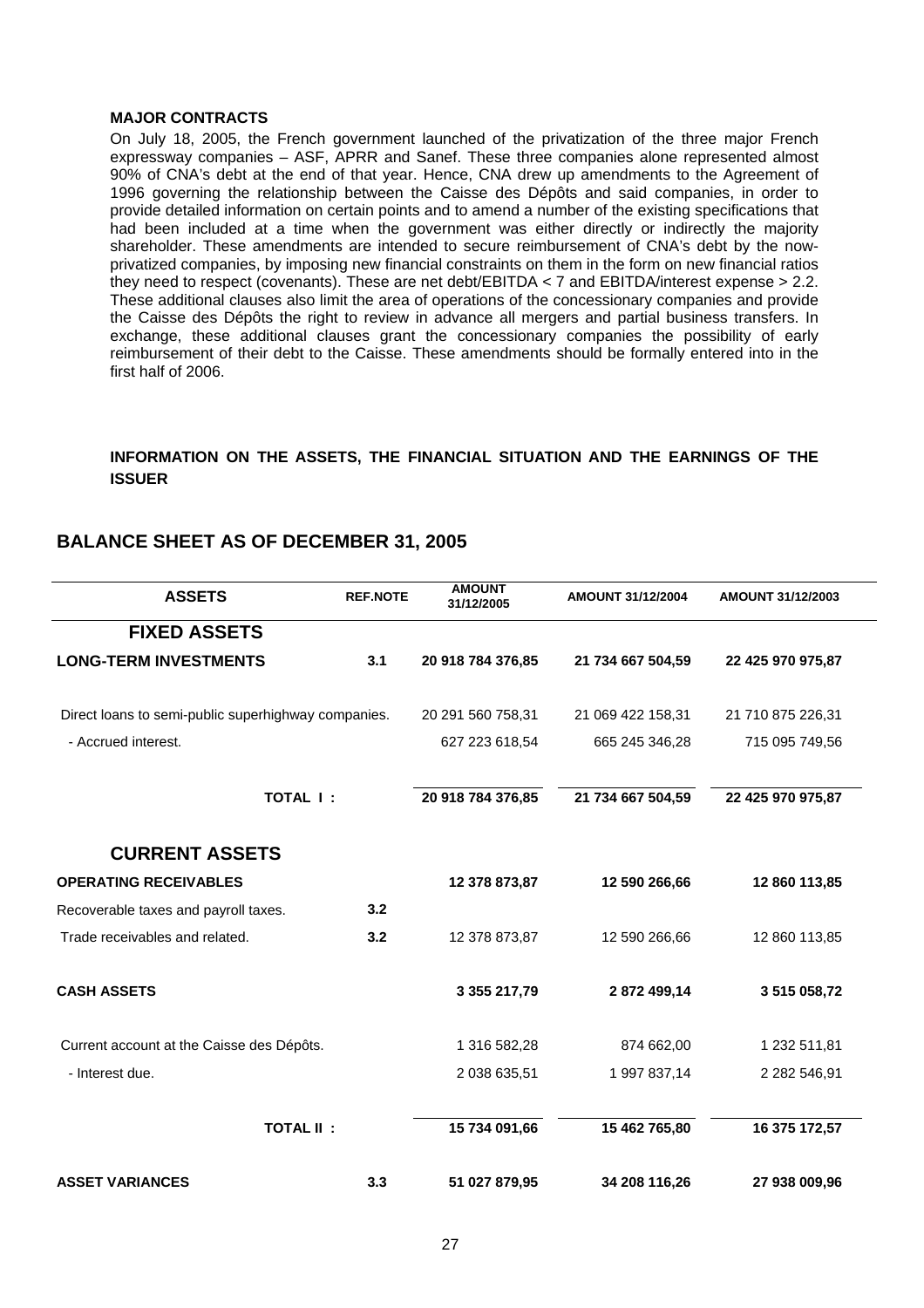#### **MAJOR CONTRACTS**

On July 18, 2005, the French government launched of the privatization of the three major French expressway companies – ASF, APRR and Sanef. These three companies alone represented almost 90% of CNA's debt at the end of that year. Hence, CNA drew up amendments to the Agreement of 1996 governing the relationship between the Caisse des Dépôts and said companies, in order to provide detailed information on certain points and to amend a number of the existing specifications that had been included at a time when the government was either directly or indirectly the majority shareholder. These amendments are intended to secure reimbursement of CNA's debt by the nowprivatized companies, by imposing new financial constraints on them in the form on new financial ratios they need to respect (covenants). These are net debt/EBITDA < 7 and EBITDA/interest expense > 2.2. These additional clauses also limit the area of operations of the concessionary companies and provide the Caisse des Dépôts the right to review in advance all mergers and partial business transfers. In exchange, these additional clauses grant the concessionary companies the possibility of early reimbursement of their debt to the Caisse. These amendments should be formally entered into in the first half of 2006.

# **INFORMATION ON THE ASSETS, THE FINANCIAL SITUATION AND THE EARNINGS OF THE ISSUER**

# **BALANCE SHEET AS OF DECEMBER 31, 2005**

| <b>ASSETS</b>                                       | <b>REF.NOTE</b> | <b>AMOUNT</b><br>31/12/2005 | AMOUNT 31/12/2004 | AMOUNT 31/12/2003 |
|-----------------------------------------------------|-----------------|-----------------------------|-------------------|-------------------|
| <b>FIXED ASSETS</b>                                 |                 |                             |                   |                   |
| <b>LONG-TERM INVESTMENTS</b>                        | 3.1             | 20 918 784 376,85           | 21 734 667 504,59 | 22 425 970 975,87 |
| Direct loans to semi-public superhighway companies. |                 | 20 291 560 758,31           | 21 069 422 158,31 | 21 710 875 226,31 |
| - Accrued interest.                                 |                 | 627 223 618,54              | 665 245 346,28    | 715 095 749,56    |
| <b>TOTAL I:</b>                                     |                 | 20 918 784 376,85           | 21 734 667 504,59 | 22 425 970 975,87 |
| <b>CURRENT ASSETS</b>                               |                 |                             |                   |                   |
| <b>OPERATING RECEIVABLES</b>                        |                 | 12 378 873,87               | 12 590 266,66     | 12 860 113,85     |
| Recoverable taxes and payroll taxes.                | 3.2             |                             |                   |                   |
| Trade receivables and related.                      | 3.2             | 12 378 873,87               | 12 590 266,66     | 12 860 113,85     |
| <b>CASH ASSETS</b>                                  |                 | 3 355 217,79                | 2872499,14        | 3 515 058,72      |
| Current account at the Caisse des Dépôts.           |                 | 1 316 582,28                | 874 662,00        | 1 232 511,81      |
| - Interest due.                                     |                 | 2 038 635,51                | 1 997 837,14      | 2 282 546,91      |
| <b>TOTAL II:</b>                                    |                 | 15 734 091,66               | 15 462 765,80     | 16 375 172,57     |
| <b>ASSET VARIANCES</b>                              | 3.3             | 51 027 879,95               | 34 208 116,26     | 27 938 009,96     |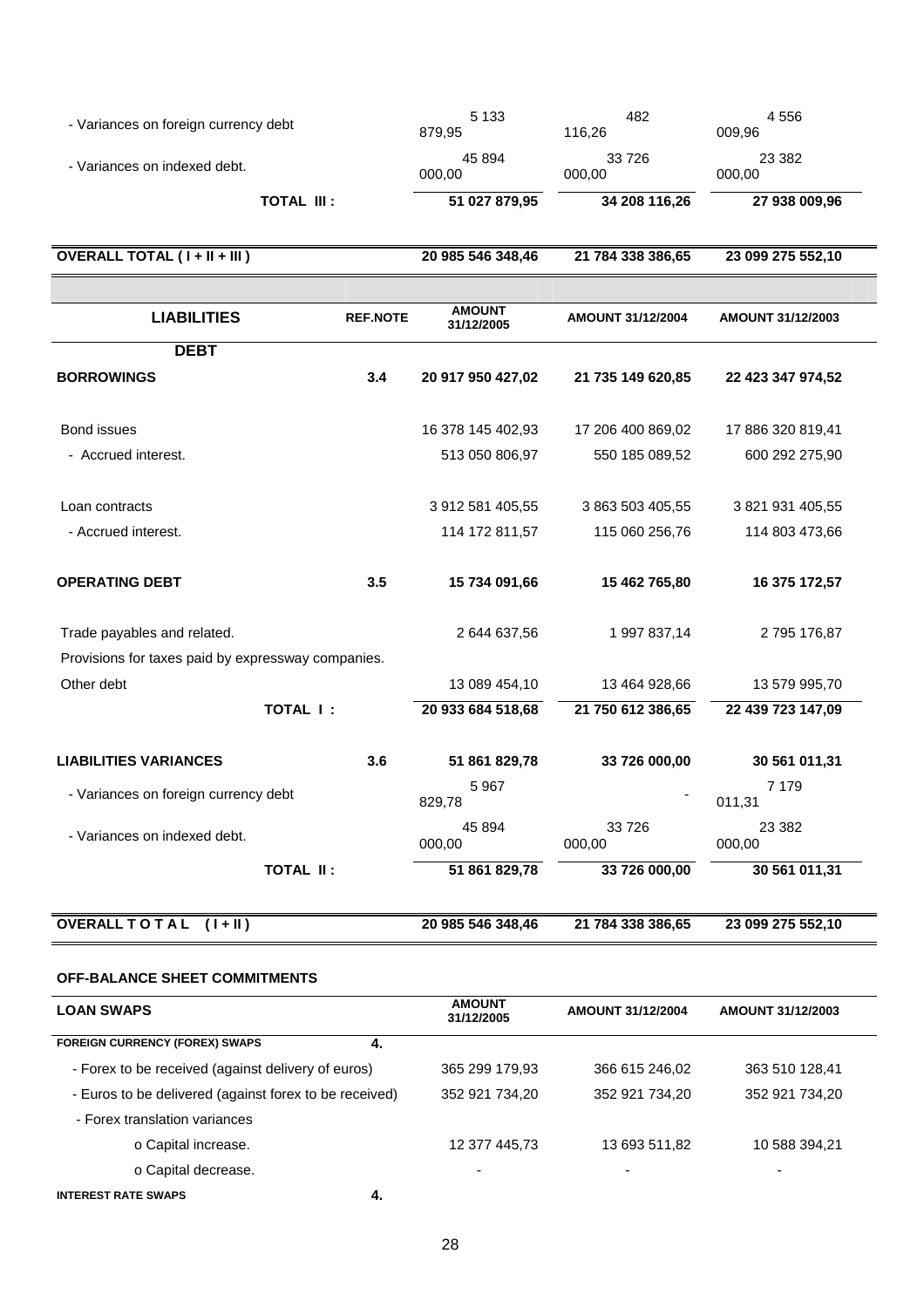| - Variances on foreign currency debt               |                 | 5 1 3 3<br>879,95           | 482<br>116,26     | 4556<br>009,96           |
|----------------------------------------------------|-----------------|-----------------------------|-------------------|--------------------------|
| - Variances on indexed debt.                       |                 | 45 894<br>000,00            | 33 7 26<br>000,00 | 23 3 8 2<br>000,00       |
| <b>TOTAL III:</b>                                  |                 | 51 027 879,95               | 34 208 116,26     | 27 938 009,96            |
| OVERALL TOTAL (I + II + III )                      |                 | 20 985 546 348,46           | 21 784 338 386,65 | 23 099 275 552,10        |
|                                                    |                 |                             |                   |                          |
| <b>LIABILITIES</b>                                 | <b>REF.NOTE</b> | <b>AMOUNT</b><br>31/12/2005 | AMOUNT 31/12/2004 | <b>AMOUNT 31/12/2003</b> |
| <b>DEBT</b>                                        |                 |                             |                   |                          |
| <b>BORROWINGS</b>                                  | 3.4             | 20 917 950 427,02           | 21 735 149 620,85 | 22 423 347 974,52        |
| Bond issues                                        |                 | 16 378 145 402,93           | 17 206 400 869,02 | 17 886 320 819,41        |
| - Accrued interest.                                |                 | 513 050 806,97              | 550 185 089,52    | 600 292 275,90           |
| Loan contracts                                     |                 | 3 912 581 405,55            | 3 863 503 405,55  | 3 821 931 405,55         |
| - Accrued interest.                                |                 | 114 172 811,57              | 115 060 256,76    | 114 803 473,66           |
| <b>OPERATING DEBT</b>                              | 3.5             | 15 734 091,66               | 15 462 765,80     | 16 375 172,57            |
| Trade payables and related.                        |                 | 2 644 637,56                | 1 997 837,14      | 2 795 176,87             |
| Provisions for taxes paid by expressway companies. |                 |                             |                   |                          |
| Other debt                                         |                 | 13 089 454,10               | 13 464 928,66     | 13 579 995,70            |
| TOTAL I:                                           |                 | 20 933 684 518,68           | 21 750 612 386,65 | 22 439 723 147,09        |
| <b>LIABILITIES VARIANCES</b>                       | 3.6             | 51 861 829,78               | 33 726 000,00     | 30 561 011,31            |
| - Variances on foreign currency debt               |                 | 5967<br>829,78              |                   | 7 1 7 9<br>011,31        |
| - Variances on indexed debt.                       |                 | 45 894<br>000,00            | 33726<br>000,00   | 23 3 8 2<br>000,00       |
| <b>TOTAL II:</b>                                   |                 | 51 861 829,78               | 33 726 000,00     | 30 561 011,31            |
| OVERALL TOTAL (I+II)                               |                 | 20 985 546 348,46           | 21 784 338 386,65 | 23 099 275 552,10        |

# **OFF-BALANCE SHEET COMMITMENTS**

| <b>LOAN SWAPS</b>                                      | <b>AMOUNT</b><br>31/12/2005 | AMOUNT 31/12/2004 | AMOUNT 31/12/2003 |
|--------------------------------------------------------|-----------------------------|-------------------|-------------------|
| <b>FOREIGN CURRENCY (FOREX) SWAPS</b><br>-4.           |                             |                   |                   |
| - Forex to be received (against delivery of euros)     | 365 299 179,93              | 366 615 246,02    | 363 510 128,41    |
| - Euros to be delivered (against forex to be received) | 352 921 734,20              | 352 921 734,20    | 352 921 734,20    |
| - Forex translation variances                          |                             |                   |                   |
| o Capital increase.                                    | 12 377 445,73               | 13 693 511,82     | 10 588 394,21     |
| o Capital decrease.                                    | -                           | -                 |                   |
| $\overline{\phantom{a}}$                               |                             |                   |                   |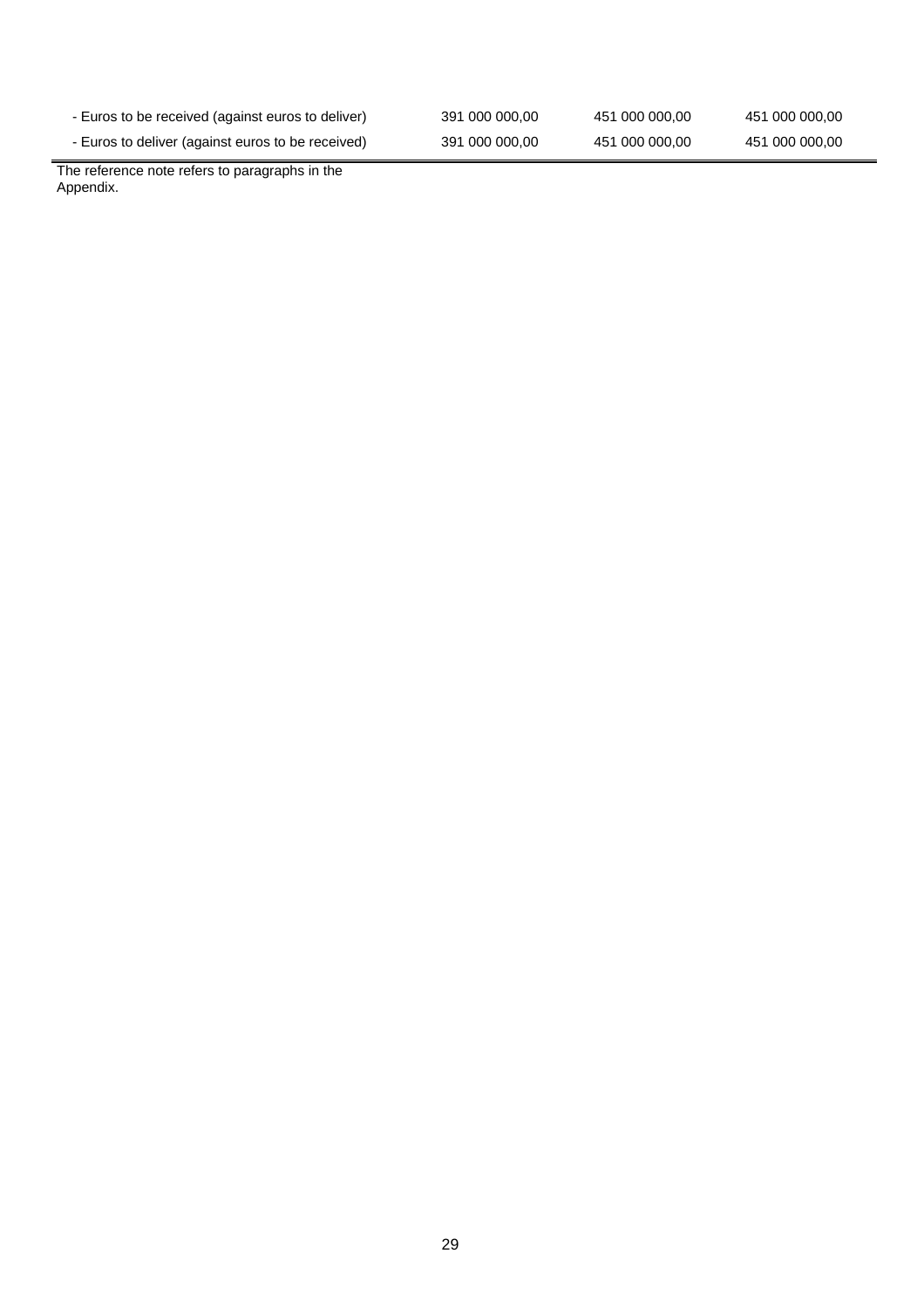| - Euros to be received (against euros to deliver) | 391 000 000,00 | 451 000 000,00 | 451 000 000,00 |
|---------------------------------------------------|----------------|----------------|----------------|
| - Euros to deliver (against euros to be received) | 391 000 000,00 | 451 000 000,00 | 451 000 000,00 |

The reference note refers to paragraphs in the Appendix.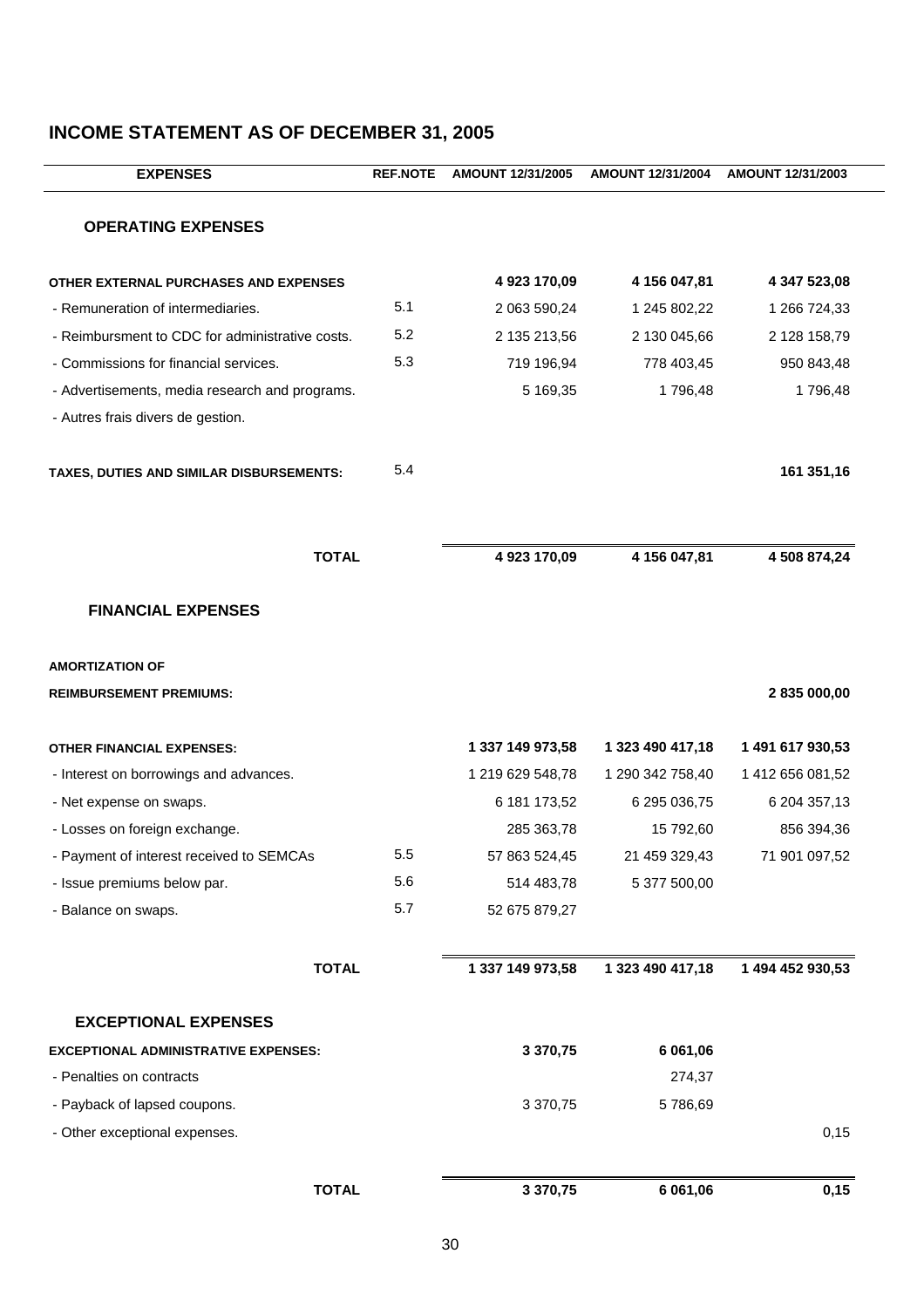| <b>EXPENSES</b>                                 | <b>REF.NOTE</b> | AMOUNT 12/31/2005 | AMOUNT 12/31/2004 | AMOUNT 12/31/2003 |
|-------------------------------------------------|-----------------|-------------------|-------------------|-------------------|
| <b>OPERATING EXPENSES</b>                       |                 |                   |                   |                   |
| OTHER EXTERNAL PURCHASES AND EXPENSES           |                 | 4 923 170,09      | 4 156 047,81      | 4 347 523,08      |
| - Remuneration of intermediaries.               | 5.1             | 2 063 590,24      | 1 245 802,22      | 1 266 724,33      |
| - Reimbursment to CDC for administrative costs. | 5.2             | 2 135 213,56      | 2 130 045,66      | 2 128 158,79      |
| - Commissions for financial services.           | 5.3             | 719 196,94        | 778 403,45        | 950 843,48        |
| - Advertisements, media research and programs.  |                 | 5 169,35          | 1796,48           | 1796,48           |
| - Autres frais divers de gestion.               |                 |                   |                   |                   |
| TAXES, DUTIES AND SIMILAR DISBURSEMENTS:        | 5.4             |                   |                   | 161 351,16        |
| <b>TOTAL</b>                                    |                 | 4 923 170,09      | 4 156 047,81      | 4 508 874,24      |
| <b>FINANCIAL EXPENSES</b>                       |                 |                   |                   |                   |
| <b>AMORTIZATION OF</b>                          |                 |                   |                   |                   |
| <b>REIMBURSEMENT PREMIUMS:</b>                  |                 |                   |                   | 2 835 000,00      |
| <b>OTHER FINANCIAL EXPENSES:</b>                |                 | 1 337 149 973,58  | 1 323 490 417,18  | 1 491 617 930,53  |
| - Interest on borrowings and advances.          |                 | 1 219 629 548,78  | 1 290 342 758,40  | 1 412 656 081,52  |
| - Net expense on swaps.                         |                 | 6 181 173,52      | 6 295 036,75      | 6 204 357,13      |
| - Losses on foreign exchange.                   |                 | 285 363,78        | 15 792,60         | 856 394,36        |
| - Payment of interest received to SEMCAs        | 5.5             | 57 863 524,45     | 21 459 329,43     | 71 901 097,52     |
| - Issue premiums below par.                     | 5.6             | 514 483,78        | 5 377 500,00      |                   |
| - Balance on swaps.                             | 5.7             | 52 675 879,27     |                   |                   |
| <b>TOTAL</b>                                    |                 | 1 337 149 973,58  | 1 323 490 417,18  | 1 494 452 930,53  |
| <b>EXCEPTIONAL EXPENSES</b>                     |                 |                   |                   |                   |
| <b>EXCEPTIONAL ADMINISTRATIVE EXPENSES:</b>     |                 | 3 370,75          | 6 061,06          |                   |
| - Penalties on contracts                        |                 |                   | 274,37            |                   |
| - Payback of lapsed coupons.                    |                 | 3 370,75          | 5786,69           |                   |
| - Other exceptional expenses.                   |                 |                   |                   | 0,15              |
| <b>TOTAL</b>                                    |                 | 3 370,75          | 6 061,06          | 0,15              |

# **INCOME STATEMENT AS OF DECEMBER 31, 2005**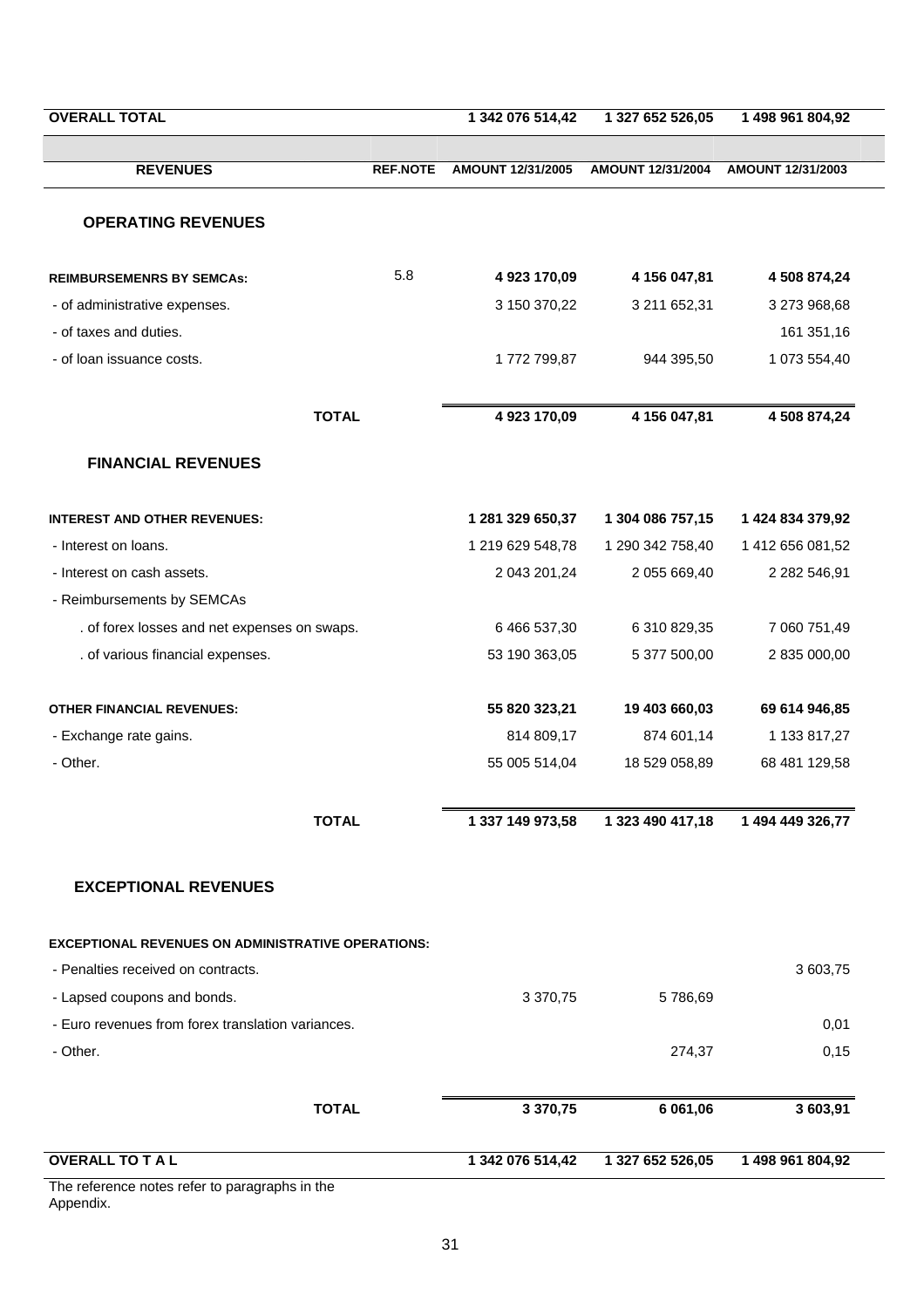| <b>REVENUES</b><br><b>REF.NOTE</b><br><b>OPERATING REVENUES</b><br>5.8<br><b>REIMBURSEMENRS BY SEMCAS:</b><br>- of administrative expenses.<br>- of taxes and duties.<br>- of loan issuance costs.<br><b>TOTAL</b><br><b>FINANCIAL REVENUES</b><br><b>INTEREST AND OTHER REVENUES:</b><br>- Interest on loans.<br>- Interest on cash assets.<br>- Reimbursements by SEMCAs<br>. of forex losses and net expenses on swaps.<br>. of various financial expenses.<br><b>OTHER FINANCIAL REVENUES:</b><br>- Exchange rate gains.<br>- Other.<br><b>TOTAL</b><br><b>EXCEPTIONAL REVENUES</b><br><b>EXCEPTIONAL REVENUES ON ADMINISTRATIVE OPERATIONS:</b><br>- Penalties received on contracts.<br>- Lapsed coupons and bonds.<br>- Euro revenues from forex translation variances.<br>- Other. | 1 342 076 514,42  | 1 327 652 526,05  | 1 498 961 804,92  |
|--------------------------------------------------------------------------------------------------------------------------------------------------------------------------------------------------------------------------------------------------------------------------------------------------------------------------------------------------------------------------------------------------------------------------------------------------------------------------------------------------------------------------------------------------------------------------------------------------------------------------------------------------------------------------------------------------------------------------------------------------------------------------------------------|-------------------|-------------------|-------------------|
|                                                                                                                                                                                                                                                                                                                                                                                                                                                                                                                                                                                                                                                                                                                                                                                            | AMOUNT 12/31/2005 | AMOUNT 12/31/2004 | AMOUNT 12/31/2003 |
|                                                                                                                                                                                                                                                                                                                                                                                                                                                                                                                                                                                                                                                                                                                                                                                            |                   |                   |                   |
|                                                                                                                                                                                                                                                                                                                                                                                                                                                                                                                                                                                                                                                                                                                                                                                            |                   |                   |                   |
|                                                                                                                                                                                                                                                                                                                                                                                                                                                                                                                                                                                                                                                                                                                                                                                            | 4 923 170,09      | 4 156 047,81      | 4 508 874,24      |
|                                                                                                                                                                                                                                                                                                                                                                                                                                                                                                                                                                                                                                                                                                                                                                                            | 3 150 370,22      | 3 211 652,31      | 3 273 968,68      |
|                                                                                                                                                                                                                                                                                                                                                                                                                                                                                                                                                                                                                                                                                                                                                                                            |                   |                   | 161 351,16        |
|                                                                                                                                                                                                                                                                                                                                                                                                                                                                                                                                                                                                                                                                                                                                                                                            | 1772 799,87       | 944 395,50        | 1 073 554,40      |
|                                                                                                                                                                                                                                                                                                                                                                                                                                                                                                                                                                                                                                                                                                                                                                                            | 4 923 170,09      | 4 156 047,81      | 4 508 874,24      |
|                                                                                                                                                                                                                                                                                                                                                                                                                                                                                                                                                                                                                                                                                                                                                                                            |                   |                   |                   |
|                                                                                                                                                                                                                                                                                                                                                                                                                                                                                                                                                                                                                                                                                                                                                                                            | 1 281 329 650,37  | 1 304 086 757,15  | 1 424 834 379,92  |
|                                                                                                                                                                                                                                                                                                                                                                                                                                                                                                                                                                                                                                                                                                                                                                                            | 1 219 629 548,78  | 1 290 342 758,40  | 1 412 656 081,52  |
|                                                                                                                                                                                                                                                                                                                                                                                                                                                                                                                                                                                                                                                                                                                                                                                            | 2 043 201,24      | 2 055 669,40      | 2 282 546,91      |
|                                                                                                                                                                                                                                                                                                                                                                                                                                                                                                                                                                                                                                                                                                                                                                                            |                   |                   |                   |
|                                                                                                                                                                                                                                                                                                                                                                                                                                                                                                                                                                                                                                                                                                                                                                                            | 6 466 537,30      | 6 310 829,35      | 7 060 751,49      |
|                                                                                                                                                                                                                                                                                                                                                                                                                                                                                                                                                                                                                                                                                                                                                                                            | 53 190 363,05     | 5 377 500,00      | 2 835 000,00      |
|                                                                                                                                                                                                                                                                                                                                                                                                                                                                                                                                                                                                                                                                                                                                                                                            | 55 820 323,21     | 19 403 660,03     | 69 614 946,85     |
|                                                                                                                                                                                                                                                                                                                                                                                                                                                                                                                                                                                                                                                                                                                                                                                            | 814 809,17        | 874 601,14        | 1 133 817,27      |
|                                                                                                                                                                                                                                                                                                                                                                                                                                                                                                                                                                                                                                                                                                                                                                                            | 55 005 514,04     | 18 529 058,89     | 68 481 129,58     |
|                                                                                                                                                                                                                                                                                                                                                                                                                                                                                                                                                                                                                                                                                                                                                                                            | 1 337 149 973,58  | 1 323 490 417,18  | 1 494 449 326,77  |
|                                                                                                                                                                                                                                                                                                                                                                                                                                                                                                                                                                                                                                                                                                                                                                                            |                   |                   |                   |
|                                                                                                                                                                                                                                                                                                                                                                                                                                                                                                                                                                                                                                                                                                                                                                                            |                   |                   |                   |
|                                                                                                                                                                                                                                                                                                                                                                                                                                                                                                                                                                                                                                                                                                                                                                                            |                   |                   | 3 603,75          |
|                                                                                                                                                                                                                                                                                                                                                                                                                                                                                                                                                                                                                                                                                                                                                                                            | 3 370,75          | 5786,69           |                   |
|                                                                                                                                                                                                                                                                                                                                                                                                                                                                                                                                                                                                                                                                                                                                                                                            |                   |                   | 0,01              |
|                                                                                                                                                                                                                                                                                                                                                                                                                                                                                                                                                                                                                                                                                                                                                                                            |                   | 274,37            | 0,15              |
| <b>TOTAL</b>                                                                                                                                                                                                                                                                                                                                                                                                                                                                                                                                                                                                                                                                                                                                                                               | 3 370,75          | 6 061,06          | 3 603,91          |
| <b>OVERALL TO TAL</b>                                                                                                                                                                                                                                                                                                                                                                                                                                                                                                                                                                                                                                                                                                                                                                      | 1 342 076 514,42  | 1 327 652 526,05  | 1 498 961 804,92  |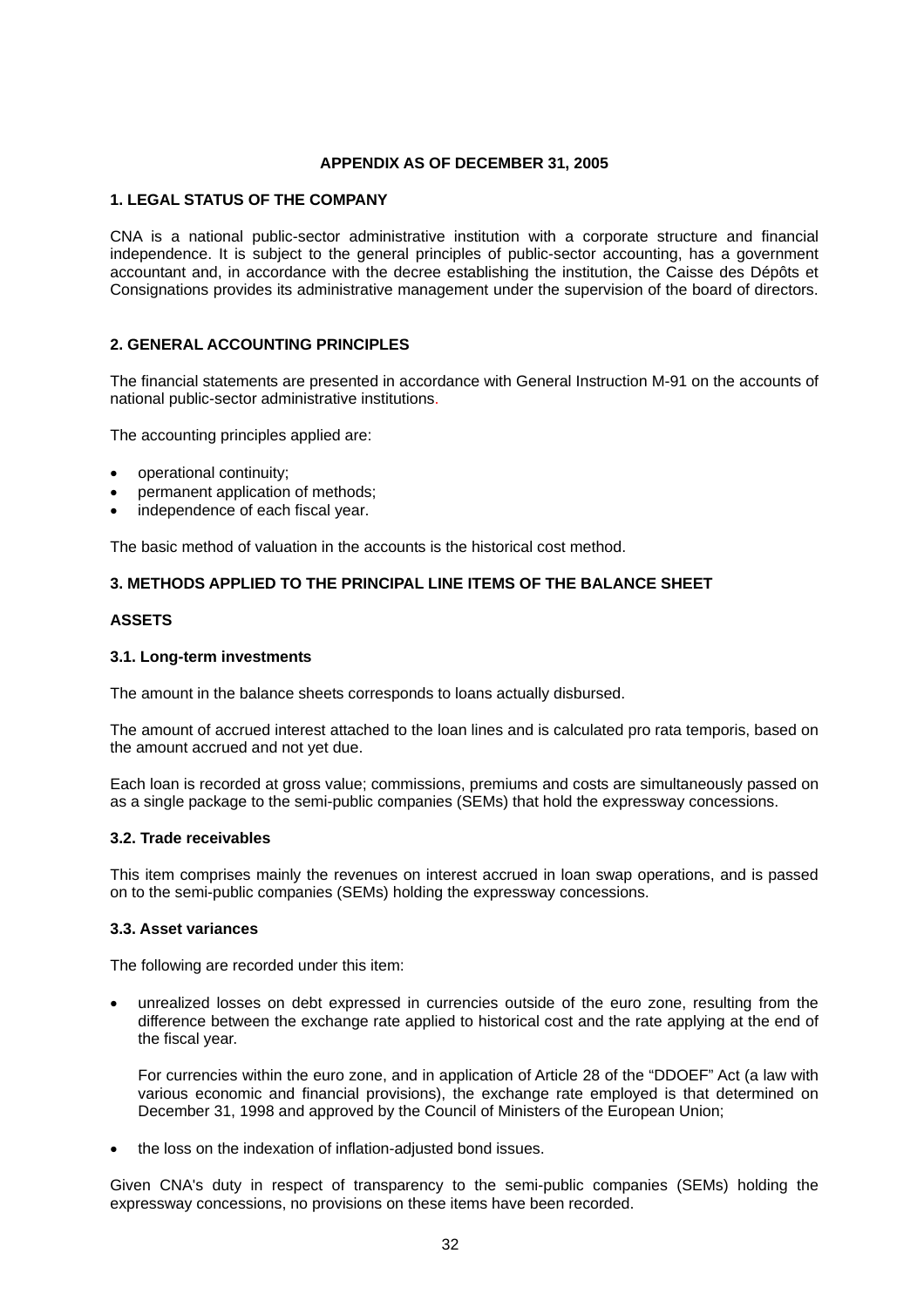## **APPENDIX AS OF DECEMBER 31, 2005**

# **1. LEGAL STATUS OF THE COMPANY**

CNA is a national public-sector administrative institution with a corporate structure and financial independence. It is subject to the general principles of public-sector accounting, has a government accountant and, in accordance with the decree establishing the institution, the Caisse des Dépôts et Consignations provides its administrative management under the supervision of the board of directors.

# **2. GENERAL ACCOUNTING PRINCIPLES**

The financial statements are presented in accordance with General Instruction M-91 on the accounts of national public-sector administrative institutions.

The accounting principles applied are:

- operational continuity;
- permanent application of methods;
- independence of each fiscal year.

The basic method of valuation in the accounts is the historical cost method.

#### **3. METHODS APPLIED TO THE PRINCIPAL LINE ITEMS OF THE BALANCE SHEET**

# **ASSETS**

#### **3.1. Long-term investments**

The amount in the balance sheets corresponds to loans actually disbursed.

The amount of accrued interest attached to the loan lines and is calculated pro rata temporis, based on the amount accrued and not yet due.

Each loan is recorded at gross value; commissions, premiums and costs are simultaneously passed on as a single package to the semi-public companies (SEMs) that hold the expressway concessions.

#### **3.2. Trade receivables**

This item comprises mainly the revenues on interest accrued in loan swap operations, and is passed on to the semi-public companies (SEMs) holding the expressway concessions.

#### **3.3. Asset variances**

The following are recorded under this item:

• unrealized losses on debt expressed in currencies outside of the euro zone, resulting from the difference between the exchange rate applied to historical cost and the rate applying at the end of the fiscal year.

For currencies within the euro zone, and in application of Article 28 of the "DDOEF" Act (a law with various economic and financial provisions), the exchange rate employed is that determined on December 31, 1998 and approved by the Council of Ministers of the European Union;

• the loss on the indexation of inflation-adjusted bond issues.

Given CNA's duty in respect of transparency to the semi-public companies (SEMs) holding the expressway concessions, no provisions on these items have been recorded.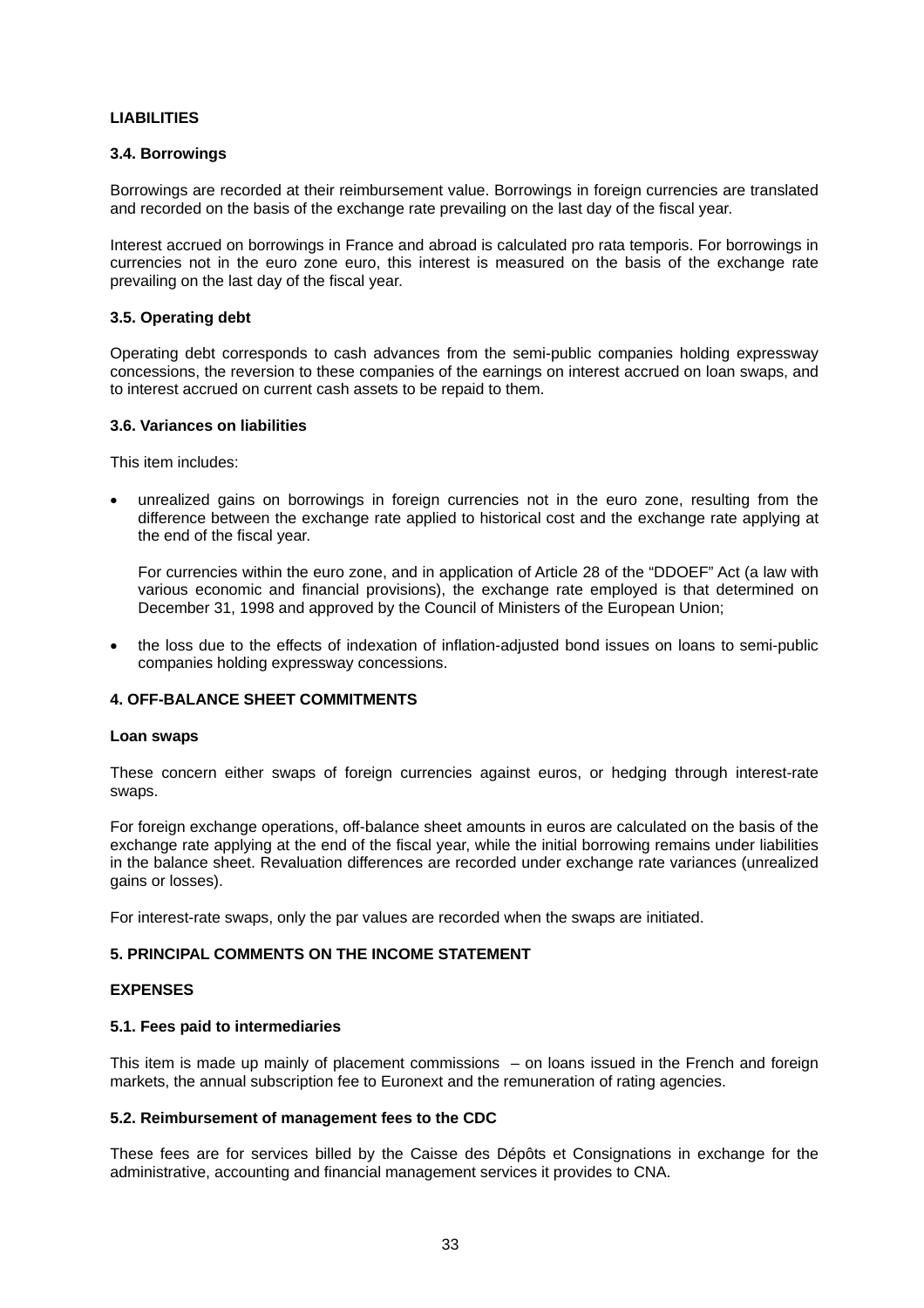# **LIABILITIES**

# **3.4. Borrowings**

Borrowings are recorded at their reimbursement value. Borrowings in foreign currencies are translated and recorded on the basis of the exchange rate prevailing on the last day of the fiscal year.

Interest accrued on borrowings in France and abroad is calculated pro rata temporis. For borrowings in currencies not in the euro zone euro, this interest is measured on the basis of the exchange rate prevailing on the last day of the fiscal year.

# **3.5. Operating debt**

Operating debt corresponds to cash advances from the semi-public companies holding expressway concessions, the reversion to these companies of the earnings on interest accrued on loan swaps, and to interest accrued on current cash assets to be repaid to them.

#### **3.6. Variances on liabilities**

This item includes:

unrealized gains on borrowings in foreign currencies not in the euro zone, resulting from the difference between the exchange rate applied to historical cost and the exchange rate applying at the end of the fiscal year.

For currencies within the euro zone, and in application of Article 28 of the "DDOEF" Act (a law with various economic and financial provisions), the exchange rate employed is that determined on December 31, 1998 and approved by the Council of Ministers of the European Union;

• the loss due to the effects of indexation of inflation-adjusted bond issues on loans to semi-public companies holding expressway concessions.

# **4. OFF-BALANCE SHEET COMMITMENTS**

#### **Loan swaps**

These concern either swaps of foreign currencies against euros, or hedging through interest-rate swaps.

For foreign exchange operations, off-balance sheet amounts in euros are calculated on the basis of the exchange rate applying at the end of the fiscal year, while the initial borrowing remains under liabilities in the balance sheet. Revaluation differences are recorded under exchange rate variances (unrealized gains or losses).

For interest-rate swaps, only the par values are recorded when the swaps are initiated.

#### **5. PRINCIPAL COMMENTS ON THE INCOME STATEMENT**

#### **EXPENSES**

#### **5.1. Fees paid to intermediaries**

This item is made up mainly of placement commissions – on loans issued in the French and foreign markets, the annual subscription fee to Euronext and the remuneration of rating agencies.

#### **5.2. Reimbursement of management fees to the CDC**

These fees are for services billed by the Caisse des Dépôts et Consignations in exchange for the administrative, accounting and financial management services it provides to CNA.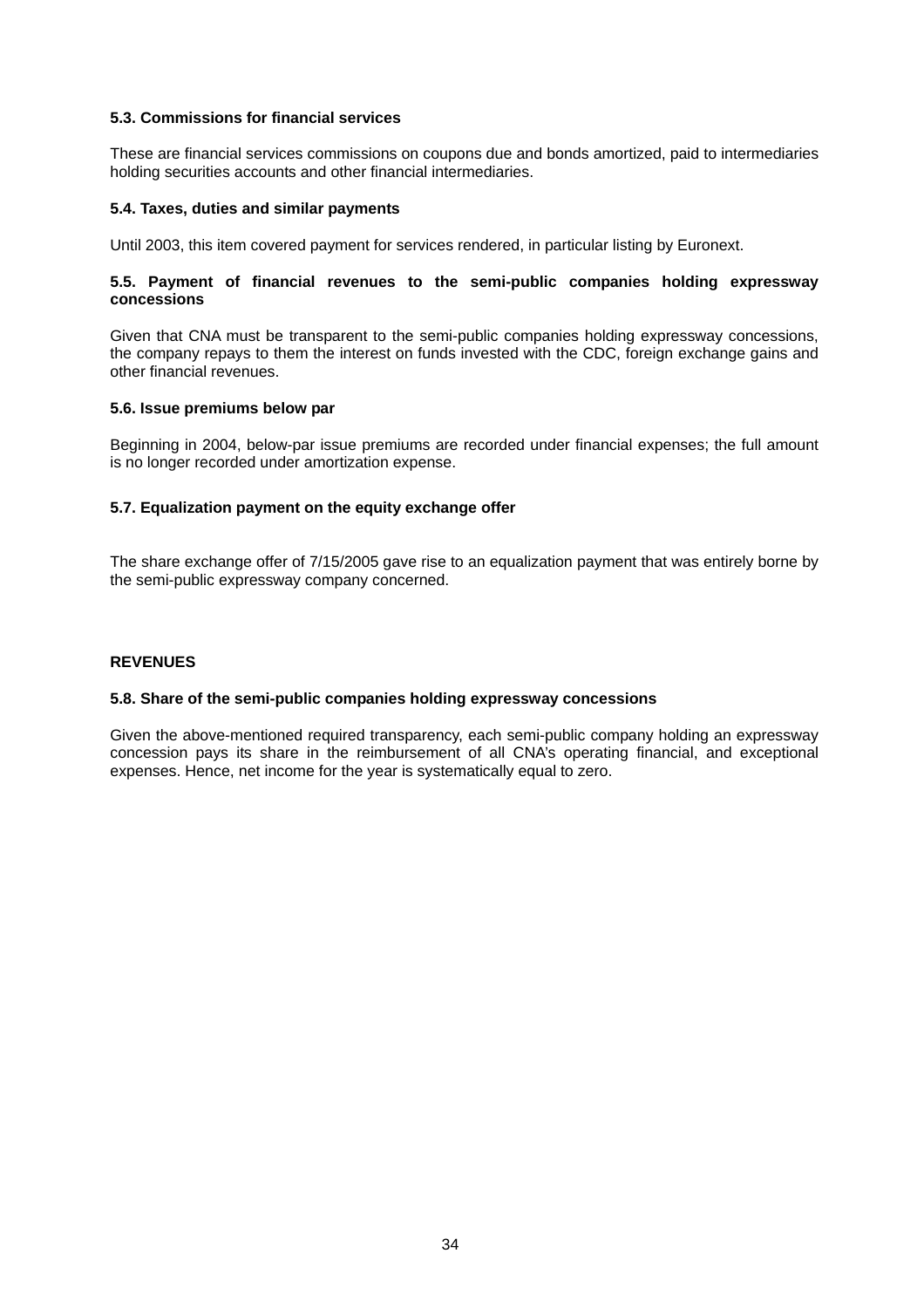# **5.3. Commissions for financial services**

These are financial services commissions on coupons due and bonds amortized, paid to intermediaries holding securities accounts and other financial intermediaries.

#### **5.4. Taxes, duties and similar payments**

Until 2003, this item covered payment for services rendered, in particular listing by Euronext.

# **5.5. Payment of financial revenues to the semi-public companies holding expressway concessions**

Given that CNA must be transparent to the semi-public companies holding expressway concessions, the company repays to them the interest on funds invested with the CDC, foreign exchange gains and other financial revenues.

#### **5.6. Issue premiums below par**

Beginning in 2004, below-par issue premiums are recorded under financial expenses; the full amount is no longer recorded under amortization expense.

# **5.7. Equalization payment on the equity exchange offer**

The share exchange offer of 7/15/2005 gave rise to an equalization payment that was entirely borne by the semi-public expressway company concerned.

# **REVENUES**

#### **5.8. Share of the semi-public companies holding expressway concessions**

Given the above-mentioned required transparency, each semi-public company holding an expressway concession pays its share in the reimbursement of all CNA's operating financial, and exceptional expenses. Hence, net income for the year is systematically equal to zero.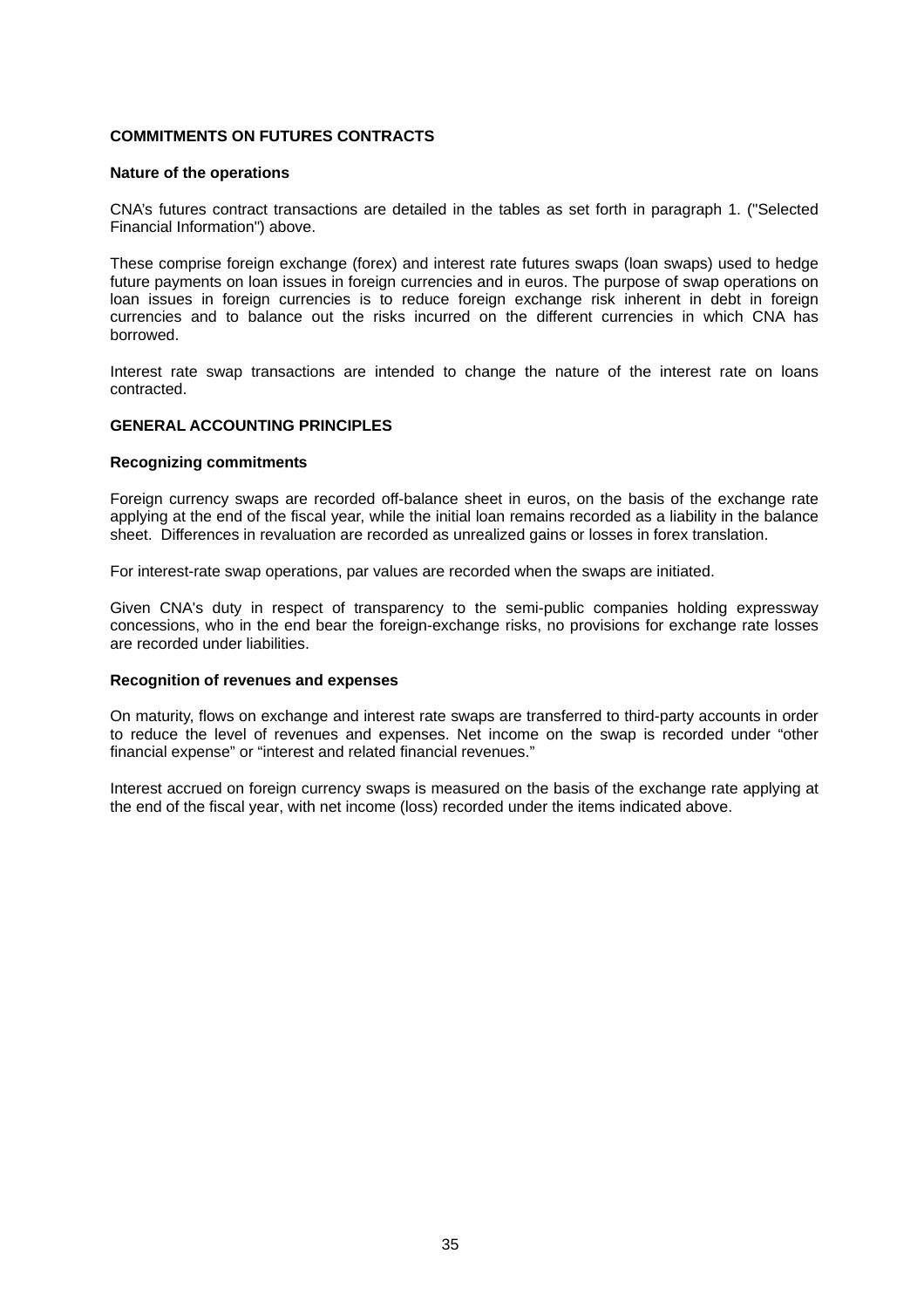# **COMMITMENTS ON FUTURES CONTRACTS**

#### **Nature of the operations**

CNA's futures contract transactions are detailed in the tables as set forth in paragraph 1. ("Selected Financial Information") above.

These comprise foreign exchange (forex) and interest rate futures swaps (loan swaps) used to hedge future payments on loan issues in foreign currencies and in euros. The purpose of swap operations on loan issues in foreign currencies is to reduce foreign exchange risk inherent in debt in foreign currencies and to balance out the risks incurred on the different currencies in which CNA has borrowed.

Interest rate swap transactions are intended to change the nature of the interest rate on loans contracted.

#### **GENERAL ACCOUNTING PRINCIPLES**

#### **Recognizing commitments**

Foreign currency swaps are recorded off-balance sheet in euros, on the basis of the exchange rate applying at the end of the fiscal year, while the initial loan remains recorded as a liability in the balance sheet. Differences in revaluation are recorded as unrealized gains or losses in forex translation.

For interest-rate swap operations, par values are recorded when the swaps are initiated.

Given CNA's duty in respect of transparency to the semi-public companies holding expressway concessions, who in the end bear the foreign-exchange risks, no provisions for exchange rate losses are recorded under liabilities.

#### **Recognition of revenues and expenses**

On maturity, flows on exchange and interest rate swaps are transferred to third-party accounts in order to reduce the level of revenues and expenses. Net income on the swap is recorded under "other financial expense" or "interest and related financial revenues."

Interest accrued on foreign currency swaps is measured on the basis of the exchange rate applying at the end of the fiscal year, with net income (loss) recorded under the items indicated above.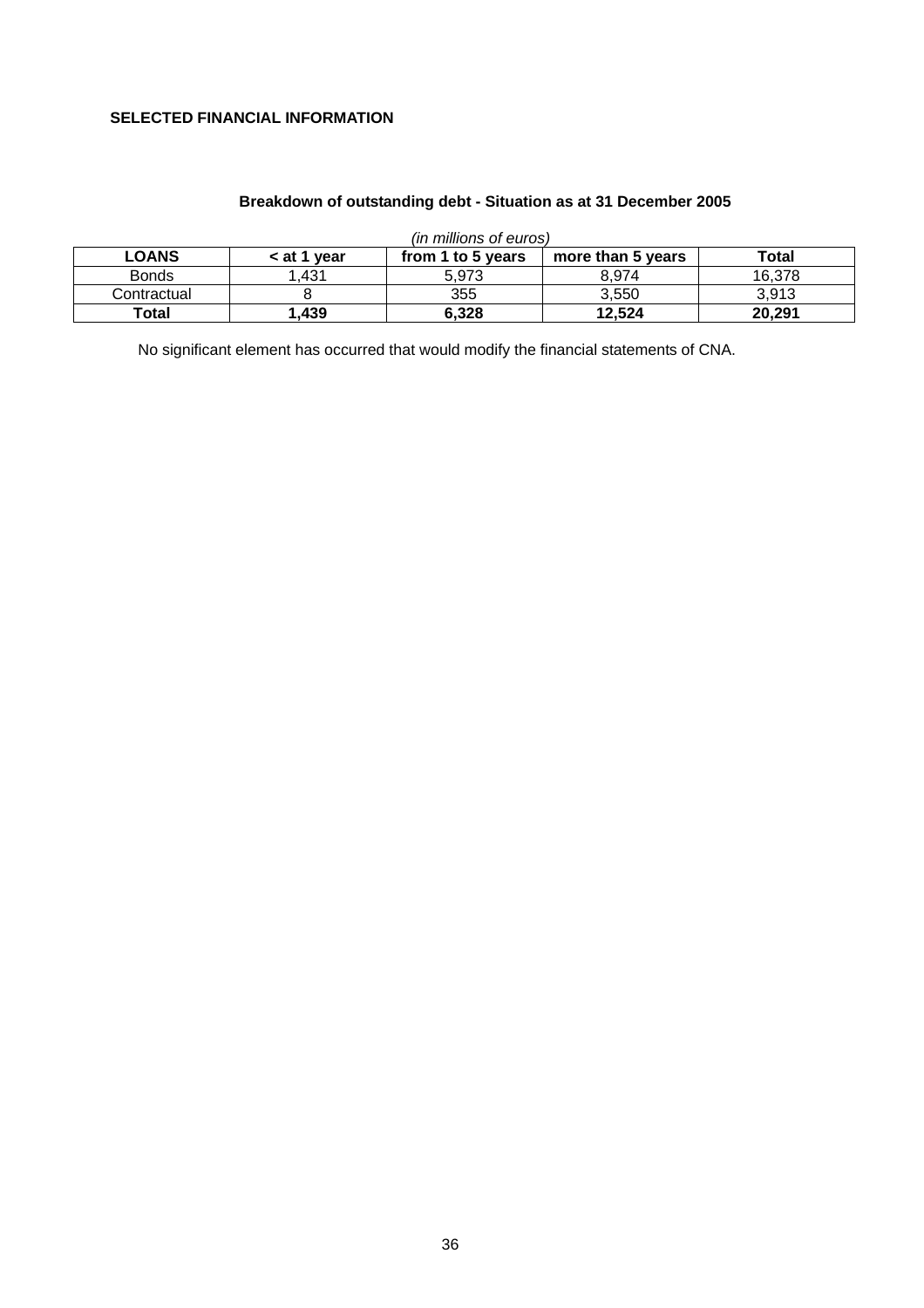# **SELECTED FINANCIAL INFORMATION**

| (in millions of euros) |             |                   |                   |        |  |  |  |  |
|------------------------|-------------|-------------------|-------------------|--------|--|--|--|--|
| <b>LOANS</b>           | < at 1 year | from 1 to 5 years | more than 5 years | Total  |  |  |  |  |
| <b>Bonds</b>           | .431        | 5.973             | 8.974             | 16.378 |  |  |  |  |
| Contractual            |             | 355               | 3.550             | 3.913  |  |  |  |  |
| Total                  | ,439        | 6,328             | 12,524            | 20,291 |  |  |  |  |

# **Breakdown of outstanding debt - Situation as at 31 December 2005**

No significant element has occurred that would modify the financial statements of CNA.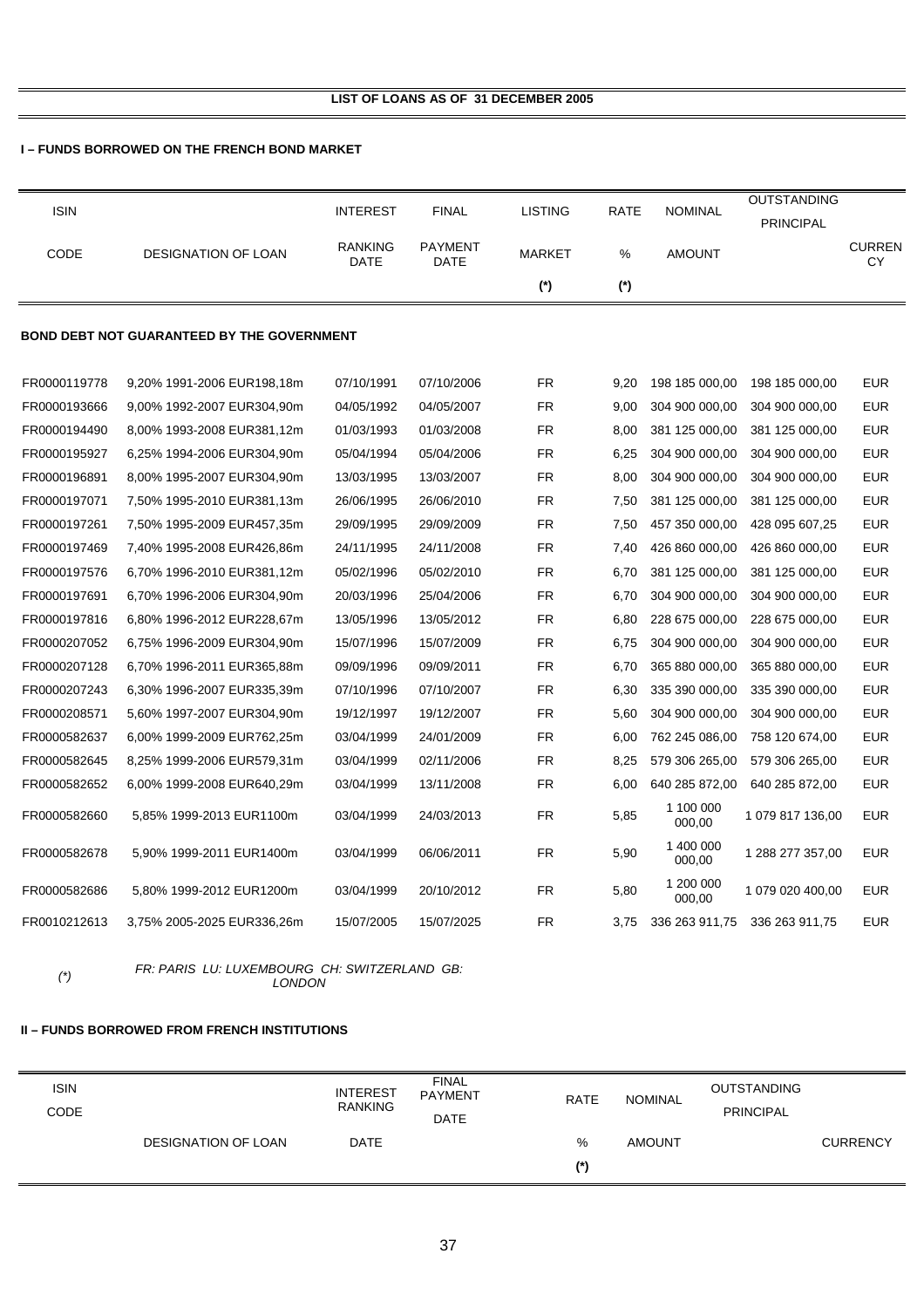# **I – FUNDS BORROWED ON THE FRENCH BOND MARKET**

| <b>ISIN</b>  |                                                   | <b>INTEREST</b>               | <b>FINAL</b>           | <b>LISTING</b> | RATE  | <b>NOMINAL</b>      | <b>OUTSTANDING</b> |                      |
|--------------|---------------------------------------------------|-------------------------------|------------------------|----------------|-------|---------------------|--------------------|----------------------|
|              |                                                   |                               |                        |                |       |                     | <b>PRINCIPAL</b>   |                      |
| CODE         | <b>DESIGNATION OF LOAN</b>                        | <b>RANKING</b><br><b>DATE</b> | <b>PAYMENT</b><br>DATE | <b>MARKET</b>  | %     | <b>AMOUNT</b>       |                    | <b>CURREN</b><br>CY. |
|              |                                                   |                               |                        | $(*)$          | $(*)$ |                     |                    |                      |
|              | <b>BOND DEBT NOT GUARANTEED BY THE GOVERNMENT</b> |                               |                        |                |       |                     |                    |                      |
|              |                                                   |                               |                        |                |       |                     |                    |                      |
| FR0000119778 | 9,20% 1991-2006 EUR198,18m                        | 07/10/1991                    | 07/10/2006             | <b>FR</b>      | 9,20  | 198 185 000,00      | 198 185 000,00     | <b>EUR</b>           |
| FR0000193666 | 9,00% 1992-2007 EUR304,90m                        | 04/05/1992                    | 04/05/2007             | <b>FR</b>      | 9,00  | 304 900 000,00      | 304 900 000,00     | <b>EUR</b>           |
| FR0000194490 | 8,00% 1993-2008 EUR381,12m                        | 01/03/1993                    | 01/03/2008             | FR             | 8,00  | 381 125 000,00      | 381 125 000,00     | <b>EUR</b>           |
| FR0000195927 | 6,25% 1994-2006 EUR304,90m                        | 05/04/1994                    | 05/04/2006             | <b>FR</b>      | 6,25  | 304 900 000,00      | 304 900 000,00     | <b>EUR</b>           |
| FR0000196891 | 8,00% 1995-2007 EUR304,90m                        | 13/03/1995                    | 13/03/2007             | <b>FR</b>      | 8,00  | 304 900 000,00      | 304 900 000,00     | <b>EUR</b>           |
| FR0000197071 | 7,50% 1995-2010 EUR381,13m                        | 26/06/1995                    | 26/06/2010             | <b>FR</b>      | 7,50  | 381 125 000,00      | 381 125 000,00     | <b>EUR</b>           |
| FR0000197261 | 7,50% 1995-2009 EUR457,35m                        | 29/09/1995                    | 29/09/2009             | <b>FR</b>      | 7,50  | 457 350 000,00      | 428 095 607,25     | <b>EUR</b>           |
| FR0000197469 | 7,40% 1995-2008 EUR426,86m                        | 24/11/1995                    | 24/11/2008             | <b>FR</b>      | 7,40  | 426 860 000,00      | 426 860 000,00     | <b>EUR</b>           |
| FR0000197576 | 6,70% 1996-2010 EUR381,12m                        | 05/02/1996                    | 05/02/2010             | <b>FR</b>      | 6,70  | 381 125 000,00      | 381 125 000,00     | <b>EUR</b>           |
| FR0000197691 | 6,70% 1996-2006 EUR304,90m                        | 20/03/1996                    | 25/04/2006             | <b>FR</b>      | 6,70  | 304 900 000,00      | 304 900 000,00     | <b>EUR</b>           |
| FR0000197816 | 6,80% 1996-2012 EUR228,67m                        | 13/05/1996                    | 13/05/2012             | <b>FR</b>      | 6,80  | 228 675 000,00      | 228 675 000,00     | <b>EUR</b>           |
| FR0000207052 | 6,75% 1996-2009 EUR304,90m                        | 15/07/1996                    | 15/07/2009             | <b>FR</b>      | 6,75  | 304 900 000,00      | 304 900 000,00     | <b>EUR</b>           |
| FR0000207128 | 6,70% 1996-2011 EUR365,88m                        | 09/09/1996                    | 09/09/2011             | FR             | 6,70  | 365 880 000,00      | 365 880 000,00     | <b>EUR</b>           |
| FR0000207243 | 6,30% 1996-2007 EUR335,39m                        | 07/10/1996                    | 07/10/2007             | <b>FR</b>      | 6,30  | 335 390 000,00      | 335 390 000,00     | <b>EUR</b>           |
| FR0000208571 | 5,60% 1997-2007 EUR304,90m                        | 19/12/1997                    | 19/12/2007             | FR             | 5,60  | 304 900 000,00      | 304 900 000,00     | <b>EUR</b>           |
| FR0000582637 | 6,00% 1999-2009 EUR762,25m                        | 03/04/1999                    | 24/01/2009             | <b>FR</b>      | 6,00  | 762 245 086,00      | 758 120 674,00     | EUR                  |
| FR0000582645 | 8,25% 1999-2006 EUR579,31m                        | 03/04/1999                    | 02/11/2006             | <b>FR</b>      | 8,25  | 579 306 265,00      | 579 306 265,00     | <b>EUR</b>           |
| FR0000582652 | 6,00% 1999-2008 EUR640,29m                        | 03/04/1999                    | 13/11/2008             | FR             | 6,00  | 640 285 872,00      | 640 285 872,00     | EUR                  |
| FR0000582660 | 5,85% 1999-2013 EUR1100m                          | 03/04/1999                    | 24/03/2013             | <b>FR</b>      | 5,85  | 1 100 000<br>000,00 | 1079 817 136,00    | <b>EUR</b>           |
| FR0000582678 | 5.90% 1999-2011 EUR1400m                          | 03/04/1999                    | 06/06/2011             | <b>FR</b>      | 5,90  | 1 400 000<br>000,00 | 1 288 277 357,00   | <b>EUR</b>           |
| FR0000582686 | 5,80% 1999-2012 EUR1200m                          | 03/04/1999                    | 20/10/2012             | FR.            | 5,80  | 1 200 000<br>000,00 | 1 079 020 400,00   | <b>EUR</b>           |
| FR0010212613 | 3,75% 2005-2025 EUR336,26m                        | 15/07/2005                    | 15/07/2025             | FR             | 3.75  | 336 263 911,75      | 336 263 911,75     | <b>EUR</b>           |

*(\*) FR: PARIS LU: LUXEMBOURG CH: SWITZERLAND GB: LONDON* 

# **II – FUNDS BORROWED FROM FRENCH INSTITUTIONS**

| <b>ISIN</b><br>CODE |                            | <b>INTEREST</b><br><b>RANKING</b> | <b>FINAL</b><br><b>PAYMENT</b><br><b>DATE</b> | <b>RATE</b> | NOMINAL       | <b>OUTSTANDING</b><br><b>PRINCIPAL</b> |                 |
|---------------------|----------------------------|-----------------------------------|-----------------------------------------------|-------------|---------------|----------------------------------------|-----------------|
|                     | <b>DESIGNATION OF LOAN</b> | <b>DATE</b>                       |                                               | %           | <b>AMOUNT</b> |                                        | <b>CURRENCY</b> |
|                     |                            |                                   |                                               | (*)         |               |                                        |                 |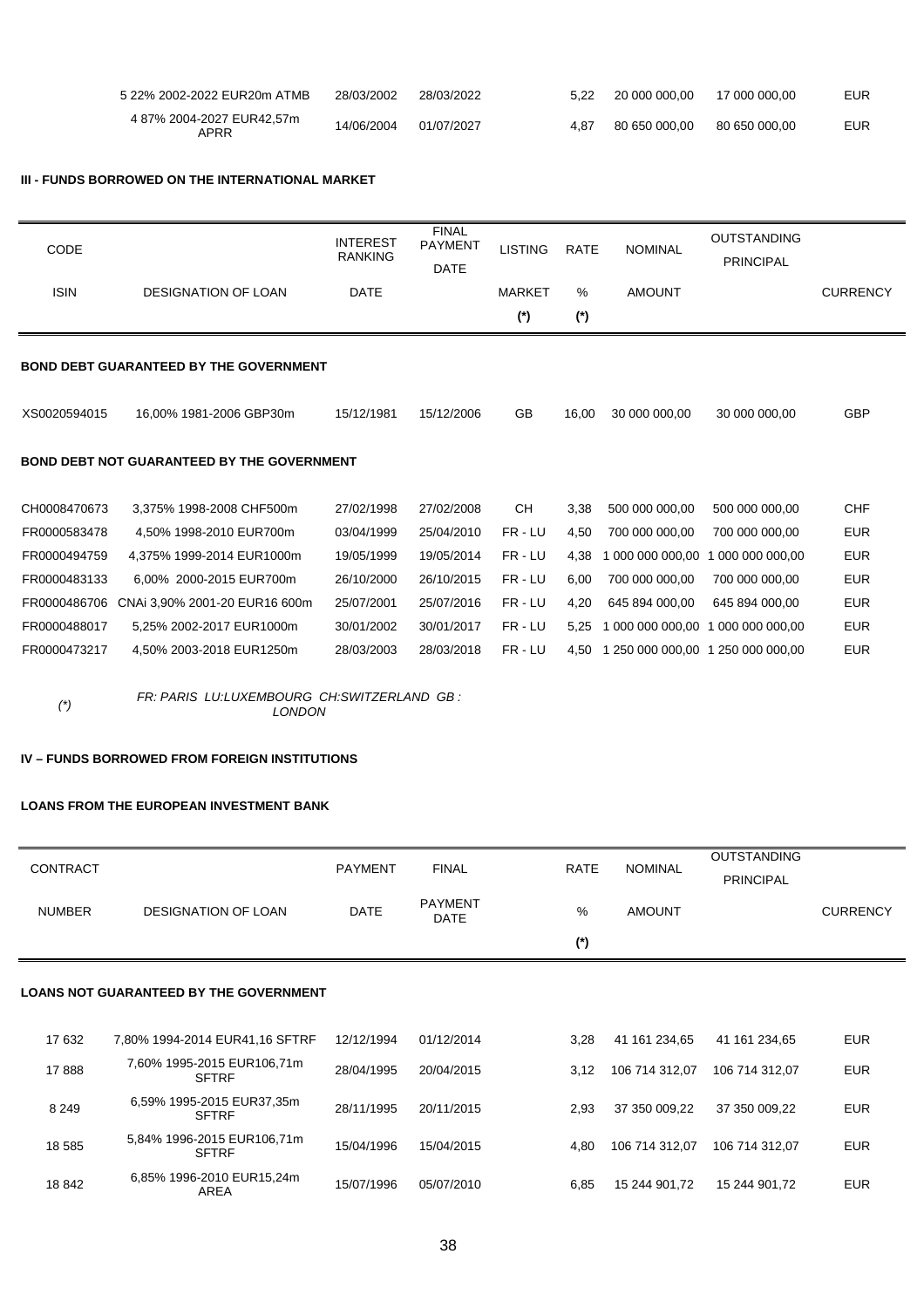| 5 22% 2002-2022 EUR20m ATMB       | 28/03/2002 | 28/03/2022 | 5.22 | 20 000 000.00 | 17 000 000.00 | <b>EUR</b> |
|-----------------------------------|------------|------------|------|---------------|---------------|------------|
| 4 87% 2004-2027 EUR42,57m<br>APRR | 14/06/2004 | 01/07/2027 | 4.87 | 80 650 000.00 | 80 650 000.00 | <b>EUR</b> |

#### **III - FUNDS BORROWED ON THE INTERNATIONAL MARKET**

| <b>CODE</b>  |                                                   | <b>INTEREST</b><br><b>RANKING</b> | <b>FINAL</b><br><b>PAYMENT</b><br><b>DATE</b> | <b>LISTING</b> | <b>RATE</b> | <b>NOMINAL</b>                    | <b>OUTSTANDING</b><br><b>PRINCIPAL</b> |                 |
|--------------|---------------------------------------------------|-----------------------------------|-----------------------------------------------|----------------|-------------|-----------------------------------|----------------------------------------|-----------------|
| <b>ISIN</b>  | <b>DESIGNATION OF LOAN</b>                        | <b>DATE</b>                       |                                               | <b>MARKET</b>  | %           | <b>AMOUNT</b>                     |                                        | <b>CURRENCY</b> |
|              |                                                   |                                   |                                               | $(*)$          | $(*)$       |                                   |                                        |                 |
|              | <b>BOND DEBT GUARANTEED BY THE GOVERNMENT</b>     |                                   |                                               |                |             |                                   |                                        |                 |
| XS0020594015 | 16.00% 1981-2006 GBP30m                           | 15/12/1981                        | 15/12/2006                                    | <b>GB</b>      | 16.00       | 30 000 000.00                     | 30 000 000.00                          | <b>GBP</b>      |
|              | <b>BOND DEBT NOT GUARANTEED BY THE GOVERNMENT</b> |                                   |                                               |                |             |                                   |                                        |                 |
| CH0008470673 | 3,375% 1998-2008 CHF500m                          | 27/02/1998                        | 27/02/2008                                    | <b>CH</b>      | 3,38        | 500 000 000,00                    | 500 000 000,00                         | <b>CHF</b>      |
| FR0000583478 | 4.50% 1998-2010 EUR700m                           | 03/04/1999                        | 25/04/2010                                    | FR-LU          | 4,50        | 700 000 000,00                    | 700 000 000,00                         | <b>EUR</b>      |
| FR0000494759 | 4.375% 1999-2014 EUR1000m                         | 19/05/1999                        | 19/05/2014                                    | FR-LU          | 4.38        | 000 000 000,00                    | 000 000 000.00                         | <b>EUR</b>      |
| FR0000483133 | 6.00% 2000-2015 EUR700m                           | 26/10/2000                        | 26/10/2015                                    | FR-LU          | 6,00        | 700 000 000,00                    | 700 000 000,00                         | <b>EUR</b>      |
| FR0000486706 | CNAi 3.90% 2001-20 EUR16 600m                     | 25/07/2001                        | 25/07/2016                                    | FR-LU          | 4.20        | 645 894 000.00                    | 645 894 000.00                         | <b>EUR</b>      |
| FR0000488017 | 5,25% 2002-2017 EUR1000m                          | 30/01/2002                        | 30/01/2017                                    | FR-LU          | 5,25        | 1 000 000 000,00                  | 000 000 000.00<br>-1                   | <b>EUR</b>      |
| FR0000473217 | 4.50% 2003-2018 EUR1250m                          | 28/03/2003                        | 28/03/2018                                    | FR-LU          | 4.50        | 1 250 000 000.00 1 250 000 000.00 |                                        | <b>EUR</b>      |

*(\*) FR: PARIS LU:LUXEMBOURG CH:SWITZERLAND GB : LONDON* 

# **IV – FUNDS BORROWED FROM FOREIGN INSTITUTIONS**

#### **LOANS FROM THE EUROPEAN INVESTMENT BANK**

| <b>CONTRACT</b> |                                               | <b>PAYMENT</b> | <b>FINAL</b>                  | <b>RATE</b> | <b>NOMINAL</b> | <b>OUTSTANDING</b><br><b>PRINCIPAL</b> |                 |  |
|-----------------|-----------------------------------------------|----------------|-------------------------------|-------------|----------------|----------------------------------------|-----------------|--|
| <b>NUMBER</b>   | <b>DESIGNATION OF LOAN</b>                    | <b>DATE</b>    | <b>PAYMENT</b><br><b>DATE</b> | %           | <b>AMOUNT</b>  |                                        | <b>CURRENCY</b> |  |
|                 |                                               |                |                               | $(*)$       |                |                                        |                 |  |
|                 | <b>LOANS NOT GUARANTEED BY THE GOVERNMENT</b> |                |                               |             |                |                                        |                 |  |
| 17 632          | 7,80% 1994-2014 EUR41,16 SFTRF                | 12/12/1994     | 01/12/2014                    | 3,28        | 41 161 234,65  | 41 161 234,65                          | <b>EUR</b>      |  |
| 17888           | 7,60% 1995-2015 EUR106,71m<br><b>SFTRF</b>    | 28/04/1995     | 20/04/2015                    | 3,12        | 106 714 312,07 | 106 714 312.07                         | <b>EUR</b>      |  |
| 8 2 4 9         | 6,59% 1995-2015 EUR37,35m<br><b>SFTRF</b>     | 28/11/1995     | 20/11/2015                    | 2,93        | 37 350 009,22  | 37 350 009,22                          | <b>EUR</b>      |  |
| 18 5 85         | 5,84% 1996-2015 EUR106,71m<br><b>SFTRF</b>    | 15/04/1996     | 15/04/2015                    | 4,80        | 106 714 312,07 | 106 714 312.07                         | <b>EUR</b>      |  |
| 18 842          | 6,85% 1996-2010 EUR15,24m<br><b>AREA</b>      | 15/07/1996     | 05/07/2010                    | 6,85        | 15 244 901.72  | 15 244 901.72                          | <b>EUR</b>      |  |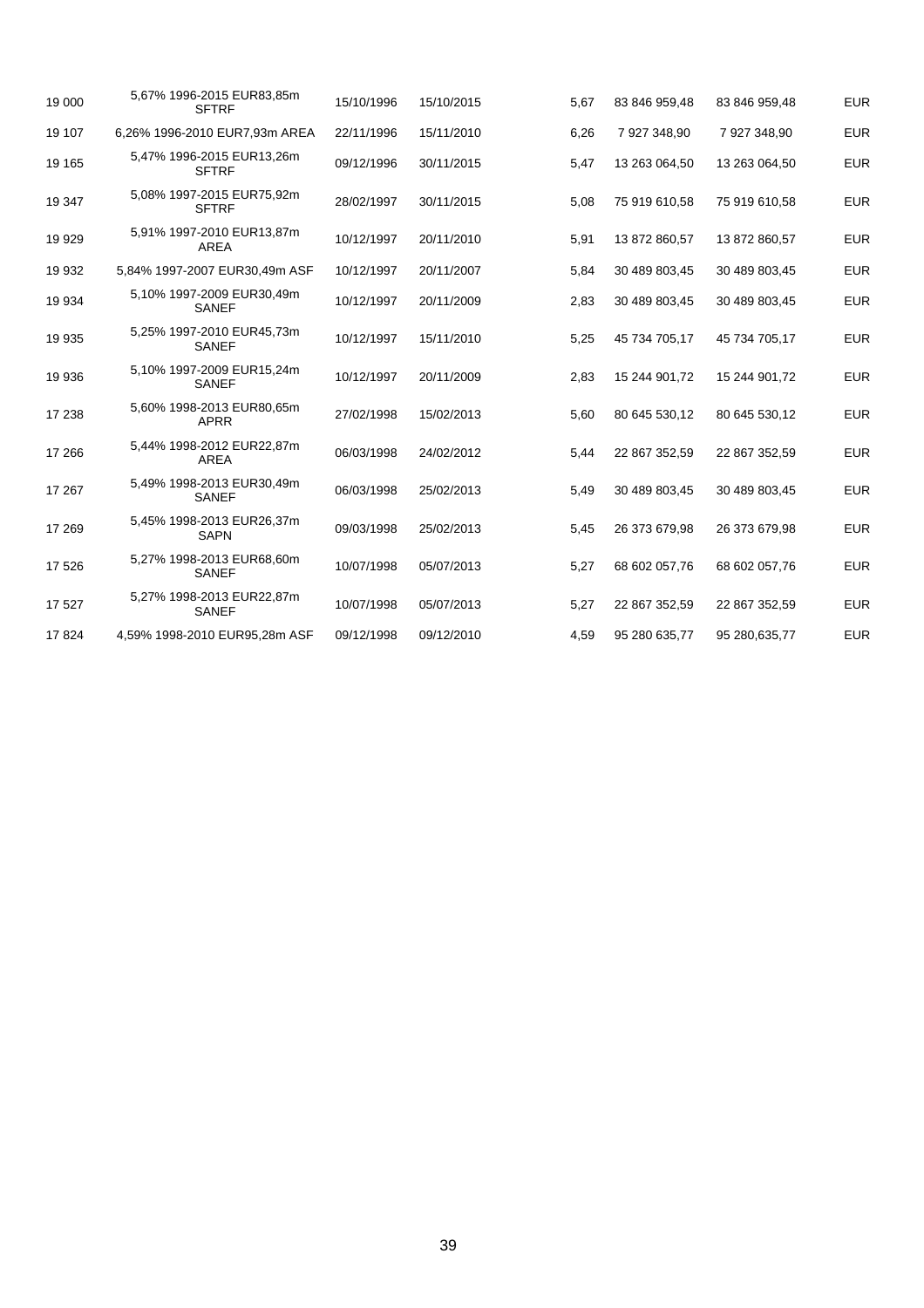| 19 000  | 5,67% 1996-2015 EUR83,85m<br><b>SFTRF</b> | 15/10/1996 | 15/10/2015 | 5,67 | 83 846 959,48 | 83 846 959,48 | <b>EUR</b> |
|---------|-------------------------------------------|------------|------------|------|---------------|---------------|------------|
| 19 107  | 6,26% 1996-2010 EUR7,93m AREA             | 22/11/1996 | 15/11/2010 | 6,26 | 7 927 348,90  | 7 927 348,90  | <b>EUR</b> |
| 19 165  | 5,47% 1996-2015 EUR13,26m<br><b>SFTRF</b> | 09/12/1996 | 30/11/2015 | 5,47 | 13 263 064,50 | 13 263 064,50 | <b>EUR</b> |
| 19 347  | 5,08% 1997-2015 EUR75,92m<br><b>SFTRF</b> | 28/02/1997 | 30/11/2015 | 5,08 | 75 919 610,58 | 75 919 610,58 | <b>EUR</b> |
| 19 929  | 5,91% 1997-2010 EUR13,87m<br><b>AREA</b>  | 10/12/1997 | 20/11/2010 | 5,91 | 13 872 860,57 | 13 872 860,57 | <b>EUR</b> |
| 19 932  | 5,84% 1997-2007 EUR30,49m ASF             | 10/12/1997 | 20/11/2007 | 5,84 | 30 489 803,45 | 30 489 803,45 | <b>EUR</b> |
| 19 934  | 5,10% 1997-2009 EUR30,49m<br><b>SANEF</b> | 10/12/1997 | 20/11/2009 | 2,83 | 30 489 803,45 | 30 489 803,45 | <b>EUR</b> |
| 19 9 35 | 5,25% 1997-2010 EUR45,73m<br><b>SANEF</b> | 10/12/1997 | 15/11/2010 | 5,25 | 45 734 705,17 | 45 734 705.17 | <b>EUR</b> |
| 19 936  | 5,10% 1997-2009 EUR15,24m<br><b>SANEF</b> | 10/12/1997 | 20/11/2009 | 2,83 | 15 244 901,72 | 15 244 901,72 | <b>EUR</b> |
| 17 238  | 5,60% 1998-2013 EUR80,65m<br><b>APRR</b>  | 27/02/1998 | 15/02/2013 | 5,60 | 80 645 530,12 | 80 645 530,12 | <b>EUR</b> |
| 17 266  | 5,44% 1998-2012 EUR22,87m<br>AREA         | 06/03/1998 | 24/02/2012 | 5,44 | 22 867 352,59 | 22 867 352,59 | <b>EUR</b> |
| 17 267  | 5,49% 1998-2013 EUR30,49m<br><b>SANEF</b> | 06/03/1998 | 25/02/2013 | 5,49 | 30 489 803,45 | 30 489 803,45 | <b>EUR</b> |
| 17 269  | 5,45% 1998-2013 EUR26,37m<br><b>SAPN</b>  | 09/03/1998 | 25/02/2013 | 5,45 | 26 373 679,98 | 26 373 679,98 | <b>EUR</b> |
| 17 526  | 5,27% 1998-2013 EUR68,60m<br>SANEF        | 10/07/1998 | 05/07/2013 | 5,27 | 68 602 057,76 | 68 602 057,76 | <b>EUR</b> |
| 17 527  | 5,27% 1998-2013 EUR22,87m<br><b>SANEF</b> | 10/07/1998 | 05/07/2013 | 5,27 | 22 867 352,59 | 22 867 352,59 | <b>EUR</b> |
| 17824   | 4,59% 1998-2010 EUR95,28m ASF             | 09/12/1998 | 09/12/2010 | 4,59 | 95 280 635,77 | 95 280,635,77 | <b>EUR</b> |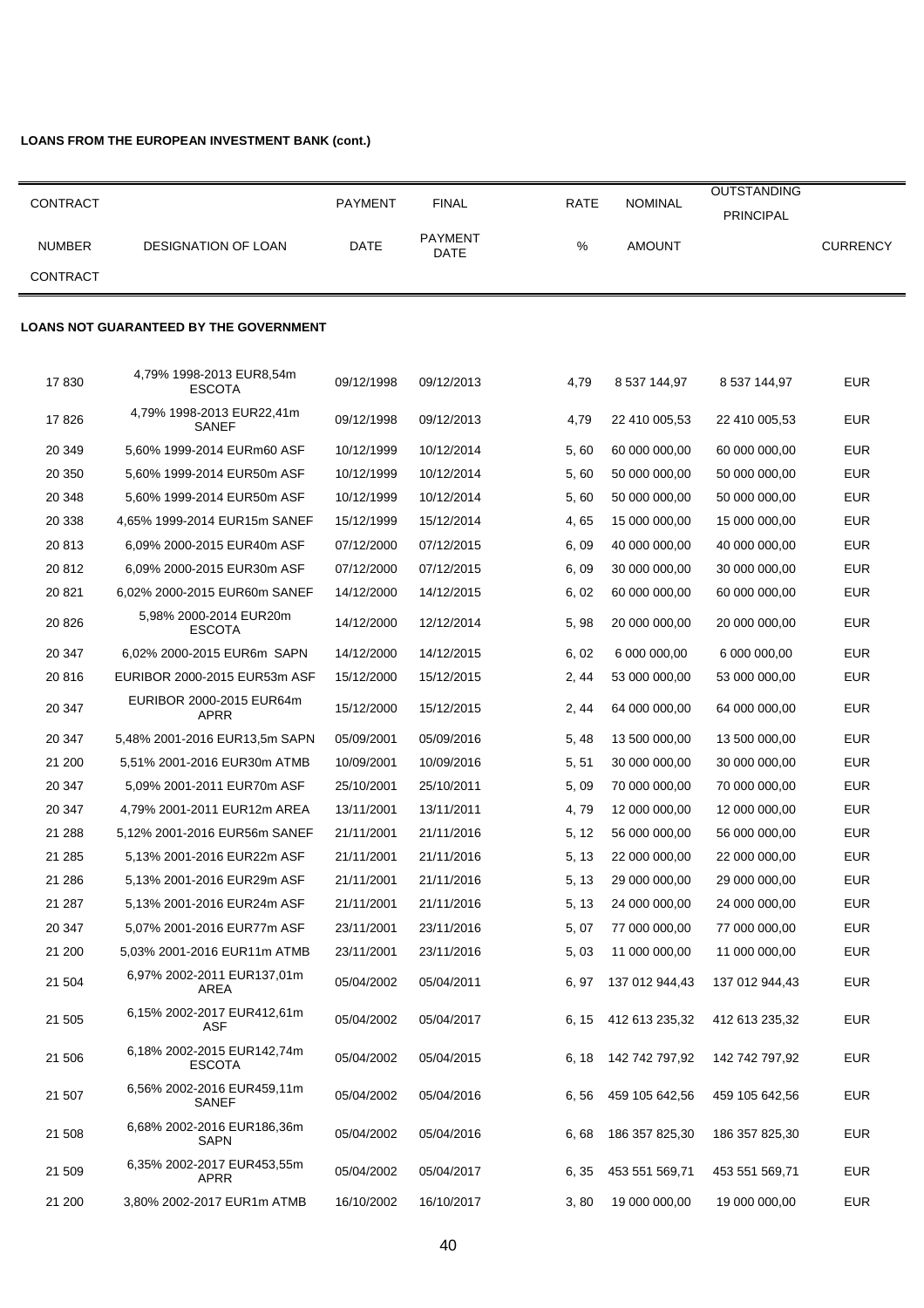# **LOANS FROM THE EUROPEAN INVESTMENT BANK (cont.)**

| <b>CONTRACT</b> |                     | <b>PAYMENT</b> | <b>FINAL</b>                  | <b>RATE</b> | NOMINAL       | <b>OUTSTANDING</b><br><b>PRINCIPAL</b> |          |
|-----------------|---------------------|----------------|-------------------------------|-------------|---------------|----------------------------------------|----------|
| <b>NUMBER</b>   | DESIGNATION OF LOAN | DATE           | <b>PAYMENT</b><br><b>DATE</b> | %           | <b>AMOUNT</b> |                                        | CURRENCY |
| <b>CONTRACT</b> |                     |                |                               |             |               |                                        |          |

#### **LOANS NOT GUARANTEED BY THE GOVERNMENT**

| 17830   | 4,79% 1998-2013 EUR8,54m<br><b>ESCOTA</b>   | 09/12/1998 | 09/12/2013 | 4,79  | 8 537 144,97          | 8 537 144,97   | <b>EUR</b> |
|---------|---------------------------------------------|------------|------------|-------|-----------------------|----------------|------------|
| 17826   | 4,79% 1998-2013 EUR22,41m<br>SANEF          | 09/12/1998 | 09/12/2013 | 4,79  | 22 410 005,53         | 22 410 005,53  | <b>EUR</b> |
| 20 349  | 5,60% 1999-2014 EURm60 ASF                  | 10/12/1999 | 10/12/2014 | 5,60  | 60 000 000,00         | 60 000 000,00  | <b>EUR</b> |
| 20 350  | 5,60% 1999-2014 EUR50m ASF                  | 10/12/1999 | 10/12/2014 | 5,60  | 50 000 000,00         | 50 000 000,00  | <b>EUR</b> |
| 20 348  | 5,60% 1999-2014 EUR50m ASF                  | 10/12/1999 | 10/12/2014 | 5,60  | 50 000 000,00         | 50 000 000,00  | <b>EUR</b> |
| 20 338  | 4.65% 1999-2014 EUR15m SANEF                | 15/12/1999 | 15/12/2014 | 4,65  | 15 000 000,00         | 15 000 000,00  | <b>EUR</b> |
| 20813   | 6,09% 2000-2015 EUR40m ASF                  | 07/12/2000 | 07/12/2015 | 6,09  | 40 000 000,00         | 40 000 000,00  | <b>EUR</b> |
| 20 812  | 6,09% 2000-2015 EUR30m ASF                  | 07/12/2000 | 07/12/2015 | 6,09  | 30 000 000,00         | 30 000 000,00  | <b>EUR</b> |
| 20 821  | 6,02% 2000-2015 EUR60m SANEF                | 14/12/2000 | 14/12/2015 | 6,02  | 60 000 000,00         | 60 000 000,00  | <b>EUR</b> |
| 20 8 26 | 5,98% 2000-2014 EUR20m<br><b>ESCOTA</b>     | 14/12/2000 | 12/12/2014 | 5,98  | 20 000 000,00         | 20 000 000,00  | <b>EUR</b> |
| 20 347  | 6,02% 2000-2015 EUR6m SAPN                  | 14/12/2000 | 14/12/2015 | 6,02  | 6 000 000,00          | 6 000 000,00   | <b>EUR</b> |
| 20816   | EURIBOR 2000-2015 EUR53m ASF                | 15/12/2000 | 15/12/2015 | 2, 44 | 53 000 000,00         | 53 000 000,00  | <b>EUR</b> |
| 20 347  | EURIBOR 2000-2015 EUR64m<br>APRR            | 15/12/2000 | 15/12/2015 | 2, 44 | 64 000 000,00         | 64 000 000,00  | <b>EUR</b> |
| 20 347  | 5,48% 2001-2016 EUR13,5m SAPN               | 05/09/2001 | 05/09/2016 | 5, 48 | 13 500 000,00         | 13 500 000,00  | <b>EUR</b> |
| 21 200  | 5,51% 2001-2016 EUR30m ATMB                 | 10/09/2001 | 10/09/2016 | 5, 51 | 30 000 000,00         | 30 000 000,00  | <b>EUR</b> |
| 20 347  | 5,09% 2001-2011 EUR70m ASF                  | 25/10/2001 | 25/10/2011 | 5,09  | 70 000 000,00         | 70 000 000,00  | <b>EUR</b> |
| 20 347  | 4,79% 2001-2011 EUR12m AREA                 | 13/11/2001 | 13/11/2011 | 4,79  | 12 000 000,00         | 12 000 000,00  | <b>EUR</b> |
| 21 288  | 5,12% 2001-2016 EUR56m SANEF                | 21/11/2001 | 21/11/2016 | 5, 12 | 56 000 000,00         | 56 000 000,00  | <b>EUR</b> |
| 21 285  | 5,13% 2001-2016 EUR22m ASF                  | 21/11/2001 | 21/11/2016 | 5, 13 | 22 000 000,00         | 22 000 000,00  | <b>EUR</b> |
| 21 286  | 5,13% 2001-2016 EUR29m ASF                  | 21/11/2001 | 21/11/2016 | 5, 13 | 29 000 000,00         | 29 000 000,00  | <b>EUR</b> |
| 21 287  | 5,13% 2001-2016 EUR24m ASF                  | 21/11/2001 | 21/11/2016 | 5, 13 | 24 000 000,00         | 24 000 000,00  | <b>EUR</b> |
| 20 347  | 5,07% 2001-2016 EUR77m ASF                  | 23/11/2001 | 23/11/2016 | 5, 07 | 77 000 000,00         | 77 000 000,00  | <b>EUR</b> |
| 21 200  | 5,03% 2001-2016 EUR11m ATMB                 | 23/11/2001 | 23/11/2016 | 5,03  | 11 000 000,00         | 11 000 000,00  | <b>EUR</b> |
| 21 504  | 6,97% 2002-2011 EUR137,01m<br>AREA          | 05/04/2002 | 05/04/2011 | 6, 97 | 137 012 944,43        | 137 012 944,43 | <b>EUR</b> |
| 21 505  | 6,15% 2002-2017 EUR412,61m<br>ASF           | 05/04/2002 | 05/04/2017 | 6, 15 | 412 613 235,32        | 412 613 235,32 | <b>EUR</b> |
| 21 506  | 6.18% 2002-2015 EUR142.74m<br><b>ESCOTA</b> | 05/04/2002 | 05/04/2015 |       | 6, 18 142 742 797, 92 | 142 742 797,92 | <b>EUR</b> |
| 21 507  | 6,56% 2002-2016 EUR459,11m<br>SANEF         | 05/04/2002 | 05/04/2016 | 6, 56 | 459 105 642,56        | 459 105 642,56 | <b>EUR</b> |
| 21 508  | 6,68% 2002-2016 EUR186,36m<br><b>SAPN</b>   | 05/04/2002 | 05/04/2016 | 6,68  | 186 357 825,30        | 186 357 825,30 | <b>EUR</b> |
| 21 509  | 6,35% 2002-2017 EUR453,55m<br>APRR          | 05/04/2002 | 05/04/2017 | 6, 35 | 453 551 569,71        | 453 551 569,71 | <b>EUR</b> |
| 21 200  | 3,80% 2002-2017 EUR1m ATMB                  | 16/10/2002 | 16/10/2017 | 3,80  | 19 000 000,00         | 19 000 000,00  | <b>EUR</b> |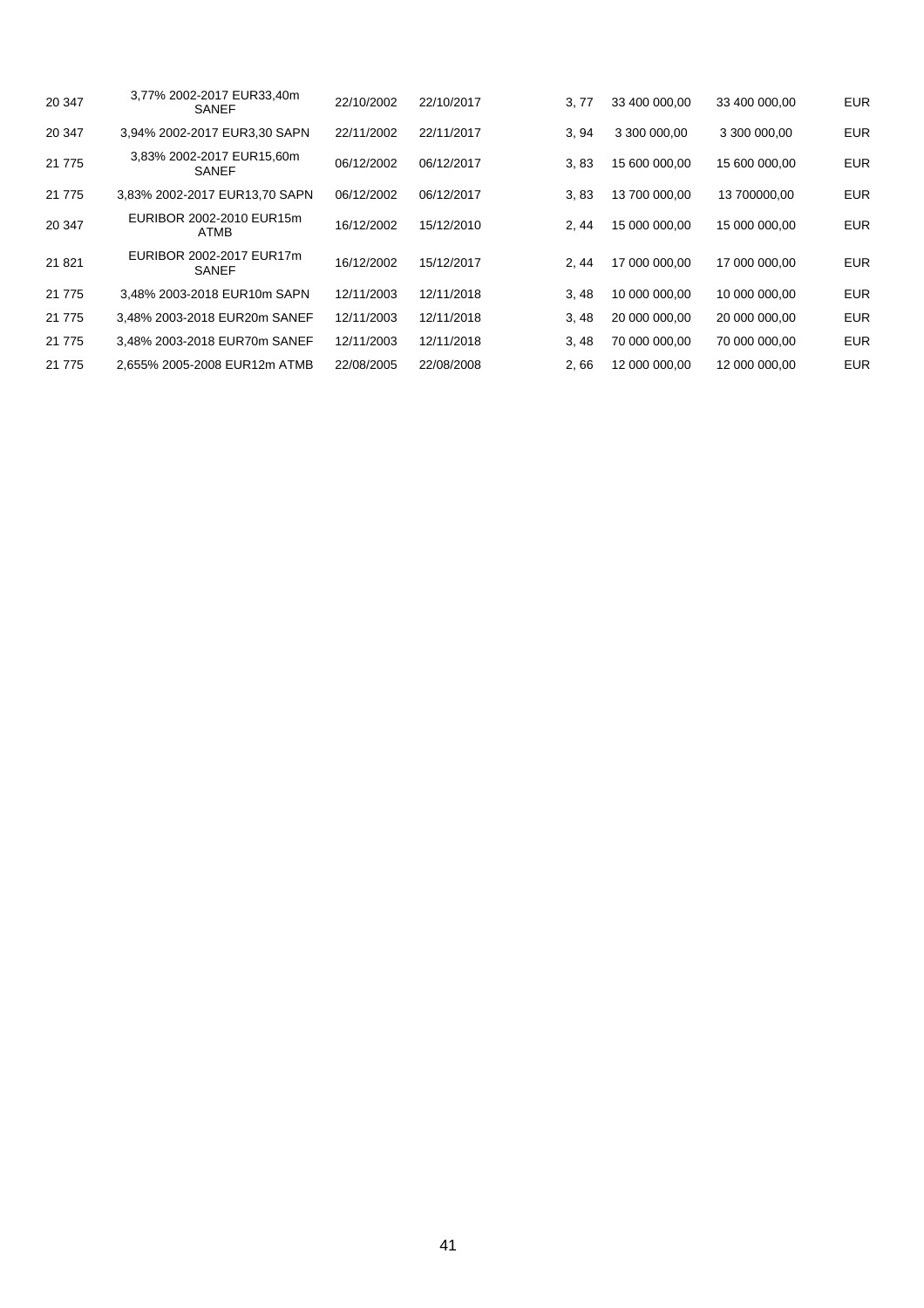| 20 347   | 3.77% 2002-2017 EUR33.40m<br><b>SANEF</b> | 22/10/2002 | 22/10/2017 | 3, 77 | 33 400 000,00 | 33 400 000.00 | <b>EUR</b> |
|----------|-------------------------------------------|------------|------------|-------|---------------|---------------|------------|
| 20 347   | 3,94% 2002-2017 EUR3,30 SAPN              | 22/11/2002 | 22/11/2017 | 3, 94 | 3 300 000.00  | 3 300 000.00  | <b>EUR</b> |
| 21 775   | 3,83% 2002-2017 EUR15,60m<br><b>SANEF</b> | 06/12/2002 | 06/12/2017 | 3,83  | 15 600 000.00 | 15 600 000.00 | <b>EUR</b> |
| 21 7 7 5 | 3,83% 2002-2017 EUR13,70 SAPN             | 06/12/2002 | 06/12/2017 | 3.83  | 13 700 000.00 | 13 700000.00  | <b>EUR</b> |
| 20 347   | EURIBOR 2002-2010 EUR15m<br>ATMB          | 16/12/2002 | 15/12/2010 | 2.44  | 15 000 000.00 | 15 000 000.00 | <b>EUR</b> |
| 21 8 21  | EURIBOR 2002-2017 EUR17m<br><b>SANEF</b>  | 16/12/2002 | 15/12/2017 | 2.44  | 17 000 000.00 | 17 000 000.00 | <b>EUR</b> |
| 21 7 7 5 | 3.48% 2003-2018 EUR10m SAPN               | 12/11/2003 | 12/11/2018 | 3.48  | 10 000 000.00 | 10 000 000.00 | <b>EUR</b> |
| 21 7 7 5 | 3.48% 2003-2018 EUR20m SANEF              | 12/11/2003 | 12/11/2018 | 3,48  | 20 000 000,00 | 20 000 000.00 | <b>EUR</b> |
| 21 7 7 5 | 3.48% 2003-2018 EUR70m SANEF              | 12/11/2003 | 12/11/2018 | 3,48  | 70 000 000.00 | 70 000 000.00 | <b>EUR</b> |
| 21 7 7 5 | 2.655% 2005-2008 EUR12m ATMB              | 22/08/2005 | 22/08/2008 | 2.66  | 12 000 000.00 | 12 000 000.00 | <b>EUR</b> |
|          |                                           |            |            |       |               |               |            |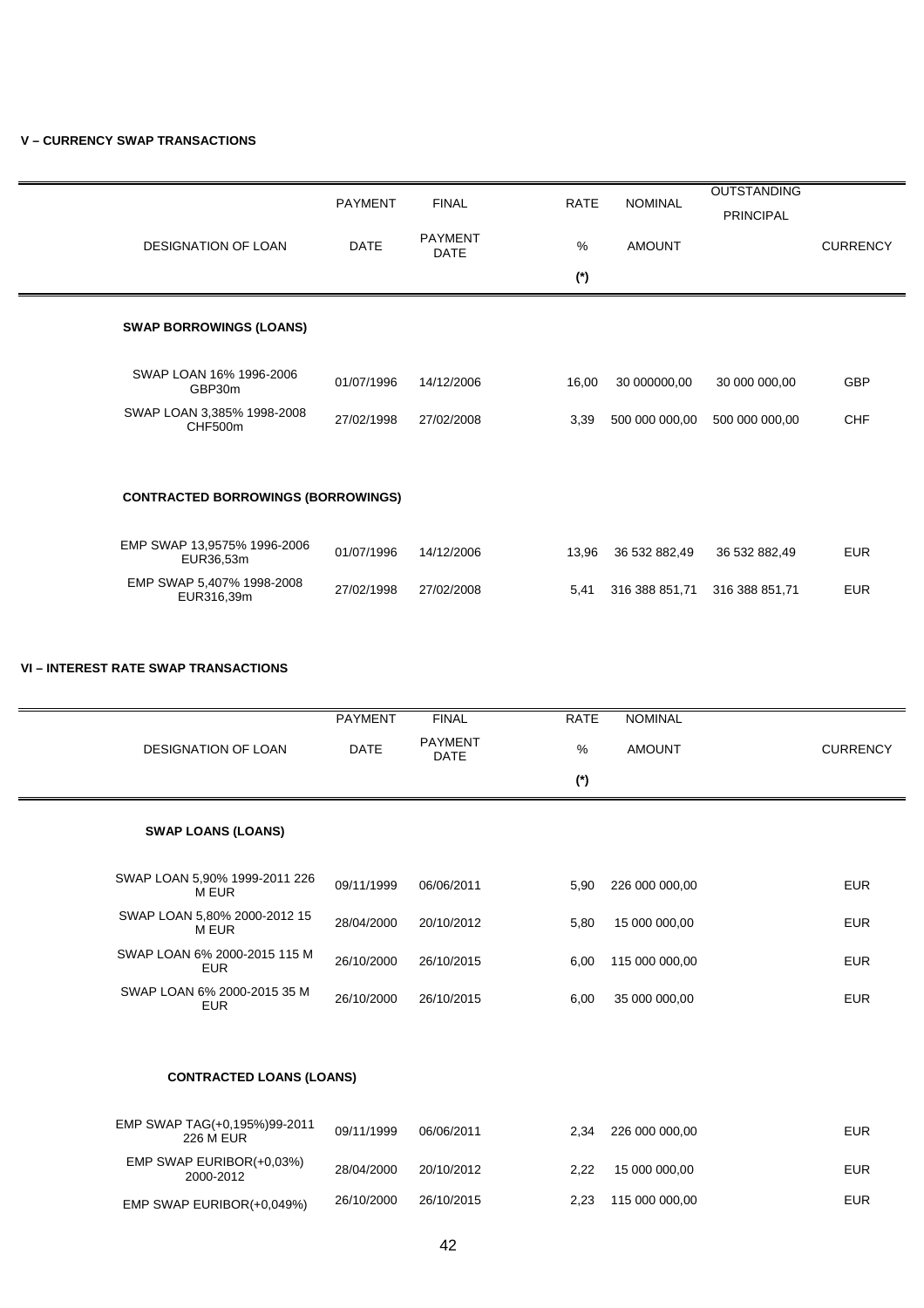# **V – CURRENCY SWAP TRANSACTIONS**

|                                           | <b>PAYMENT</b> | <b>FINAL</b>                  | <b>RATE</b> | <b>NOMINAL</b> | <b>OUTSTANDING</b><br><b>PRINCIPAL</b> |                 |
|-------------------------------------------|----------------|-------------------------------|-------------|----------------|----------------------------------------|-----------------|
| <b>DESIGNATION OF LOAN</b>                | <b>DATE</b>    | <b>PAYMENT</b><br><b>DATE</b> | %           | <b>AMOUNT</b>  |                                        | <b>CURRENCY</b> |
|                                           |                |                               | $(*)$       |                |                                        |                 |
| <b>SWAP BORROWINGS (LOANS)</b>            |                |                               |             |                |                                        |                 |
| SWAP LOAN 16% 1996-2006<br>GBP30m         | 01/07/1996     | 14/12/2006                    | 16,00       | 30 000000,00   | 30 000 000,00                          | <b>GBP</b>      |
| SWAP LOAN 3,385% 1998-2008<br>CHF500m     | 27/02/1998     | 27/02/2008                    | 3,39        | 500 000 000,00 | 500 000 000,00                         | <b>CHF</b>      |
|                                           |                |                               |             |                |                                        |                 |
| <b>CONTRACTED BORROWINGS (BORROWINGS)</b> |                |                               |             |                |                                        |                 |
| EMP SWAP 13,9575% 1996-2006<br>EUR36,53m  | 01/07/1996     | 14/12/2006                    | 13,96       | 36 532 882,49  | 36 532 882,49                          | <b>EUR</b>      |
| EMP SWAP 5,407% 1998-2008<br>EUR316,39m   | 27/02/1998     | 27/02/2008                    | 5,41        | 316 388 851,71 | 316 388 851,71                         | <b>EUR</b>      |

#### **VI – INTEREST RATE SWAP TRANSACTIONS**

|                                            | <b>PAYMENT</b> | <b>FINAL</b>                  | <b>RATE</b> | <b>NOMINAL</b> |                 |
|--------------------------------------------|----------------|-------------------------------|-------------|----------------|-----------------|
| <b>DESIGNATION OF LOAN</b>                 | <b>DATE</b>    | <b>PAYMENT</b><br><b>DATE</b> | %           | <b>AMOUNT</b>  | <b>CURRENCY</b> |
|                                            |                |                               | $(*)$       |                |                 |
| <b>SWAP LOANS (LOANS)</b>                  |                |                               |             |                |                 |
| SWAP LOAN 5,90% 1999-2011 226<br>M EUR     | 09/11/1999     | 06/06/2011                    | 5,90        | 226 000 000,00 | <b>EUR</b>      |
| SWAP LOAN 5,80% 2000-2012 15<br>M EUR      | 28/04/2000     | 20/10/2012                    | 5,80        | 15 000 000,00  | <b>EUR</b>      |
| SWAP LOAN 6% 2000-2015 115 M<br><b>EUR</b> | 26/10/2000     | 26/10/2015                    | 6,00        | 115 000 000,00 | <b>EUR</b>      |
| SWAP LOAN 6% 2000-2015 35 M<br><b>EUR</b>  | 26/10/2000     | 26/10/2015                    | 6,00        | 35 000 000,00  | <b>EUR</b>      |
|                                            |                |                               |             |                |                 |
| <b>CONTRACTED LOANS (LOANS)</b>            |                |                               |             |                |                 |
|                                            |                |                               |             |                |                 |

| EMP SWAP TAG(+0,195%)99-2011<br>226 M EUR | 09/11/1999 | 06/06/2011 | 2.34 | 226 000 000.00 | EUR. |
|-------------------------------------------|------------|------------|------|----------------|------|
| EMP SWAP EURIBOR(+0,03%)<br>2000-2012     | 28/04/2000 | 20/10/2012 | 2.22 | 15 000 000.00  | EUR. |
| EMP SWAP EURIBOR(+0,049%)                 | 26/10/2000 | 26/10/2015 | 2.23 | 115 000 000.00 | EUR. |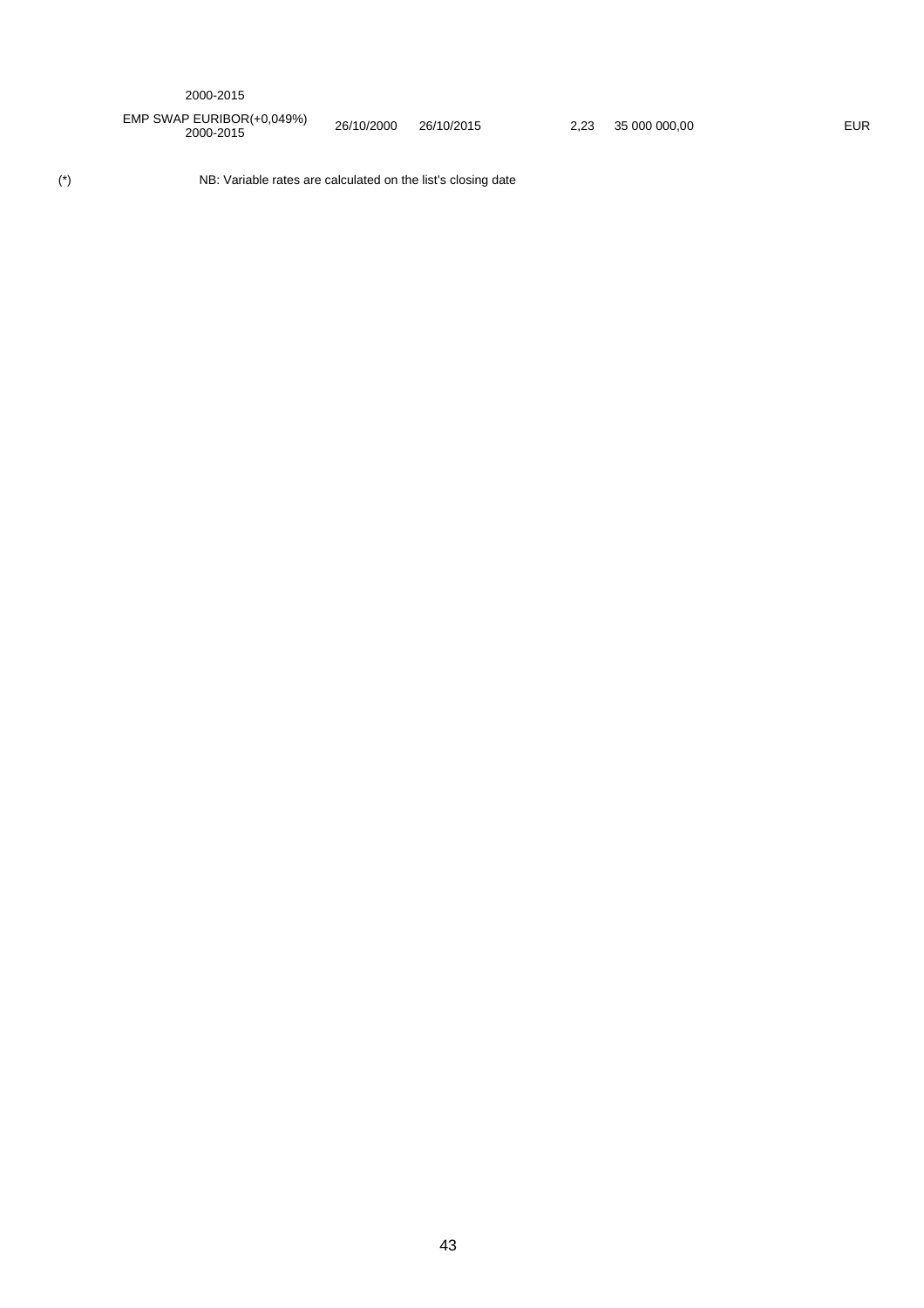| 2000-2015 |  |
|-----------|--|
|-----------|--|

EMP SWAP EURIBOR(+0,049%) 2000-2015 26/10/2000 26/10/2015 2,23 35 000 000,00 EUR

(\*) NB: Variable rates are calculated on the list's closing date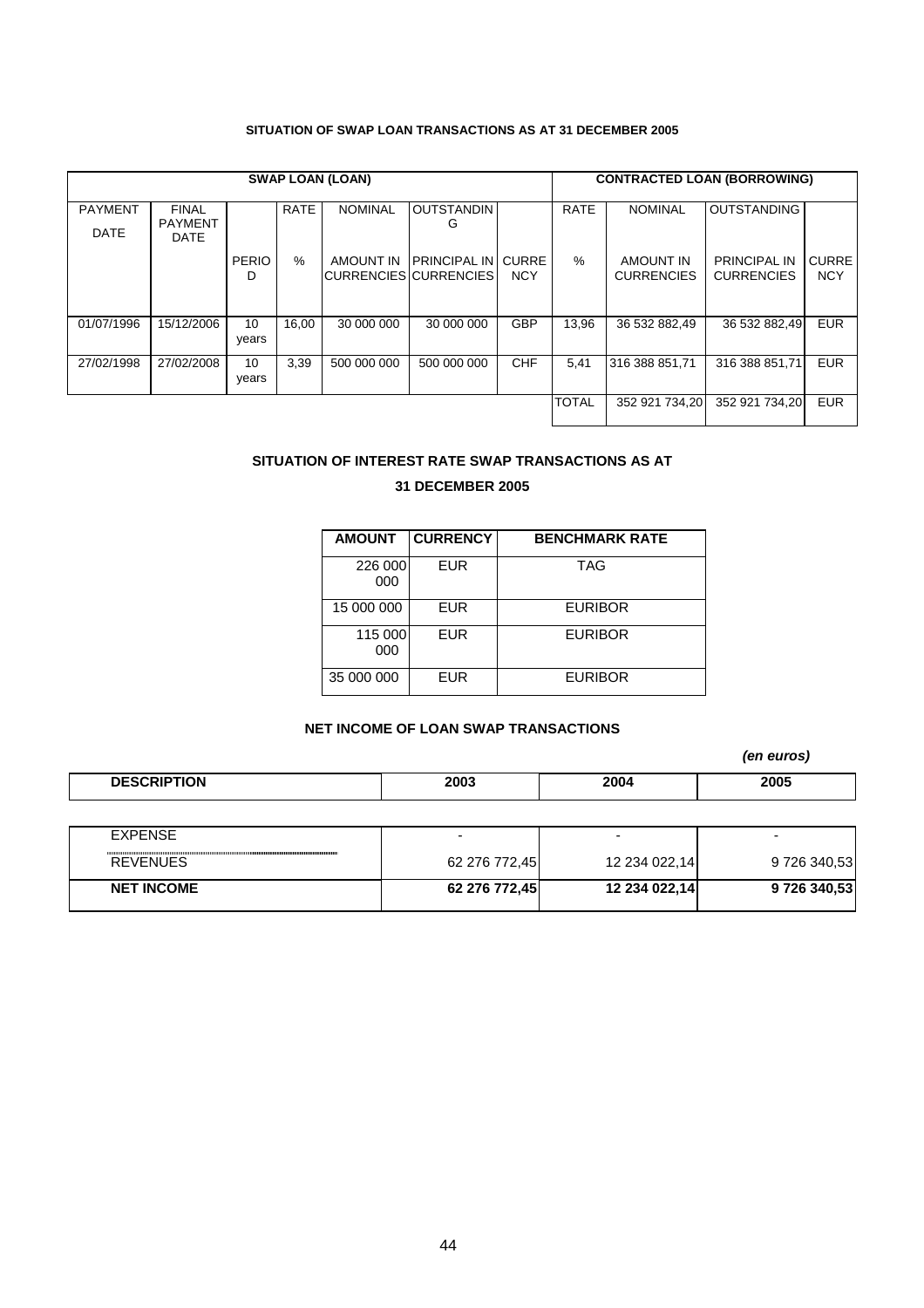# **SITUATION OF SWAP LOAN TRANSACTIONS AS AT 31 DECEMBER 2005**

|                |                                |              |             | <b>SWAP LOAN (LOAN)</b> |                                        |                            |              | <b>CONTRACTED LOAN (BORROWING)</b>    |                                          |                            |
|----------------|--------------------------------|--------------|-------------|-------------------------|----------------------------------------|----------------------------|--------------|---------------------------------------|------------------------------------------|----------------------------|
| <b>PAYMENT</b> | <b>FINAL</b><br><b>PAYMENT</b> |              | <b>RATE</b> | <b>NOMINAL</b>          | <b>OUTSTANDIN</b><br>G                 |                            | <b>RATE</b>  | <b>NOMINAL</b>                        | <b>OUTSTANDING</b>                       |                            |
| <b>DATE</b>    | <b>DATE</b>                    |              |             |                         |                                        |                            |              |                                       |                                          |                            |
|                |                                | <b>PERIO</b> | %           | AMOUNT IN               | IPRINCIPAL IN<br>CURRENCIES CURRENCIES | <b>CURRE</b><br><b>NCY</b> | $\%$         | <b>AMOUNT IN</b><br><b>CURRENCIES</b> | <b>PRINCIPAL IN</b><br><b>CURRENCIES</b> | <b>CURRE</b><br><b>NCY</b> |
|                |                                | D            |             |                         |                                        |                            |              |                                       |                                          |                            |
|                |                                |              |             |                         |                                        |                            |              |                                       |                                          |                            |
| 01/07/1996     | 15/12/2006                     | 10           | 16.00       | 30 000 000              | 30 000 000                             | <b>GBP</b>                 | 13.96        | 36 532 882,49                         | 36 532 882.49                            | <b>EUR</b>                 |
|                |                                | years        |             |                         |                                        |                            |              |                                       |                                          |                            |
| 27/02/1998     | 27/02/2008                     | 10           | 3,39        | 500 000 000             | 500 000 000                            | <b>CHF</b>                 | 5,41         | 316 388 851,71                        | 316 388 851.71                           | <b>EUR</b>                 |
|                |                                | years        |             |                         |                                        |                            |              |                                       |                                          |                            |
|                |                                |              |             |                         |                                        |                            | <b>TOTAL</b> | 352 921 734.20                        | 352 921 734.20                           | <b>EUR</b>                 |
|                |                                |              |             |                         |                                        |                            |              |                                       |                                          |                            |

# **SITUATION OF INTEREST RATE SWAP TRANSACTIONS AS AT**

# **31 DECEMBER 2005**

| <b>AMOUNT</b>  | <b>CURRENCY</b> | <b>BENCHMARK RATE</b> |
|----------------|-----------------|-----------------------|
| 226 000<br>000 | <b>EUR</b>      | <b>TAG</b>            |
| 15 000 000     | <b>EUR</b>      | <b>EURIBOR</b>        |
| 115 000<br>000 | <b>EUR</b>      | <b>EURIBOR</b>        |
| 35 000 000     | <b>EUR</b>      | <b>EURIBOR</b>        |

# **NET INCOME OF LOAN SWAP TRANSACTIONS**

*(en euros)* 

| <b>DESCRIPTION</b> | 2003 | 2004<br>___ | 2005 |
|--------------------|------|-------------|------|

| <b>EXPENSE</b>    |               | -             |              |
|-------------------|---------------|---------------|--------------|
| <b>REVENUES</b>   | 62 276 772,45 | 12 234 022,14 | 9 726 340,53 |
| <b>NET INCOME</b> | 62 276 772.45 | 12 234 022,14 | 9726 340,53  |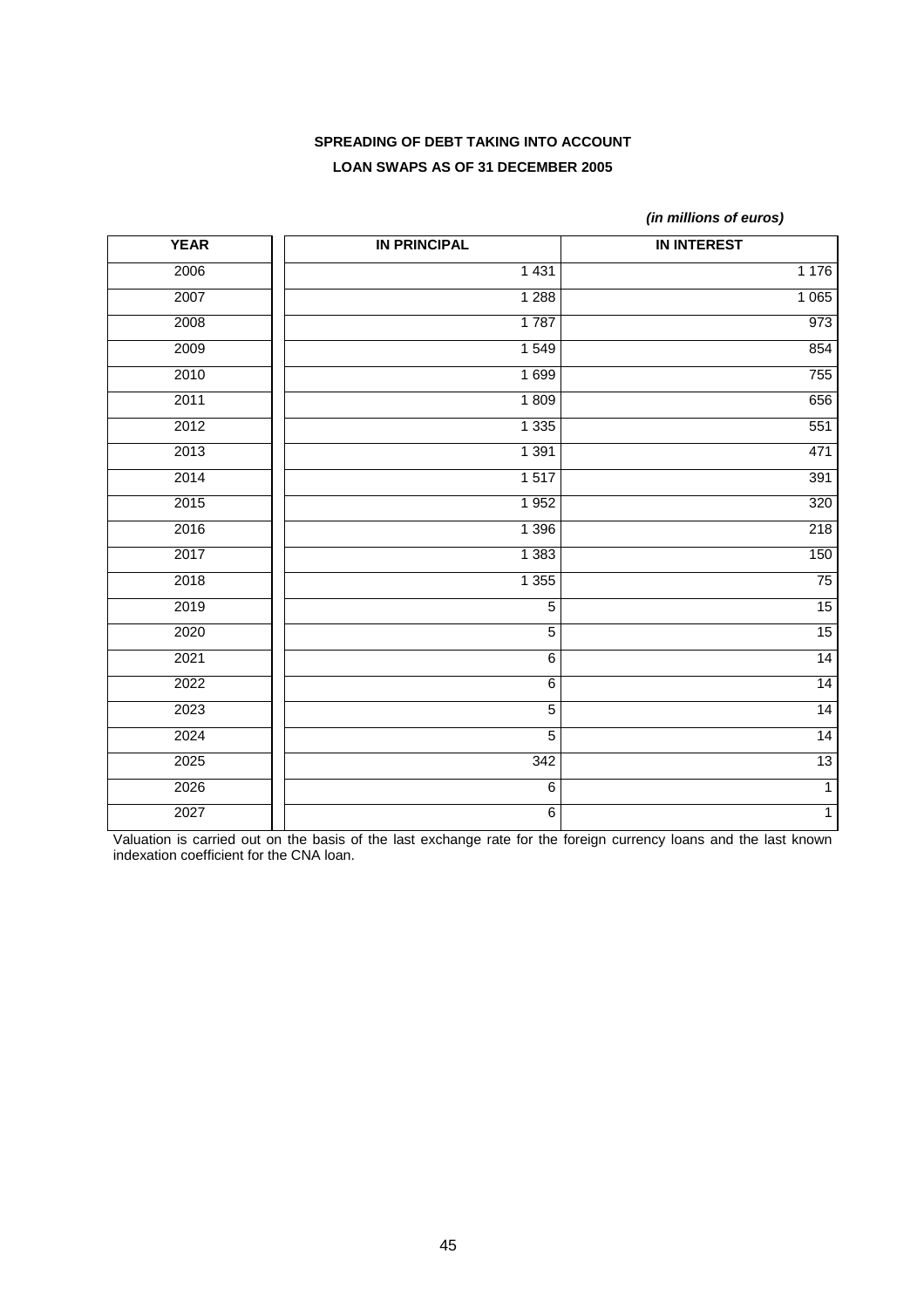# **SPREADING OF DEBT TAKING INTO ACCOUNT LOAN SWAPS AS OF 31 DECEMBER 2005**

*(in millions of euros)* 

| <b>YEAR</b> | <b>IN PRINCIPAL</b> | <b>IN INTEREST</b> |
|-------------|---------------------|--------------------|
| 2006        | 1 4 3 1             | 1 1 7 6            |
| 2007        | 1 2 8 8             | 1 0 6 5            |
| 2008        | 1787                | 973                |
| 2009        | 1 5 4 9             | 854                |
| 2010        | 1 6 9 9             | 755                |
| 2011        | 1809                | 656                |
| 2012        | 1 3 3 5             | 551                |
| 2013        | 1 3 9 1             | 471                |
| 2014        | 1517                | 391                |
| 2015        | 1952                | 320                |
| 2016        | 1 3 9 6             | 218                |
| 2017        | 1 3 8 3             | 150                |
| 2018        | 1 3 5 5             | $\overline{75}$    |
| 2019        | $\overline{5}$      | 15                 |
| 2020        | $\overline{5}$      | 15                 |
| 2021        | $\overline{6}$      | 14                 |
| 2022        | $\,6$               | 14                 |
| 2023        | $\overline{5}$      | 14                 |
| 2024        | $\overline{5}$      | 14                 |
| 2025        | 342                 | 13                 |
| 2026        | $\overline{6}$      | $\overline{1}$     |
| 2027        | $\,6$               | $\overline{1}$     |

Valuation is carried out on the basis of the last exchange rate for the foreign currency loans and the last known indexation coefficient for the CNA loan.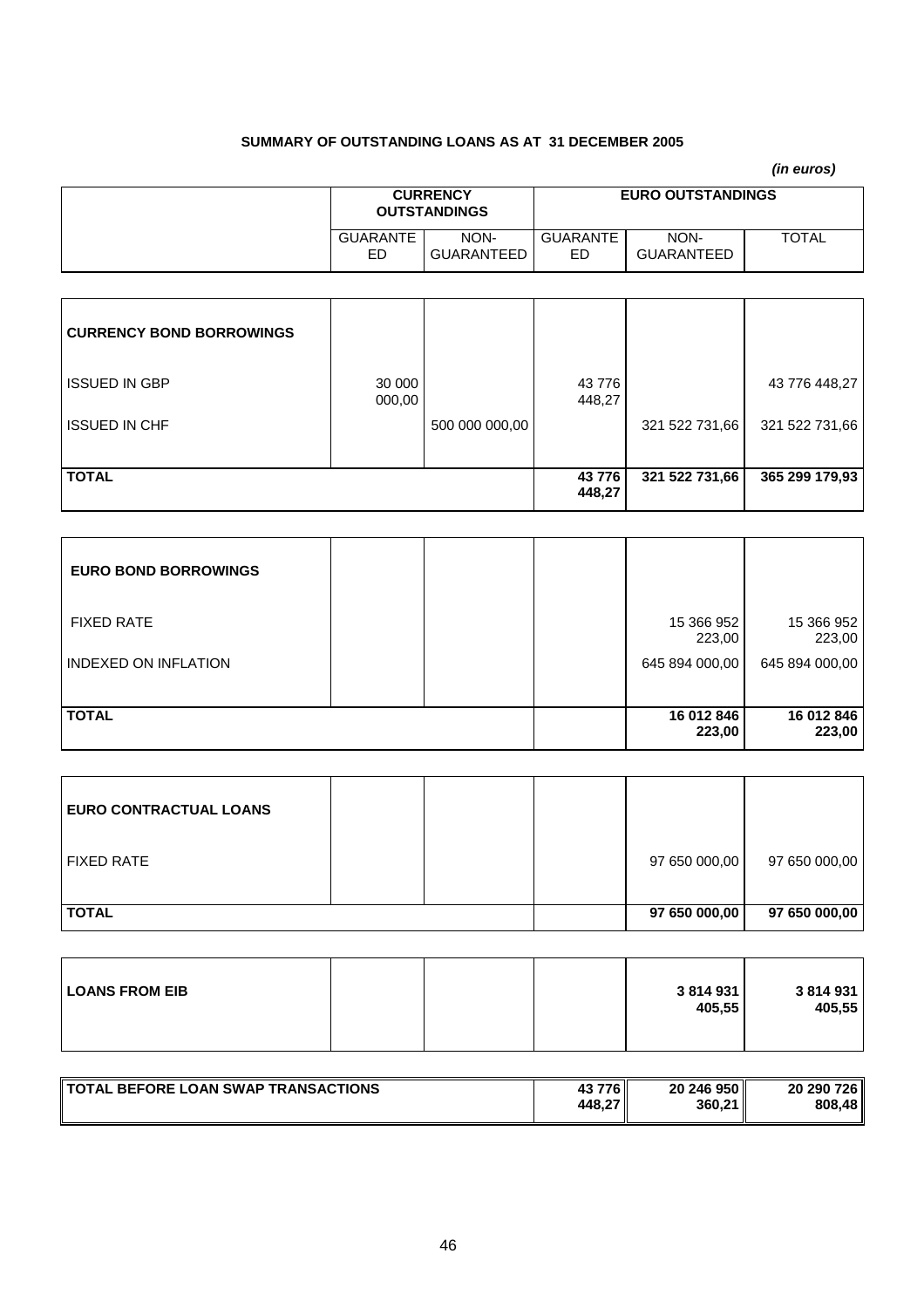# **SUMMARY OF OUTSTANDING LOANS AS AT 31 DECEMBER 2005**

|                       |                                        |                        |                          | (in euros)   |
|-----------------------|----------------------------------------|------------------------|--------------------------|--------------|
|                       | <b>CURRENCY</b><br><b>OUTSTANDINGS</b> |                        | <b>EURO OUTSTANDINGS</b> |              |
| <b>GUARANTE</b><br>ED | NON-<br><b>GUARANTEED</b>              | <b>GUARANTE</b><br>ED. | NON-<br>GUARANTEED       | <b>TOTAL</b> |

| <b>CURRENCY BOND BORROWINGS</b> |                  |                |                 |                |                |
|---------------------------------|------------------|----------------|-----------------|----------------|----------------|
| <b>ISSUED IN GBP</b>            | 30 000<br>000,00 |                | 43776<br>448,27 |                | 43 776 448,27  |
| <b>ISSUED IN CHF</b>            |                  | 500 000 000,00 |                 | 321 522 731,66 | 321 522 731,66 |
| <b>TOTAL</b>                    |                  |                | 43776<br>448,27 | 321 522 731,66 | 365 299 179,93 |

| <b>EURO BOND BORROWINGS</b> |  |                      |                      |
|-----------------------------|--|----------------------|----------------------|
| <b>FIXED RATE</b>           |  | 15 366 952<br>223,00 | 15 366 952<br>223,00 |
| <b>INDEXED ON INFLATION</b> |  | 645 894 000,00       | 645 894 000,00       |
| <b>TOTAL</b>                |  | 16 012 846<br>223,00 | 16 012 846<br>223,00 |

| <b>EURO CONTRACTUAL LOANS</b> |  |               |               |
|-------------------------------|--|---------------|---------------|
| <b>FIXED RATE</b>             |  | 97 650 000,00 | 97 650 000,00 |
| <b>TOTAL</b>                  |  | 97 650 000,00 | 97 650 000,00 |

| <b>LOANS FROM EIB</b><br>3814931<br>3 814 931<br>405,55<br>405,55 |
|-------------------------------------------------------------------|
|-------------------------------------------------------------------|

| TOTAL BEFORE LOAN SWAP TRANSACTIONS | 43 776 II | 20 246 950 | 20 290 726 |
|-------------------------------------|-----------|------------|------------|
|                                     | 448,27 "  | 360,21     | 808,48     |
|                                     |           |            |            |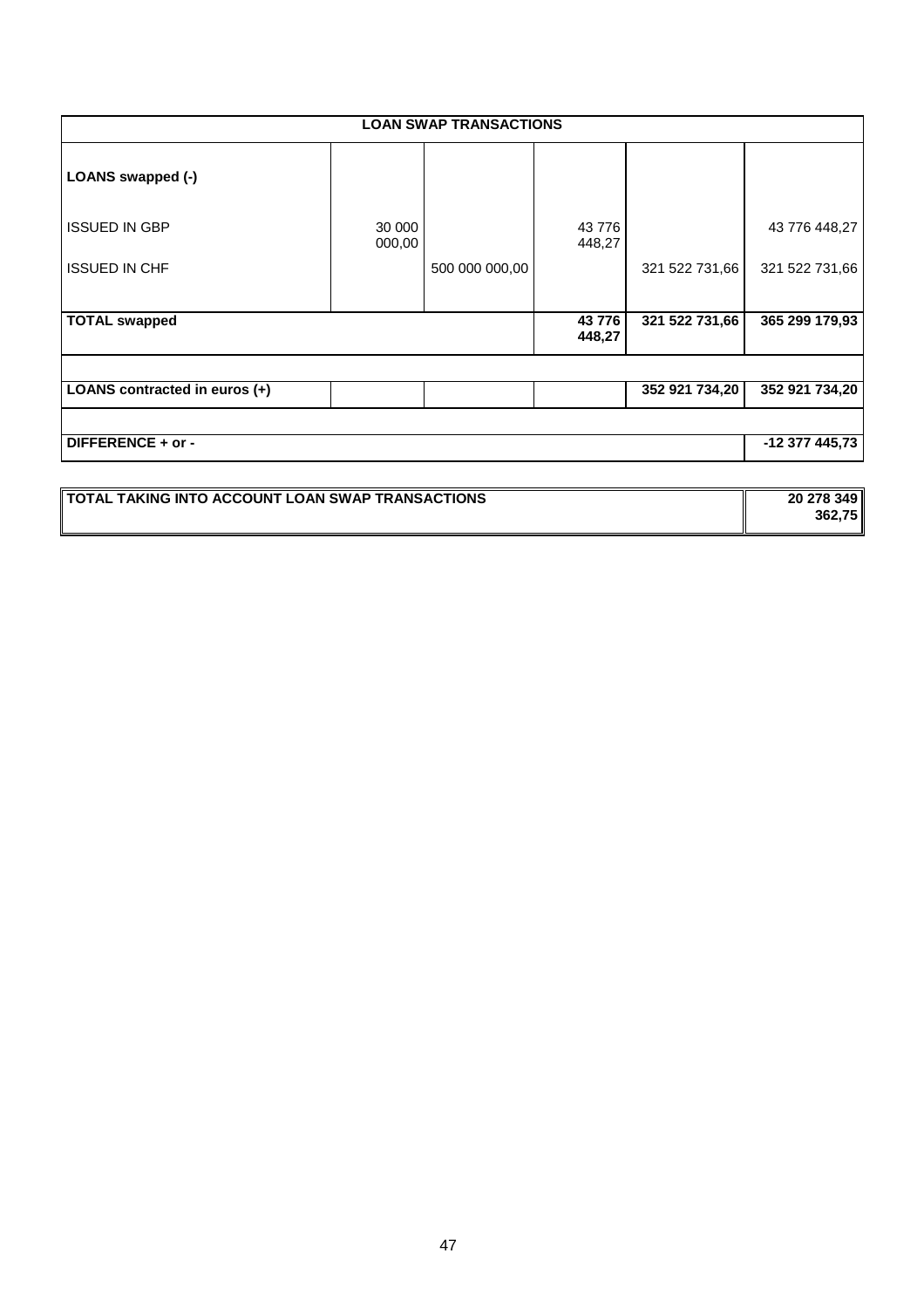| <b>LOAN SWAP TRANSACTIONS</b> |                  |                |                 |                |                |  |  |  |
|-------------------------------|------------------|----------------|-----------------|----------------|----------------|--|--|--|
| LOANS swapped (-)             |                  |                |                 |                |                |  |  |  |
| <b>ISSUED IN GBP</b>          | 30 000<br>000,00 |                | 43776<br>448,27 |                | 43 776 448,27  |  |  |  |
| <b>ISSUED IN CHF</b>          |                  | 500 000 000,00 |                 | 321 522 731,66 | 321 522 731,66 |  |  |  |
| <b>TOTAL swapped</b>          |                  |                | 43776<br>448,27 | 321 522 731,66 | 365 299 179,93 |  |  |  |
| LOANS contracted in euros (+) |                  |                |                 | 352 921 734,20 | 352 921 734,20 |  |  |  |
| DIFFERENCE + or -             |                  |                |                 |                | -12 377 445,73 |  |  |  |
|                               |                  |                |                 |                |                |  |  |  |

| <b>TOTAL TAKING INTO ACCOUNT LOAN SWAP TRANSACTIONS</b> | 20 278 349 |
|---------------------------------------------------------|------------|
|                                                         | 362.75     |
|                                                         |            |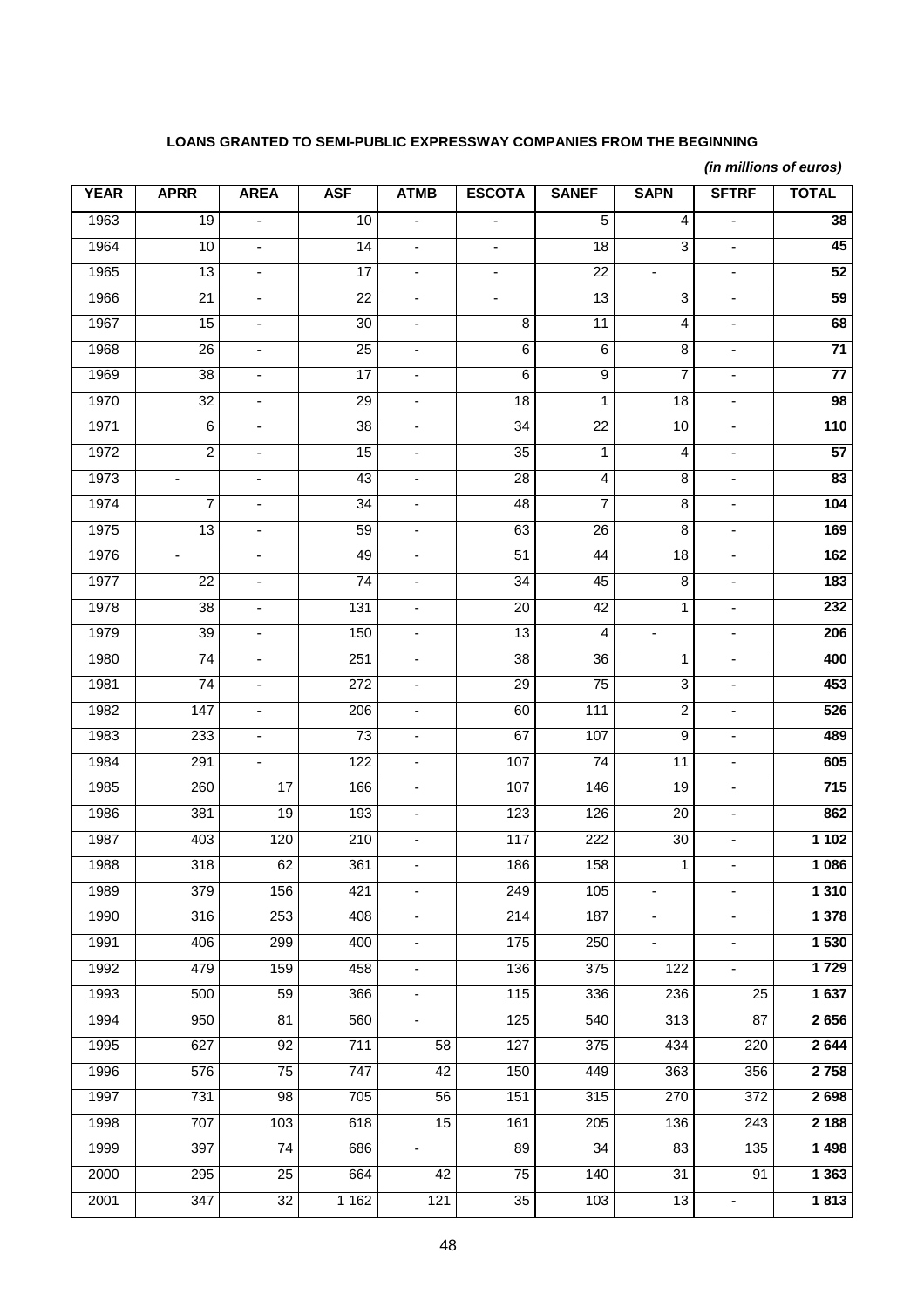# **LOANS GRANTED TO SEMI-PUBLIC EXPRESSWAY COMPANIES FROM THE BEGINNING**

*(in millions of euros)* 

| <b>YEAR</b>       | <b>APRR</b>      | <b>AREA</b>              | <b>ASF</b>       | <b>ATMB</b>                  | <b>ESCOTA</b>                | <b>SANEF</b>     | <b>SAPN</b>                  | <b>SFTRF</b>                 | <b>TOTAL</b>             |
|-------------------|------------------|--------------------------|------------------|------------------------------|------------------------------|------------------|------------------------------|------------------------------|--------------------------|
| 1963              | $\overline{19}$  | $\blacksquare$           | 10               | $\blacksquare$               | $\qquad \qquad \blacksquare$ | 5                | 4                            | $\blacksquare$               | 38                       |
| 1964              | 10               | $\blacksquare$           | 14               | $\overline{\phantom{a}}$     | $\qquad \qquad \blacksquare$ | 18               | 3                            | $\overline{\phantom{a}}$     | 45                       |
| 1965              | 13               | $\overline{\phantom{a}}$ | 17               | $\overline{\phantom{a}}$     | -                            | 22               |                              | $\overline{\phantom{a}}$     | 52                       |
| 1966              | $\overline{21}$  | $\overline{\phantom{a}}$ | $\overline{22}$  | $\overline{\phantom{a}}$     | ٠                            | $\overline{13}$  | 3                            | $\overline{\phantom{a}}$     | 59                       |
| 1967              | 15               | $\overline{\phantom{a}}$ | 30               | $\blacksquare$               | 8                            | 11               | 4                            | $\blacksquare$               | 68                       |
| 1968              | 26               | $\overline{\phantom{a}}$ | $\overline{25}$  | $\overline{\phantom{a}}$     | 6                            | 6                | 8                            | $\overline{\phantom{a}}$     | $\overline{71}$          |
| 1969              | $\overline{38}$  | $\overline{\phantom{a}}$ | $\overline{17}$  | $\overline{\phantom{a}}$     | 6                            | 9                | $\overline{7}$               | $\overline{\phantom{a}}$     | $\overline{77}$          |
| 1970              | $\overline{32}$  | $\overline{\phantom{0}}$ | 29               | $\overline{\phantom{a}}$     | $\overline{18}$              | 1                | 18                           | $\overline{\phantom{a}}$     | 98                       |
| 1971              | $\overline{6}$   | $\overline{\phantom{a}}$ | $\overline{38}$  | $\blacksquare$               | $\overline{34}$              | $\overline{22}$  | 10                           | $\blacksquare$               | $\overline{110}$         |
| 1972              | $\overline{2}$   | $\blacksquare$           | 15               | $\overline{\phantom{a}}$     | 35                           | 1                | 4                            | ÷,                           | 57                       |
| $\frac{1}{1973}$  | $\blacksquare$   | $\blacksquare$           | 43               | $\blacksquare$               | $\overline{28}$              | $\overline{4}$   | 8                            | $\blacksquare$               | $\overline{\mathbf{83}}$ |
| 1974              | $\overline{7}$   | ÷,                       | $\overline{34}$  | $\qquad \qquad \blacksquare$ | 48                           | 7                | 8                            | $\qquad \qquad \blacksquare$ | 104                      |
| 1975              | $\overline{13}$  | $\blacksquare$           | 59               | $\blacksquare$               | 63                           | $\overline{26}$  | 8                            | $\blacksquare$               | 169                      |
| 1976              | $\blacksquare$   | $\overline{\phantom{a}}$ | 49               | $\overline{\phantom{a}}$     | 51                           | 44               | 18                           | $\blacksquare$               | 162                      |
| 1977              | 22               | $\overline{\phantom{a}}$ | 74               | $\blacksquare$               | 34                           | 45               | 8                            | $\blacksquare$               | 183                      |
| $\overline{1978}$ | $\overline{38}$  | $\overline{\phantom{a}}$ | $\overline{131}$ | $\blacksquare$               | $\overline{20}$              | 42               | 1                            | $\blacksquare$               | 232                      |
| 1979              | 39               | $\overline{\phantom{a}}$ | 150              | $\overline{\phantom{a}}$     | $\overline{13}$              | 4                |                              | $\overline{\phantom{a}}$     | 206                      |
| 1980              | $\overline{74}$  | $\overline{\phantom{a}}$ | 251              | $\overline{\phantom{a}}$     | $\overline{38}$              | $\overline{36}$  | 1                            | $\blacksquare$               | 400                      |
| 1981              | $\overline{74}$  | $\overline{\phantom{a}}$ | $\overline{272}$ | $\blacksquare$               | 29                           | $\overline{75}$  | 3                            | $\blacksquare$               | 453                      |
| 1982              | 147              | $\overline{\phantom{a}}$ | 206              | $\overline{\phantom{a}}$     | 60                           | 111              | $\overline{\mathbf{c}}$      | $\overline{\phantom{a}}$     | 526                      |
| 1983              | $\overline{2}33$ |                          | 73               | $\qquad \qquad \blacksquare$ | 67                           | 107              | 9                            | $\overline{\phantom{m}}$     | 489                      |
| 1984              | 291              | $\overline{\phantom{a}}$ | 122              | $\blacksquare$               | 107                          | 74               | $\overline{11}$              | $\blacksquare$               | 605                      |
| 1985              | 260              | 17                       | 166              | $\overline{\phantom{a}}$     | 107                          | 146              | 19                           | $\overline{\phantom{a}}$     | 715                      |
| 1986              | 381              | 19                       | 193              | $\blacksquare$               | 123                          | 126              | 20                           | $\blacksquare$               | 862                      |
| 1987              | 403              | 120                      | 210              | ä,                           | $117$                        | $\overline{222}$ | 30                           | ÷,                           | 1102                     |
| 1988              | 318              | 62                       | 361              | ä,                           | 186                          | 158              | $\mathbf 1$                  | ä,                           | 1 0 8 6                  |
| 1989              | 379              | 156                      | 421              | $\qquad \qquad \blacksquare$ | 249                          | 105              | $\qquad \qquad \blacksquare$ | $\blacksquare$               | 1 3 1 0                  |
| 1990              | 316              | 253                      | 408              | $\blacksquare$               | 214                          | 187              | ٠                            | $\blacksquare$               | 1 3 7 8                  |
| 1991              | 406              | 299                      | 400              | $\overline{\phantom{a}}$     | $\frac{175}{2}$              | 250              | ٠                            | ٠                            | 1 530                    |
| 1992              | 479              | 159                      | 458              | $\blacksquare$               | 136                          | 375              | 122                          | ÷.                           | 1729                     |
| 1993              | 500              | 59                       | 366              | $\blacksquare$               | 115                          | 336              | 236                          | 25                           | 1 637                    |
| 1994              | 950              | 81                       | 560              | $\blacksquare$               | 125                          | 540              | 313                          | 87                           | 2656                     |
| 1995              | 627              | 92                       | 711              | 58                           | 127                          | 375              | 434                          | 220                          | 2 6 4 4                  |
| 1996              | 576              | $\overline{75}$          | 747              | 42                           | 150                          | 449              | 363                          | 356                          | 2 7 5 8                  |
| 1997              | 731              | 98                       | 705              | 56                           | 151                          | 315              | 270                          | 372                          | 2698                     |
| 1998              | 707              | $\overline{1}03$         | 618              | 15                           | 161                          | 205              | 136                          | 243                          | 2 1 8 8                  |
| 1999              | 397              | $\overline{74}$          | 686              | $\blacksquare$               | 89                           | 34               | 83                           | 135                          | 1 4 9 8                  |
| 2000              | 295              | 25                       | 664              | 42                           | $\overline{75}$              | 140              | 31                           | 91                           | 1 3 6 3                  |
| 2001              | 347              | $\overline{32}$          | 1 1 6 2          | $\overline{121}$             | $\overline{35}$              | 103              | 13                           | $\blacksquare$               | 1813                     |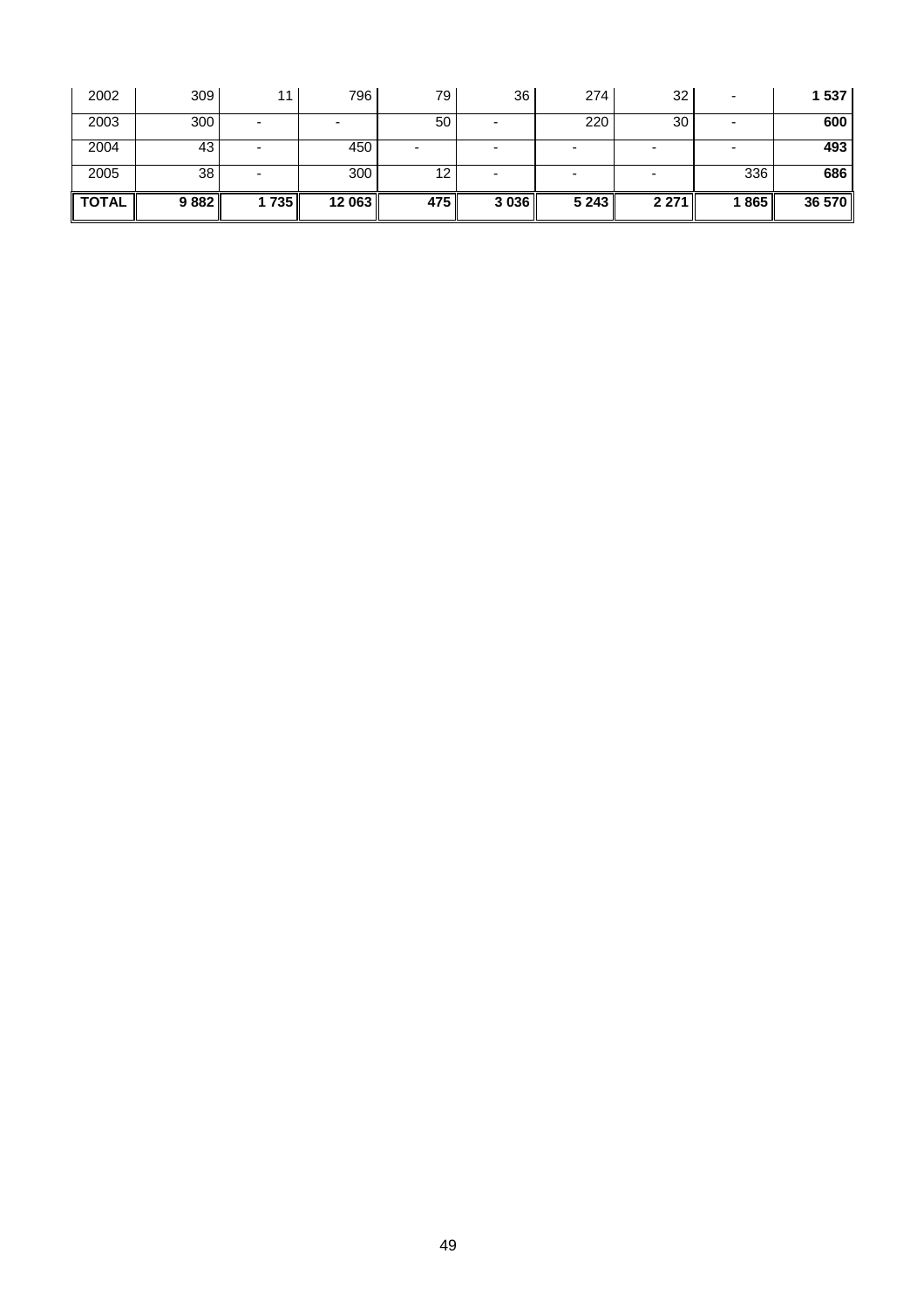| 2002              | 309  | 11   | 796    | 79    | 36      | 274     | 32      |      | 1 537  |
|-------------------|------|------|--------|-------|---------|---------|---------|------|--------|
| 2003              | 300  |      |        | 50    |         | 220     | 30      |      | 600    |
| 2004              | 43   |      | 450    | -     |         |         |         |      | 493    |
| 2005              | 38   |      | 300    | 12    |         |         |         | 336  | 686    |
| $\parallel$ TOTAL | 9882 | 1735 | 12 063 | 475 l | 3 0 3 6 | 5 2 4 3 | 2 2 7 1 | 1865 | 36 570 |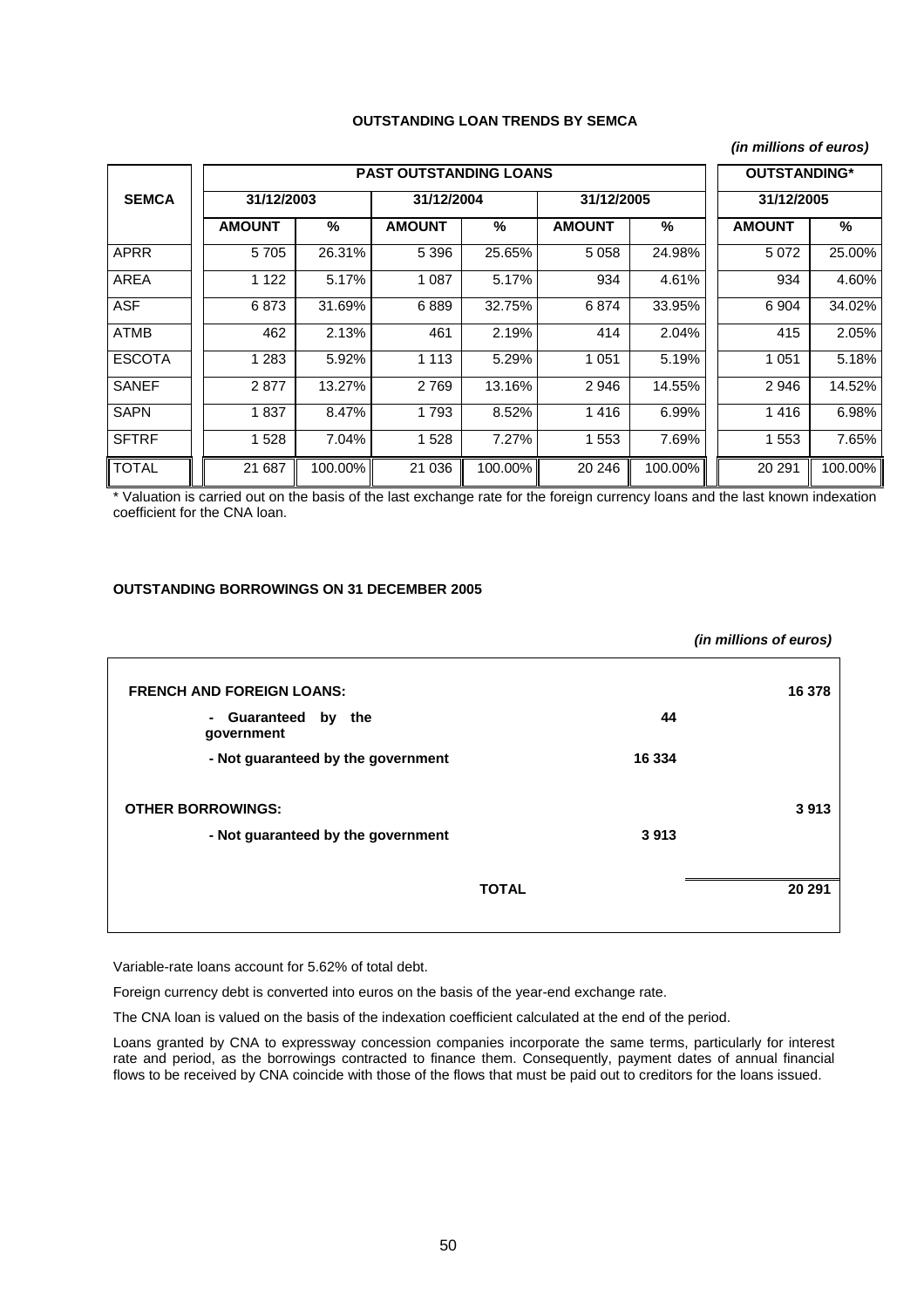#### **OUTSTANDING LOAN TRENDS BY SEMCA**

#### *(in millions of euros)*

|               |               | OUTSTANDING* |               |         |               |         |               |         |
|---------------|---------------|--------------|---------------|---------|---------------|---------|---------------|---------|
| <b>SEMCA</b>  | 31/12/2003    |              | 31/12/2004    |         | 31/12/2005    |         | 31/12/2005    |         |
|               | <b>AMOUNT</b> | %            | <b>AMOUNT</b> | %       | <b>AMOUNT</b> | %       | <b>AMOUNT</b> | %       |
| <b>APRR</b>   | 5705          | 26.31%       | 5 3 9 6       | 25.65%  | 5 0 5 8       | 24.98%  | 5072          | 25.00%  |
| AREA          | 1 1 2 2       | 5.17%        | 1 0 8 7       | 5.17%   | 934           | 4.61%   | 934           | 4.60%   |
| <b>ASF</b>    | 6873          | 31.69%       | 6889          | 32.75%  | 6874          | 33.95%  | 6904          | 34.02%  |
| <b>ATMB</b>   | 462           | 2.13%        | 461           | 2.19%   | 414           | 2.04%   | 415           | 2.05%   |
| <b>ESCOTA</b> | 1 2 8 3       | 5.92%        | 1 1 1 3       | 5.29%   | 1 0 5 1       | 5.19%   | 1 0 5 1       | 5.18%   |
| <b>SANEF</b>  | 2877          | 13.27%       | 2769          | 13.16%  | 2946          | 14.55%  | 2946          | 14.52%  |
| <b>SAPN</b>   | 1837          | 8.47%        | 1793          | 8.52%   | 1416          | 6.99%   | 1416          | 6.98%   |
| <b>SFTRF</b>  | 1528          | 7.04%        | 1 5 2 8       | 7.27%   | 1 553         | 7.69%   | 1553          | 7.65%   |
| <b>TOTAL</b>  | 21 687        | 100.00%      | 21 0 36       | 100.00% | 20 24 6       | 100.00% | 20 291        | 100.00% |

\* Valuation is carried out on the basis of the last exchange rate for the foreign currency loans and the last known indexation coefficient for the CNA loan.

#### **OUTSTANDING BORROWINGS ON 31 DECEMBER 2005**

|                                    |              | (in millions of euros) |
|------------------------------------|--------------|------------------------|
| <b>FRENCH AND FOREIGN LOANS:</b>   |              | 16 378                 |
| - Guaranteed by the<br>government  | 44           |                        |
| - Not guaranteed by the government | 16 334       |                        |
| <b>OTHER BORROWINGS:</b>           |              | 3913                   |
| - Not guaranteed by the government | 3913         |                        |
|                                    |              |                        |
|                                    | <b>TOTAL</b> | 20 291                 |
|                                    |              |                        |

Variable-rate loans account for 5.62% of total debt.

Foreign currency debt is converted into euros on the basis of the year-end exchange rate.

The CNA loan is valued on the basis of the indexation coefficient calculated at the end of the period.

Loans granted by CNA to expressway concession companies incorporate the same terms, particularly for interest rate and period, as the borrowings contracted to finance them. Consequently, payment dates of annual financial flows to be received by CNA coincide with those of the flows that must be paid out to creditors for the loans issued.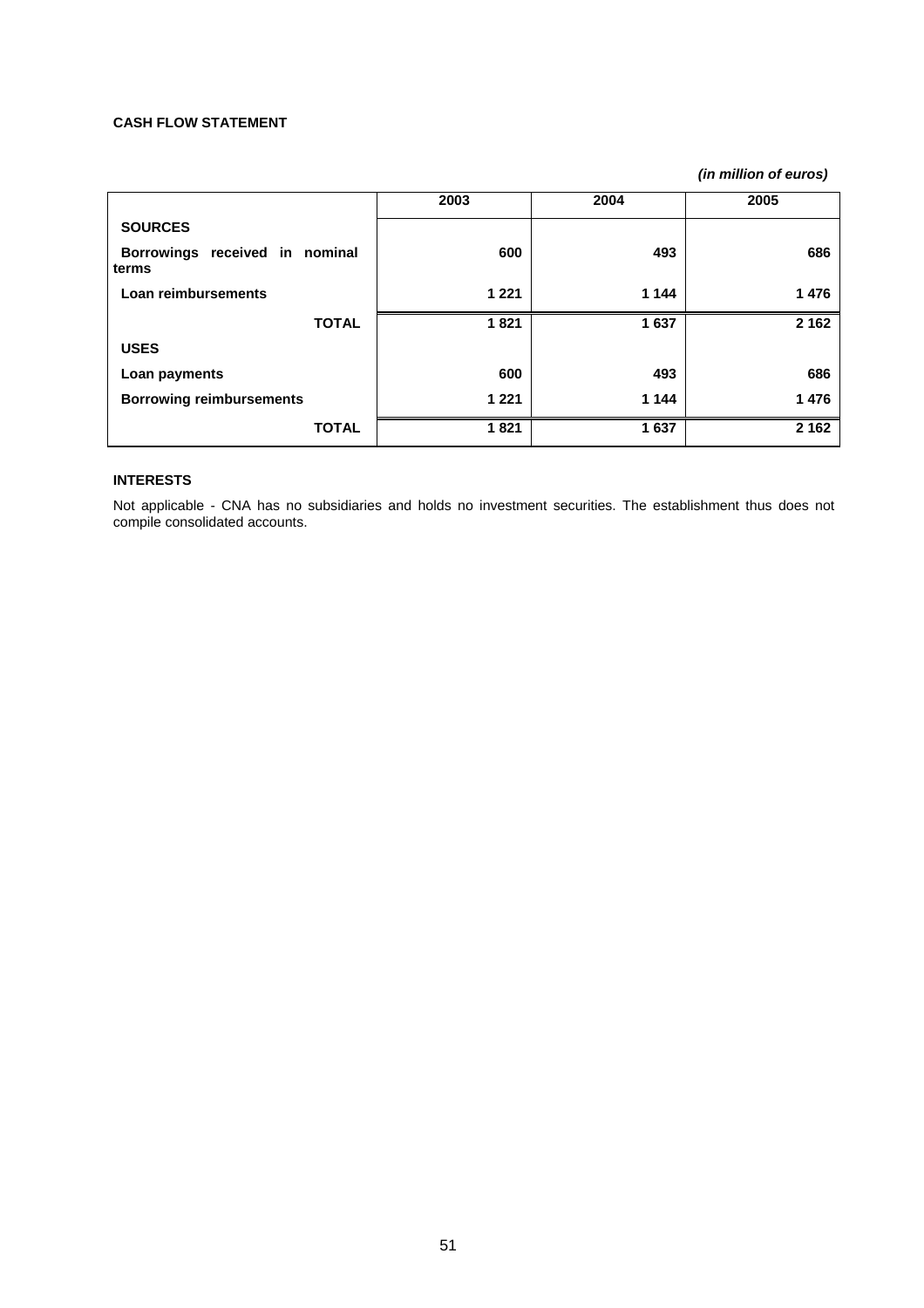#### **CASH FLOW STATEMENT**

*(in million of euros)* 

|                                         | 2003    | 2004    | 2005    |
|-----------------------------------------|---------|---------|---------|
| <b>SOURCES</b>                          |         |         |         |
| Borrowings received in nominal<br>terms | 600     | 493     | 686     |
| Loan reimbursements                     | 1 2 2 1 | 1 1 4 4 | 1476    |
| <b>TOTAL</b>                            | 1821    | 1637    | 2 1 6 2 |
| <b>USES</b>                             |         |         |         |
| Loan payments                           | 600     | 493     | 686     |
| <b>Borrowing reimbursements</b>         | 1 2 2 1 | 1 1 4 4 | 1476    |
| <b>TOTAL</b>                            | 1821    | 1637    | 2 1 6 2 |

# **INTERESTS**

Not applicable - CNA has no subsidiaries and holds no investment securities. The establishment thus does not compile consolidated accounts.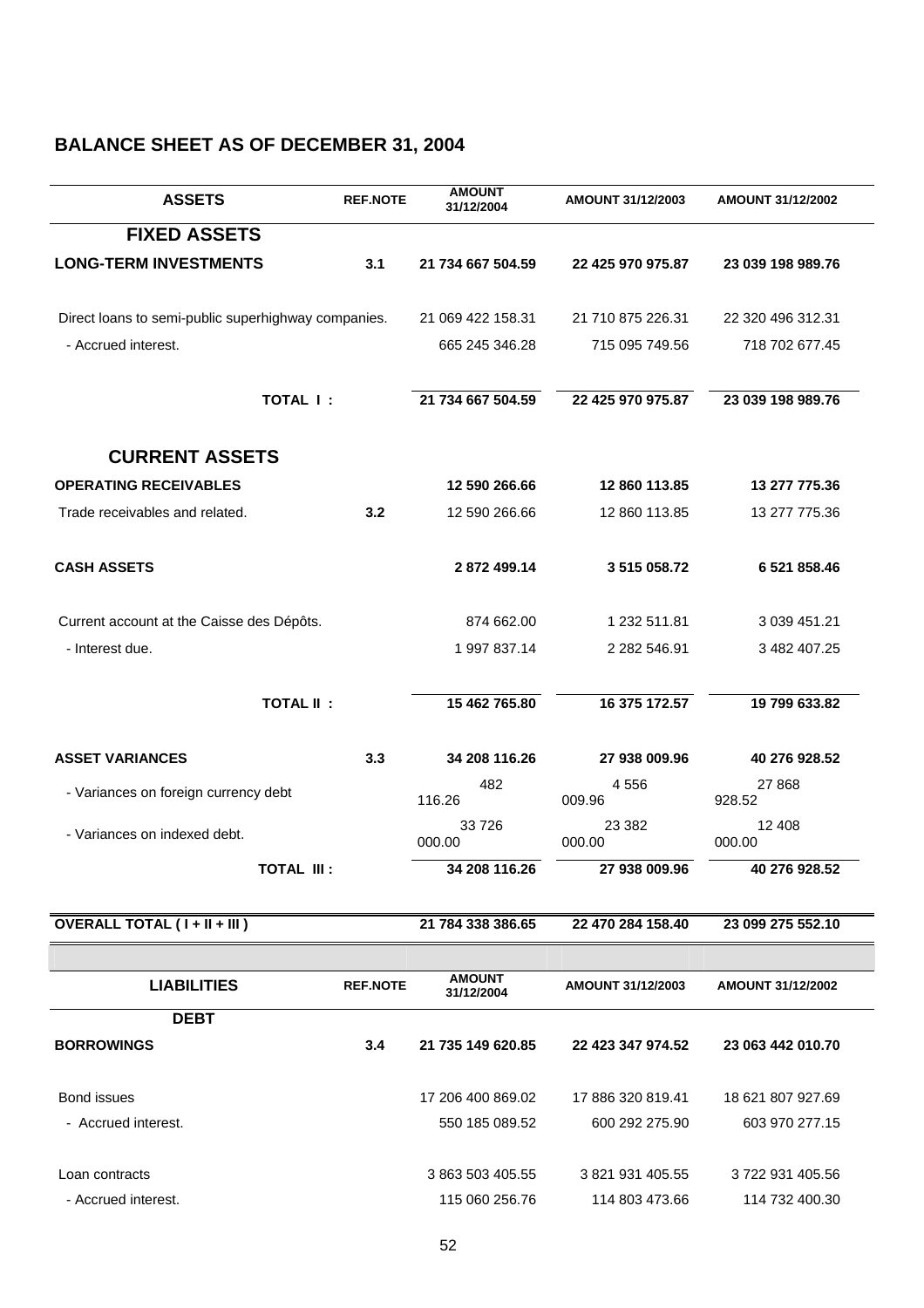# **BALANCE SHEET AS OF DECEMBER 31, 2004**

| <b>ASSETS</b>                                       | <b>REF.NOTE</b> | <b>AMOUNT</b><br>31/12/2004 | AMOUNT 31/12/2003  | <b>AMOUNT 31/12/2002</b> |
|-----------------------------------------------------|-----------------|-----------------------------|--------------------|--------------------------|
| <b>FIXED ASSETS</b>                                 |                 |                             |                    |                          |
| <b>LONG-TERM INVESTMENTS</b>                        | 3.1             | 21 734 667 504.59           | 22 425 970 975.87  | 23 039 198 989.76        |
| Direct loans to semi-public superhighway companies. |                 | 21 069 422 158.31           | 21 710 875 226.31  | 22 320 496 312.31        |
| - Accrued interest.                                 |                 | 665 245 346.28              | 715 095 749.56     | 718 702 677.45           |
| TOTAL I:                                            |                 | 21 734 667 504.59           | 22 425 970 975.87  | 23 039 198 989.76        |
| <b>CURRENT ASSETS</b>                               |                 |                             |                    |                          |
| <b>OPERATING RECEIVABLES</b>                        |                 | 12 590 266.66               | 12 860 113.85      | 13 277 775.36            |
| Trade receivables and related.                      | 3.2             | 12 590 266.66               | 12 860 113.85      | 13 277 775.36            |
| <b>CASH ASSETS</b>                                  |                 | 2872499.14                  | 3 515 058.72       | 6 521 858.46             |
| Current account at the Caisse des Dépôts.           |                 | 874 662.00                  | 1 232 511.81       | 3 039 451.21             |
| - Interest due.                                     |                 | 1 997 837.14                | 2 282 546.91       | 3 482 407.25             |
| <b>TOTAL II:</b>                                    |                 | 15 462 765.80               | 16 375 172.57      | 19 799 633.82            |
| <b>ASSET VARIANCES</b>                              | 3.3             | 34 208 116.26               | 27 938 009.96      | 40 276 928.52            |
| - Variances on foreign currency debt                |                 | 482<br>116.26               | 4556<br>009.96     | 27 868<br>928.52         |
| - Variances on indexed debt.                        |                 | 33726<br>000.00             | 23 3 8 2<br>000.00 | 12 408<br>000.00         |
| <b>TOTAL III:</b>                                   |                 | 34 208 116.26               | 27 938 009.96      | 40 276 928.52            |
| OVERALL TOTAL (I + II + III)                        |                 | 21 784 338 386.65           | 22 470 284 158.40  | 23 099 275 552.10        |
|                                                     |                 |                             |                    |                          |
| <b>LIABILITIES</b>                                  | <b>REF.NOTE</b> | <b>AMOUNT</b><br>31/12/2004 | AMOUNT 31/12/2003  | <b>AMOUNT 31/12/2002</b> |
| <b>DEBT</b>                                         |                 |                             |                    |                          |
| <b>BORROWINGS</b>                                   | 3.4             | 21 735 149 620.85           | 22 423 347 974.52  | 23 063 442 010.70        |
| Bond issues                                         |                 | 17 206 400 869.02           | 17 886 320 819.41  | 18 621 807 927.69        |
| - Accrued interest.                                 |                 | 550 185 089.52              | 600 292 275.90     | 603 970 277.15           |
| Loan contracts                                      |                 | 3 863 503 405.55            | 3 821 931 405.55   | 3722931405.56            |
| - Accrued interest.                                 |                 | 115 060 256.76              | 114 803 473.66     | 114 732 400.30           |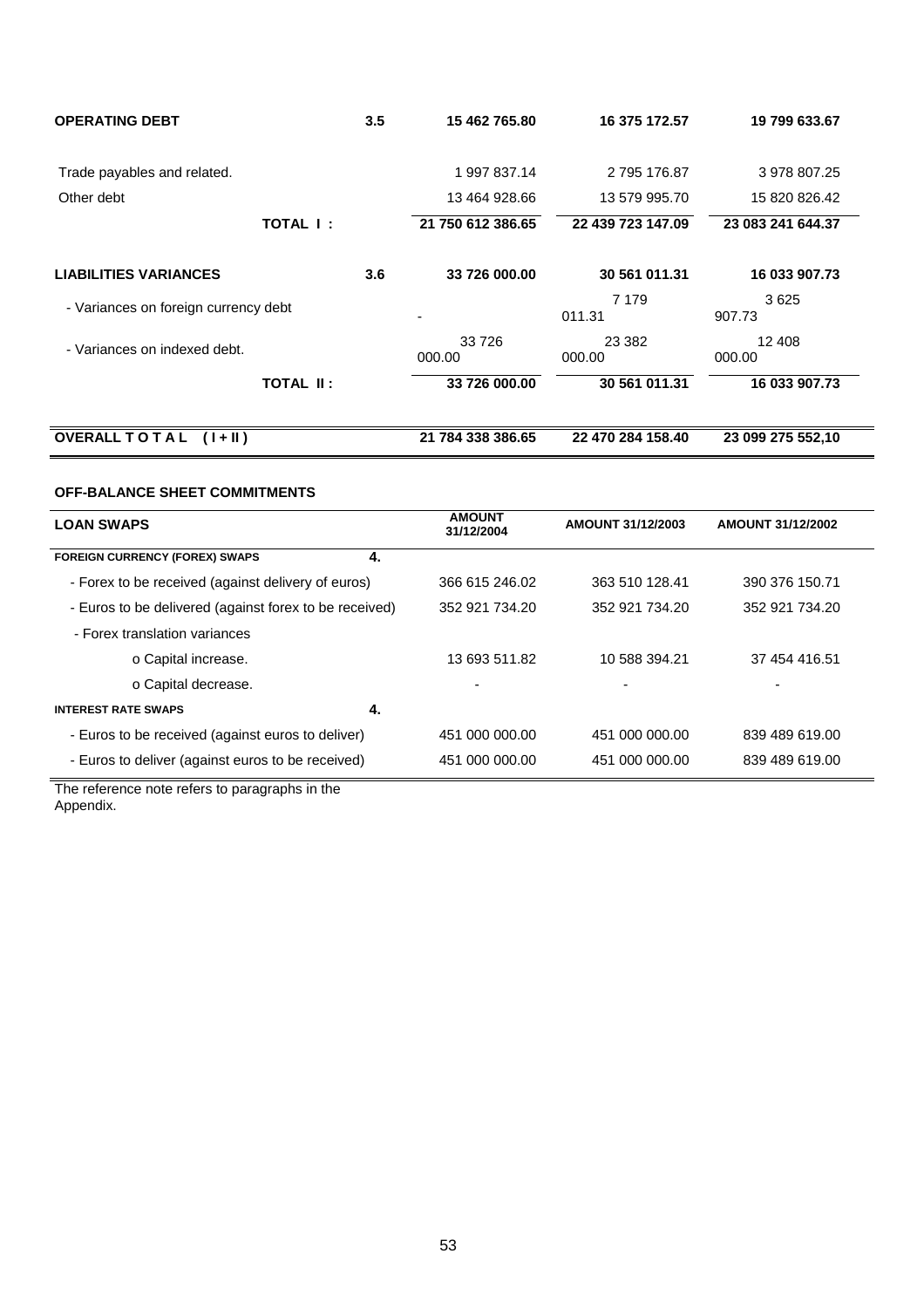| <b>OPERATING DEBT</b>                |                  | 3.5 | 15 462 765.80     | 16 375 172.57      | 19 799 633.67     |
|--------------------------------------|------------------|-----|-------------------|--------------------|-------------------|
| Trade payables and related.          |                  |     | 1 997 837.14      | 2 795 176.87       | 3 978 807.25      |
| Other debt                           |                  |     | 13 464 928.66     | 13 579 995.70      | 15 820 826.42     |
|                                      | TOTAL I:         |     | 21 750 612 386.65 | 22 439 723 147.09  | 23 083 241 644.37 |
| <b>LIABILITIES VARIANCES</b>         |                  | 3.6 | 33 726 000.00     | 30 561 011.31      | 16 033 907.73     |
| - Variances on foreign currency debt |                  |     |                   | 7 1 7 9<br>011.31  | 3625<br>907.73    |
| - Variances on indexed debt.         |                  |     | 33 726<br>000.00  | 23 3 8 2<br>000.00 | 12 408<br>000.00  |
|                                      | <b>TOTAL II:</b> |     | 33 726 000.00     | 30 561 011.31      | 16 033 907.73     |
| <b>OVERALL TO TAL</b><br>$(1 + 11)$  |                  |     | 21 784 338 386.65 | 22 470 284 158.40  | 23 099 275 552,10 |

# **OFF-BALANCE SHEET COMMITMENTS**

| <b>LOAN SWAPS</b>                                      | <b>AMOUNT</b><br>31/12/2004 | AMOUNT 31/12/2003 | <b>AMOUNT 31/12/2002</b> |
|--------------------------------------------------------|-----------------------------|-------------------|--------------------------|
| <b>FOREIGN CURRENCY (FOREX) SWAPS</b><br>4.            |                             |                   |                          |
| - Forex to be received (against delivery of euros)     | 366 615 246.02              | 363 510 128.41    | 390 376 150.71           |
| - Euros to be delivered (against forex to be received) | 352 921 734.20              | 352 921 734.20    | 352 921 734.20           |
| - Forex translation variances                          |                             |                   |                          |
| o Capital increase.                                    | 13 693 511.82               | 10 588 394.21     | 37 454 416.51            |
| o Capital decrease.                                    |                             |                   |                          |
| <b>INTEREST RATE SWAPS</b><br>4.                       |                             |                   |                          |
| - Euros to be received (against euros to deliver)      | 451 000 000 00              | 451 000 000 00    | 839 489 619.00           |
| - Euros to deliver (against euros to be received)      | 451 000 000.00              | 451 000 000.00    | 839 489 619.00           |

The reference note refers to paragraphs in the Appendix.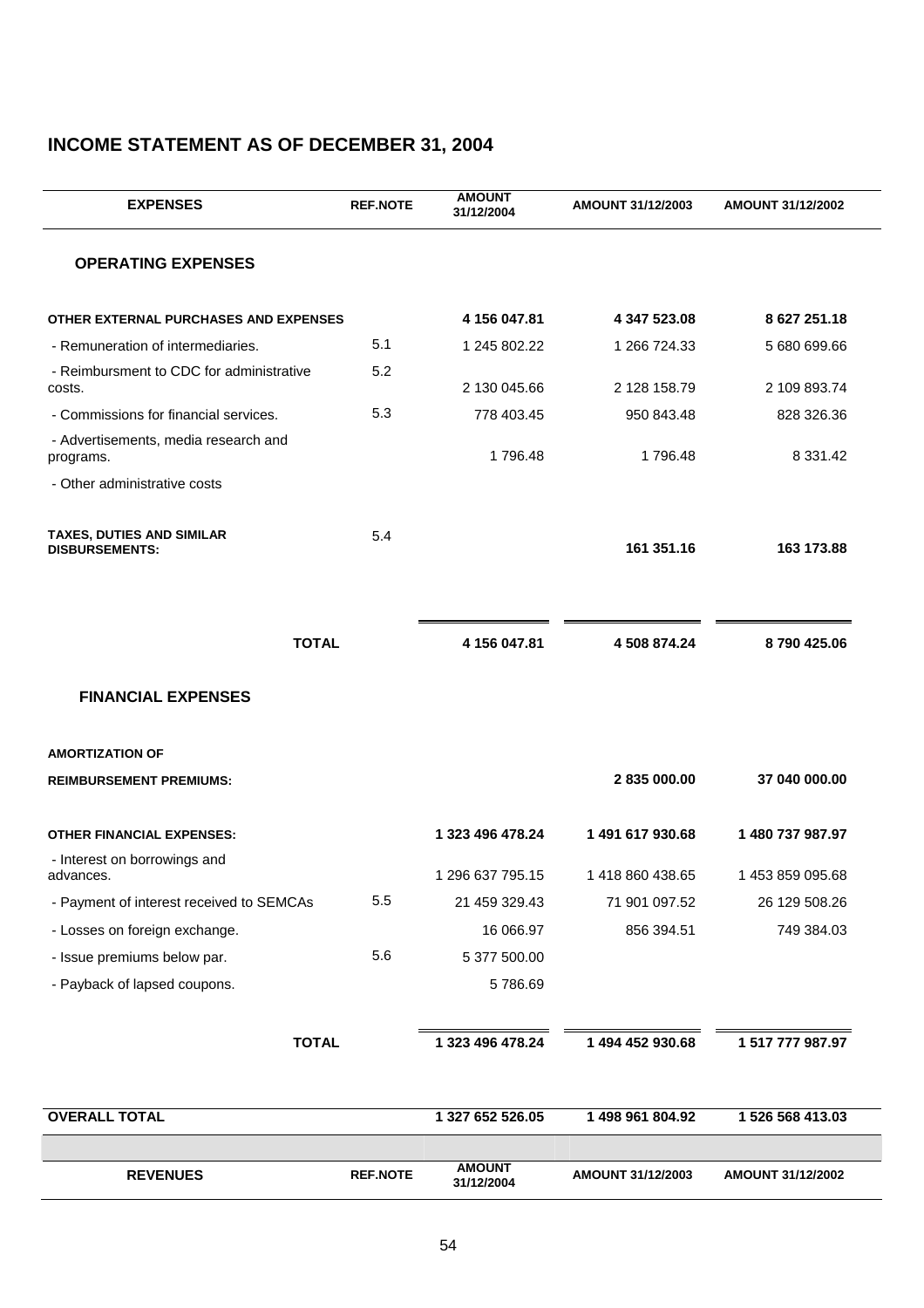# **INCOME STATEMENT AS OF DECEMBER 31, 2004**

| <b>EXPENSES</b>                                           | <b>REF.NOTE</b> | <b>AMOUNT</b><br>31/12/2004 | AMOUNT 31/12/2003 | <b>AMOUNT 31/12/2002</b> |
|-----------------------------------------------------------|-----------------|-----------------------------|-------------------|--------------------------|
| <b>OPERATING EXPENSES</b>                                 |                 |                             |                   |                          |
| OTHER EXTERNAL PURCHASES AND EXPENSES                     |                 | 4 156 047.81                | 4 347 523.08      | 8 627 251.18             |
| - Remuneration of intermediaries.                         | 5.1             | 1 245 802.22                | 1 266 724.33      | 5 680 699.66             |
| - Reimbursment to CDC for administrative<br>costs.        | 5.2             | 2 130 045.66                | 2 128 158.79      | 2 109 893.74             |
| - Commissions for financial services.                     | 5.3             | 778 403.45                  | 950 843.48        | 828 326.36               |
| - Advertisements, media research and<br>programs.         |                 | 1796.48                     | 1796.48           | 8 3 3 1 . 4 2            |
| - Other administrative costs                              |                 |                             |                   |                          |
| <b>TAXES, DUTIES AND SIMILAR</b><br><b>DISBURSEMENTS:</b> | 5.4             |                             | 161 351.16        | 163 173.88               |
|                                                           |                 |                             |                   |                          |
| <b>TOTAL</b>                                              |                 | 4 156 047.81                | 4 508 874.24      | 8790425.06               |
| <b>FINANCIAL EXPENSES</b>                                 |                 |                             |                   |                          |
| <b>AMORTIZATION OF</b>                                    |                 |                             |                   |                          |
| <b>REIMBURSEMENT PREMIUMS:</b>                            |                 |                             | 2835000.00        | 37 040 000.00            |
| <b>OTHER FINANCIAL EXPENSES:</b>                          |                 | 1 323 496 478.24            | 1 491 617 930.68  | 1 480 737 987.97         |
| - Interest on borrowings and<br>advances.                 |                 | 1 296 637 795.15            | 1418 860 438.65   | 1 453 859 095.68         |
| - Payment of interest received to SEMCAs                  | 5.5             | 21 459 329.43               | 71 901 097.52     | 26 129 508.26            |
| - Losses on foreign exchange.                             |                 | 16 066.97                   | 856 394.51        | 749 384.03               |
| - Issue premiums below par.                               | 5.6             | 5 377 500.00                |                   |                          |
| - Payback of lapsed coupons.                              |                 | 5786.69                     |                   |                          |
| <b>TOTAL</b>                                              |                 | 1 323 496 478.24            | 1 494 452 930.68  | 1 517 777 987.97         |
| <b>OVERALL TOTAL</b>                                      |                 | 1 327 652 526.05            | 1 498 961 804.92  | 1 526 568 413.03         |
|                                                           |                 |                             |                   |                          |
| <b>REVENUES</b>                                           | <b>REF.NOTE</b> | <b>AMOUNT</b><br>31/12/2004 | AMOUNT 31/12/2003 | <b>AMOUNT 31/12/2002</b> |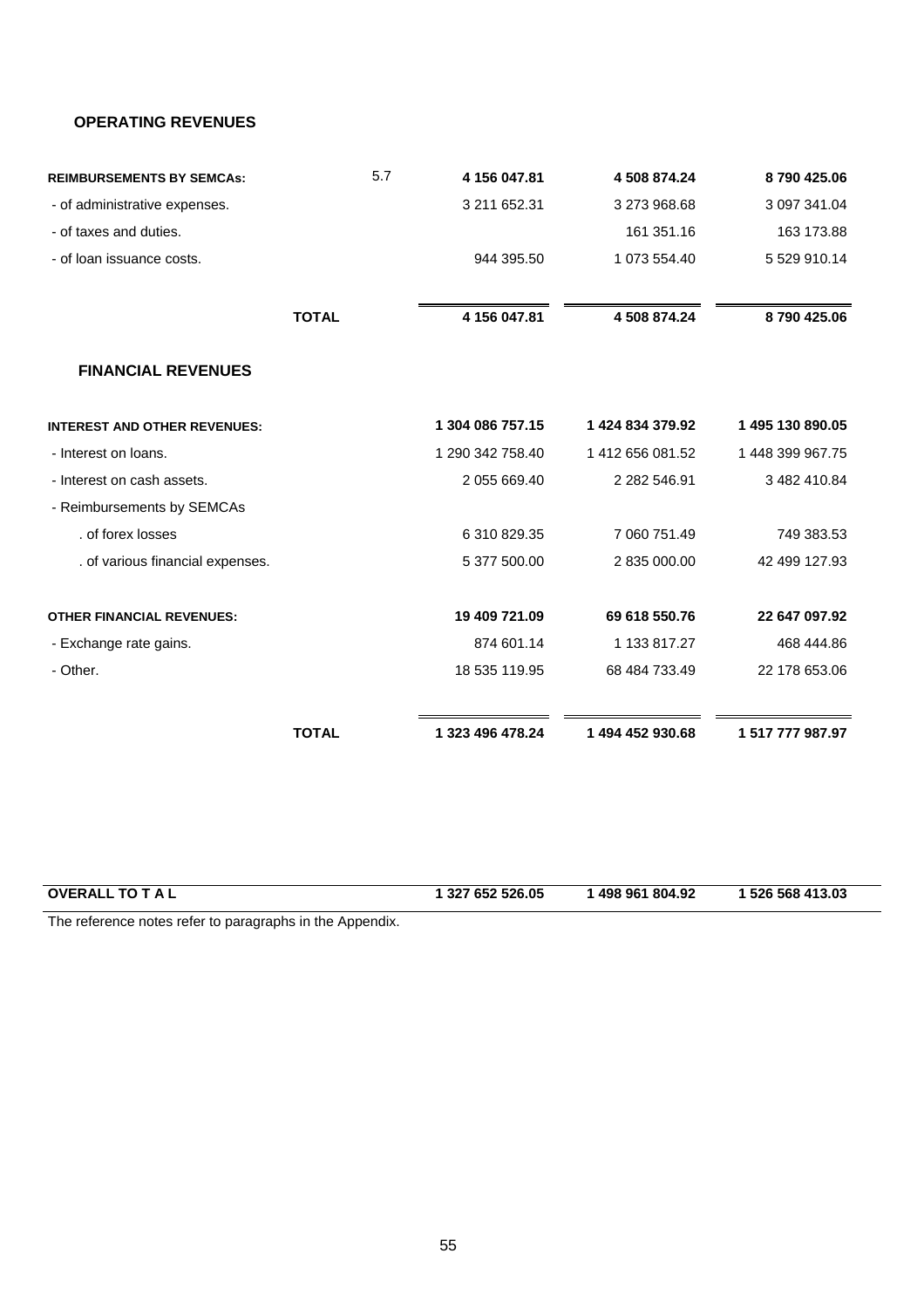# **OPERATING REVENUES**

| <b>REIMBURSEMENTS BY SEMCAs:</b>    | 5.7          | 4 156 047.81     | 4 508 874.24     | 8790425.06       |
|-------------------------------------|--------------|------------------|------------------|------------------|
| - of administrative expenses.       |              | 3 211 652.31     | 3 273 968.68     | 3 097 341.04     |
| - of taxes and duties.              |              |                  | 161 351.16       | 163 173.88       |
| - of loan issuance costs.           |              | 944 395.50       | 1 073 554.40     | 5 529 910.14     |
|                                     | <b>TOTAL</b> | 4 156 047.81     | 4508874.24       | 8790425.06       |
| <b>FINANCIAL REVENUES</b>           |              |                  |                  |                  |
| <b>INTEREST AND OTHER REVENUES:</b> |              | 1 304 086 757.15 | 1 424 834 379.92 | 1 495 130 890.05 |
| - Interest on loans.                |              | 1 290 342 758.40 | 1 412 656 081.52 | 1 448 399 967.75 |
| - Interest on cash assets.          |              | 2 055 669.40     | 2 282 546.91     | 3 482 410.84     |
| - Reimbursements by SEMCAs          |              |                  |                  |                  |
| . of forex losses                   |              | 6 310 829.35     | 7 060 751.49     | 749 383.53       |
| . of various financial expenses.    |              | 5 377 500.00     | 2 835 000.00     | 42 499 127.93    |
| <b>OTHER FINANCIAL REVENUES:</b>    |              | 19 409 721.09    | 69 618 550.76    | 22 647 097.92    |
| - Exchange rate gains.              |              | 874 601.14       | 1 133 817.27     | 468 444.86       |
| - Other.                            |              | 18 535 119.95    | 68 484 733.49    | 22 178 653.06    |
|                                     | <b>TOTAL</b> | 1 323 496 478.24 | 1 494 452 930.68 | 1 517 777 987.97 |
|                                     |              |                  |                  |                  |

| <b>OVERALL</b><br>ו סד<br>TAL | 327 652 526.05 | 498 961 804.92 | 526 568 413.03 |
|-------------------------------|----------------|----------------|----------------|
|                               |                |                |                |

The reference notes refer to paragraphs in the Appendix.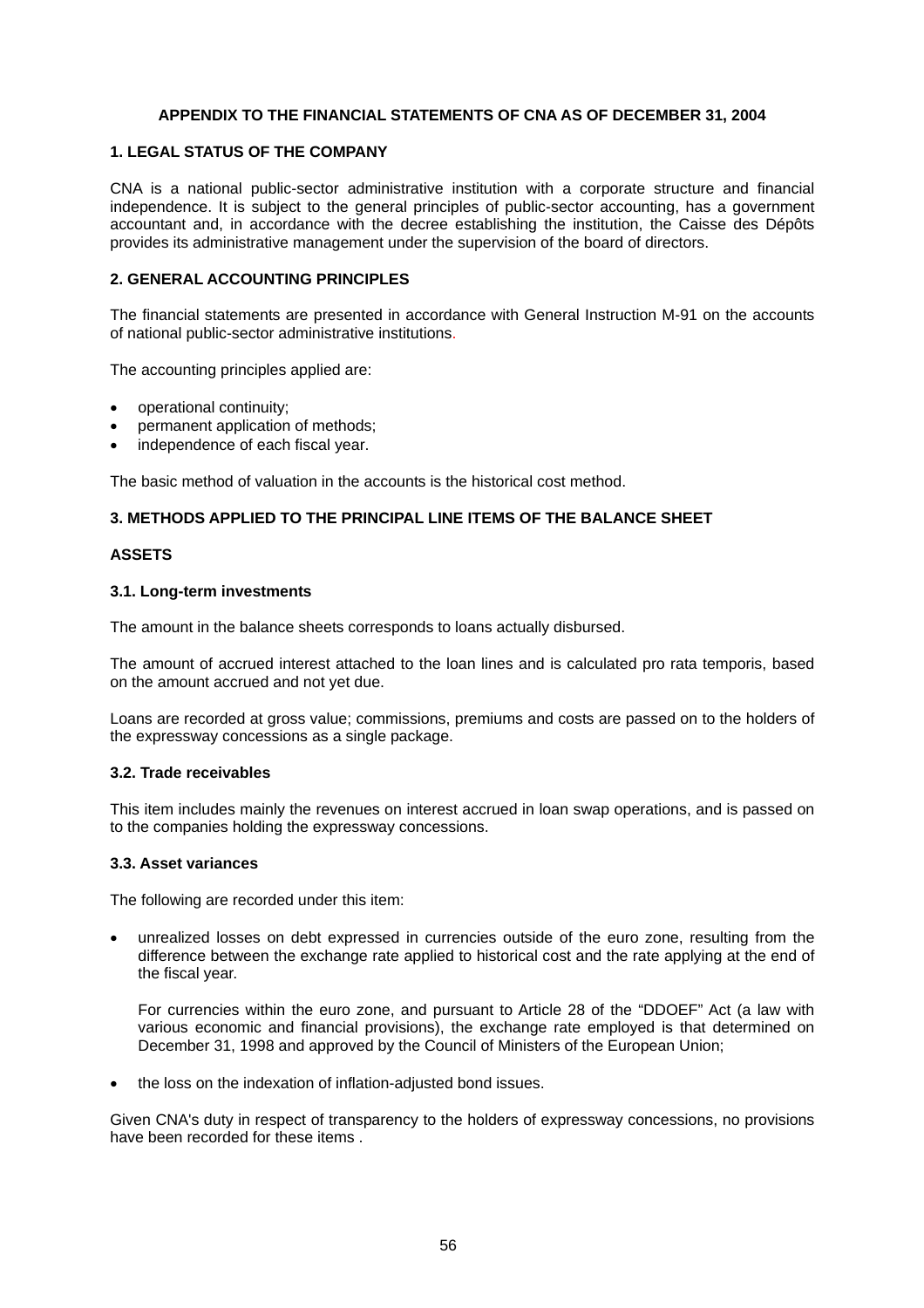# **APPENDIX TO THE FINANCIAL STATEMENTS OF CNA AS OF DECEMBER 31, 2004**

#### **1. LEGAL STATUS OF THE COMPANY**

CNA is a national public-sector administrative institution with a corporate structure and financial independence. It is subject to the general principles of public-sector accounting, has a government accountant and, in accordance with the decree establishing the institution, the Caisse des Dépôts provides its administrative management under the supervision of the board of directors.

# **2. GENERAL ACCOUNTING PRINCIPLES**

The financial statements are presented in accordance with General Instruction M-91 on the accounts of national public-sector administrative institutions.

The accounting principles applied are:

- operational continuity;
- permanent application of methods;
- independence of each fiscal year.

The basic method of valuation in the accounts is the historical cost method.

# **3. METHODS APPLIED TO THE PRINCIPAL LINE ITEMS OF THE BALANCE SHEET**

# **ASSETS**

#### **3.1. Long-term investments**

The amount in the balance sheets corresponds to loans actually disbursed.

The amount of accrued interest attached to the loan lines and is calculated pro rata temporis, based on the amount accrued and not yet due.

Loans are recorded at gross value; commissions, premiums and costs are passed on to the holders of the expressway concessions as a single package.

#### **3.2. Trade receivables**

This item includes mainly the revenues on interest accrued in loan swap operations, and is passed on to the companies holding the expressway concessions.

#### **3.3. Asset variances**

The following are recorded under this item:

• unrealized losses on debt expressed in currencies outside of the euro zone, resulting from the difference between the exchange rate applied to historical cost and the rate applying at the end of the fiscal year.

For currencies within the euro zone, and pursuant to Article 28 of the "DDOEF" Act (a law with various economic and financial provisions), the exchange rate employed is that determined on December 31, 1998 and approved by the Council of Ministers of the European Union;

• the loss on the indexation of inflation-adjusted bond issues.

Given CNA's duty in respect of transparency to the holders of expressway concessions, no provisions have been recorded for these items .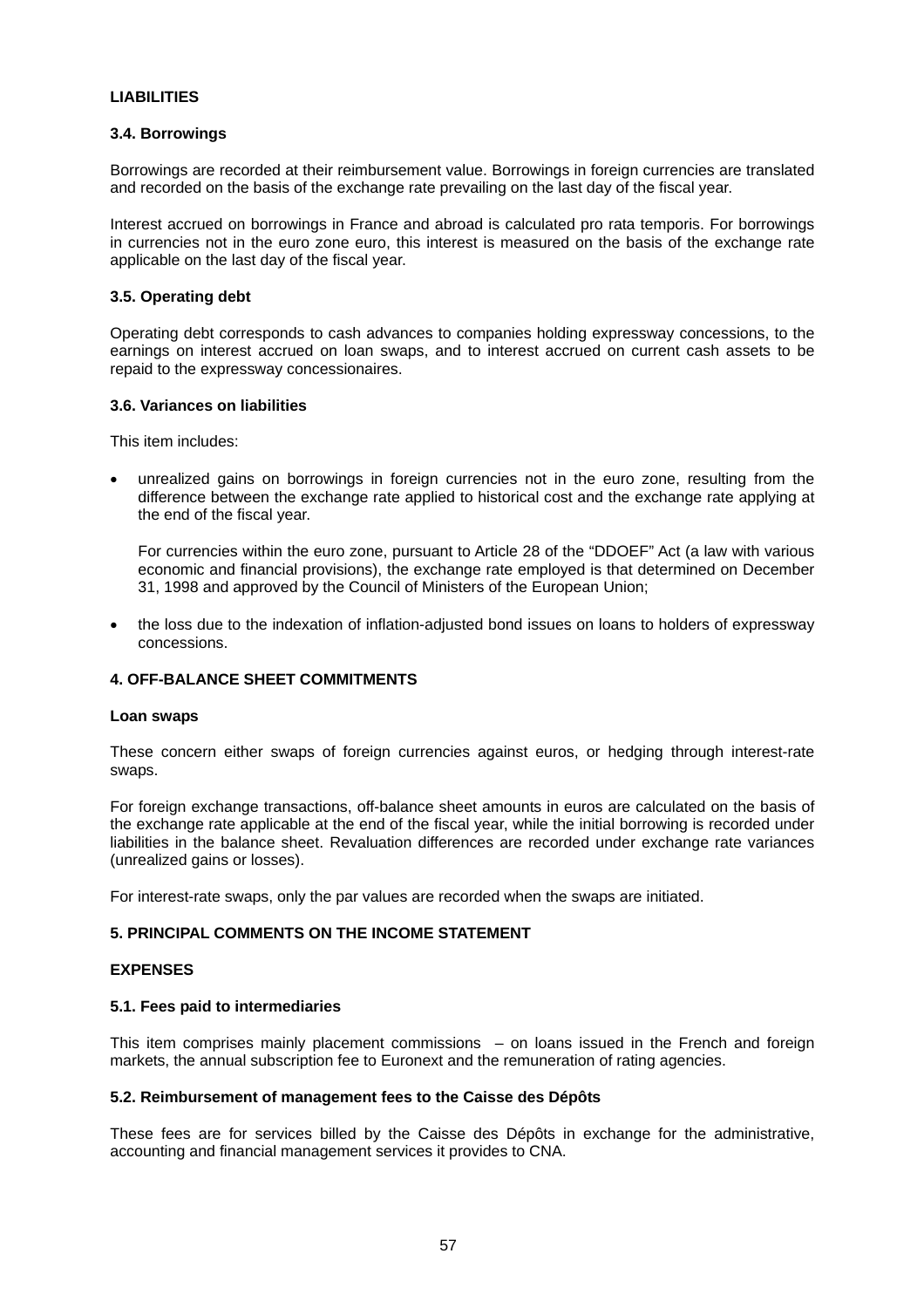#### **LIABILITIES**

#### **3.4. Borrowings**

Borrowings are recorded at their reimbursement value. Borrowings in foreign currencies are translated and recorded on the basis of the exchange rate prevailing on the last day of the fiscal year.

Interest accrued on borrowings in France and abroad is calculated pro rata temporis. For borrowings in currencies not in the euro zone euro, this interest is measured on the basis of the exchange rate applicable on the last day of the fiscal year.

# **3.5. Operating debt**

Operating debt corresponds to cash advances to companies holding expressway concessions, to the earnings on interest accrued on loan swaps, and to interest accrued on current cash assets to be repaid to the expressway concessionaires.

# **3.6. Variances on liabilities**

This item includes:

• unrealized gains on borrowings in foreign currencies not in the euro zone, resulting from the difference between the exchange rate applied to historical cost and the exchange rate applying at the end of the fiscal year.

For currencies within the euro zone, pursuant to Article 28 of the "DDOEF" Act (a law with various economic and financial provisions), the exchange rate employed is that determined on December 31, 1998 and approved by the Council of Ministers of the European Union;

• the loss due to the indexation of inflation-adjusted bond issues on loans to holders of expressway concessions.

# **4. OFF-BALANCE SHEET COMMITMENTS**

#### **Loan swaps**

These concern either swaps of foreign currencies against euros, or hedging through interest-rate swaps.

For foreign exchange transactions, off-balance sheet amounts in euros are calculated on the basis of the exchange rate applicable at the end of the fiscal year, while the initial borrowing is recorded under liabilities in the balance sheet. Revaluation differences are recorded under exchange rate variances (unrealized gains or losses).

For interest-rate swaps, only the par values are recorded when the swaps are initiated.

#### **5. PRINCIPAL COMMENTS ON THE INCOME STATEMENT**

#### **EXPENSES**

#### **5.1. Fees paid to intermediaries**

This item comprises mainly placement commissions – on loans issued in the French and foreign markets, the annual subscription fee to Euronext and the remuneration of rating agencies.

#### **5.2. Reimbursement of management fees to the Caisse des Dépôts**

These fees are for services billed by the Caisse des Dépôts in exchange for the administrative, accounting and financial management services it provides to CNA.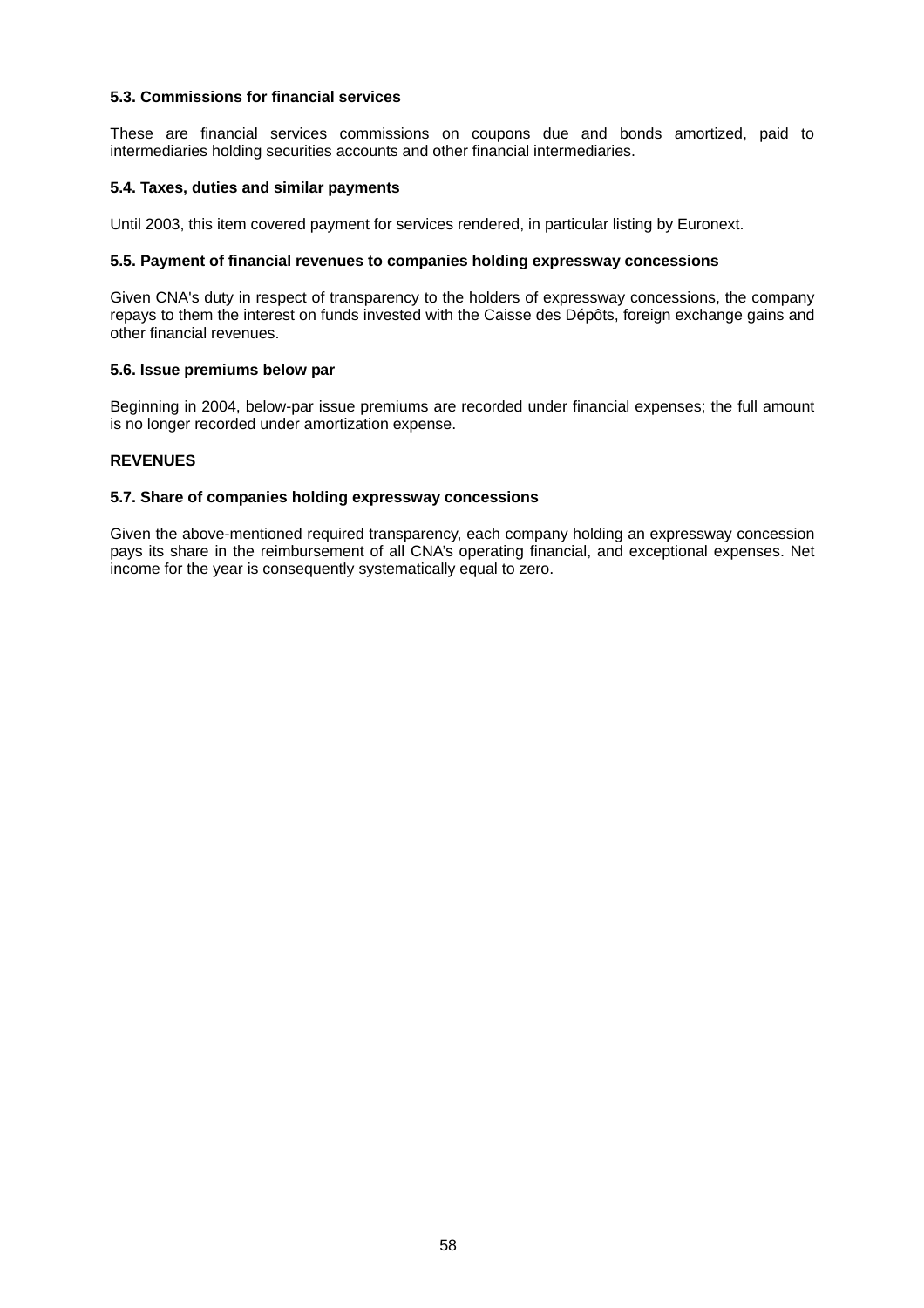# **5.3. Commissions for financial services**

These are financial services commissions on coupons due and bonds amortized, paid to intermediaries holding securities accounts and other financial intermediaries.

#### **5.4. Taxes, duties and similar payments**

Until 2003, this item covered payment for services rendered, in particular listing by Euronext.

#### **5.5. Payment of financial revenues to companies holding expressway concessions**

Given CNA's duty in respect of transparency to the holders of expressway concessions, the company repays to them the interest on funds invested with the Caisse des Dépôts, foreign exchange gains and other financial revenues.

#### **5.6. Issue premiums below par**

Beginning in 2004, below-par issue premiums are recorded under financial expenses; the full amount is no longer recorded under amortization expense.

# **REVENUES**

#### **5.7. Share of companies holding expressway concessions**

Given the above-mentioned required transparency, each company holding an expressway concession pays its share in the reimbursement of all CNA's operating financial, and exceptional expenses. Net income for the year is consequently systematically equal to zero.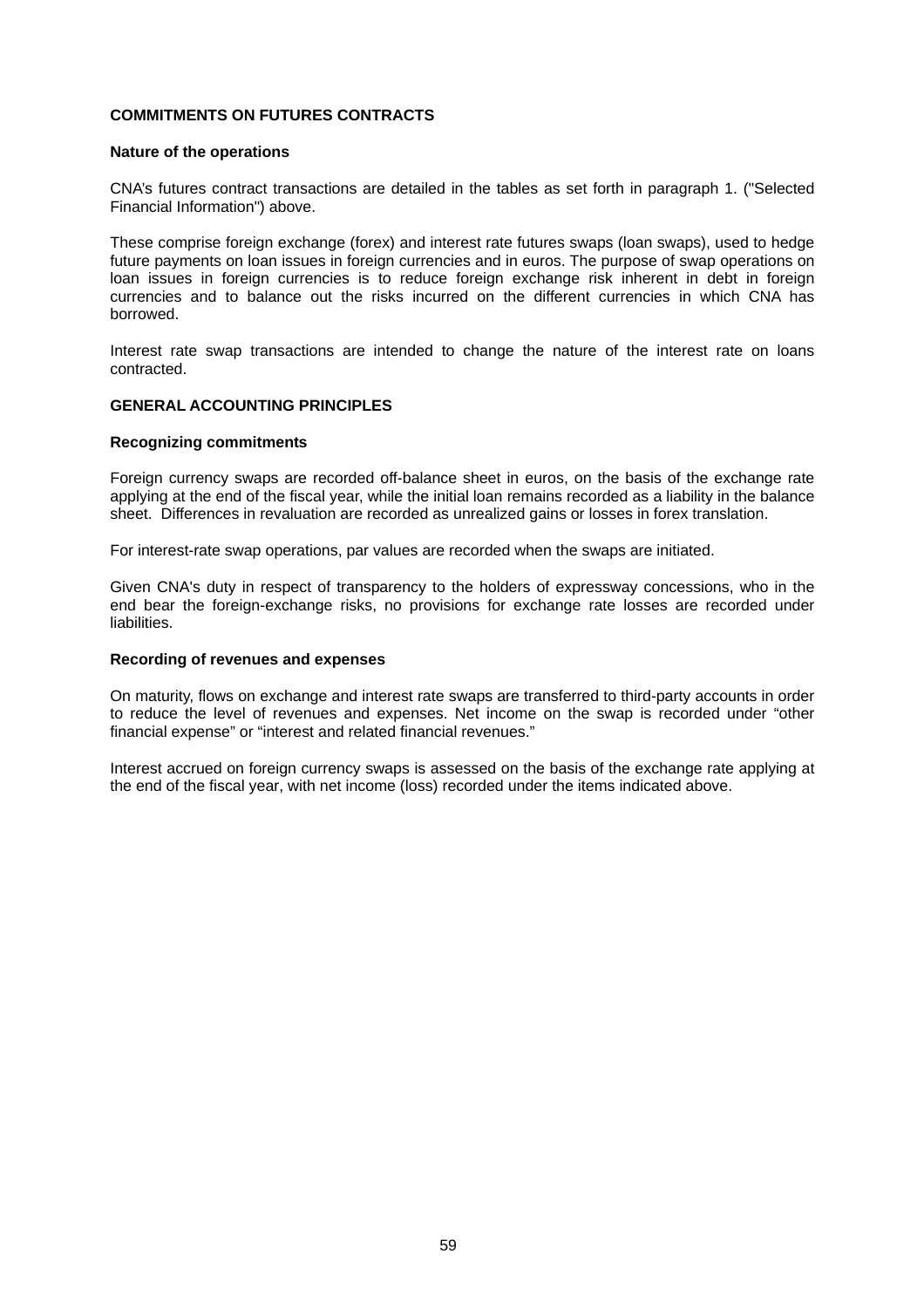# **COMMITMENTS ON FUTURES CONTRACTS**

#### **Nature of the operations**

CNA's futures contract transactions are detailed in the tables as set forth in paragraph 1. ("Selected Financial Information") above.

These comprise foreign exchange (forex) and interest rate futures swaps (loan swaps), used to hedge future payments on loan issues in foreign currencies and in euros. The purpose of swap operations on loan issues in foreign currencies is to reduce foreign exchange risk inherent in debt in foreign currencies and to balance out the risks incurred on the different currencies in which CNA has borrowed.

Interest rate swap transactions are intended to change the nature of the interest rate on loans contracted.

#### **GENERAL ACCOUNTING PRINCIPLES**

#### **Recognizing commitments**

Foreign currency swaps are recorded off-balance sheet in euros, on the basis of the exchange rate applying at the end of the fiscal year, while the initial loan remains recorded as a liability in the balance sheet. Differences in revaluation are recorded as unrealized gains or losses in forex translation.

For interest-rate swap operations, par values are recorded when the swaps are initiated.

Given CNA's duty in respect of transparency to the holders of expressway concessions, who in the end bear the foreign-exchange risks, no provisions for exchange rate losses are recorded under liabilities.

#### **Recording of revenues and expenses**

On maturity, flows on exchange and interest rate swaps are transferred to third-party accounts in order to reduce the level of revenues and expenses. Net income on the swap is recorded under "other financial expense" or "interest and related financial revenues."

Interest accrued on foreign currency swaps is assessed on the basis of the exchange rate applying at the end of the fiscal year, with net income (loss) recorded under the items indicated above.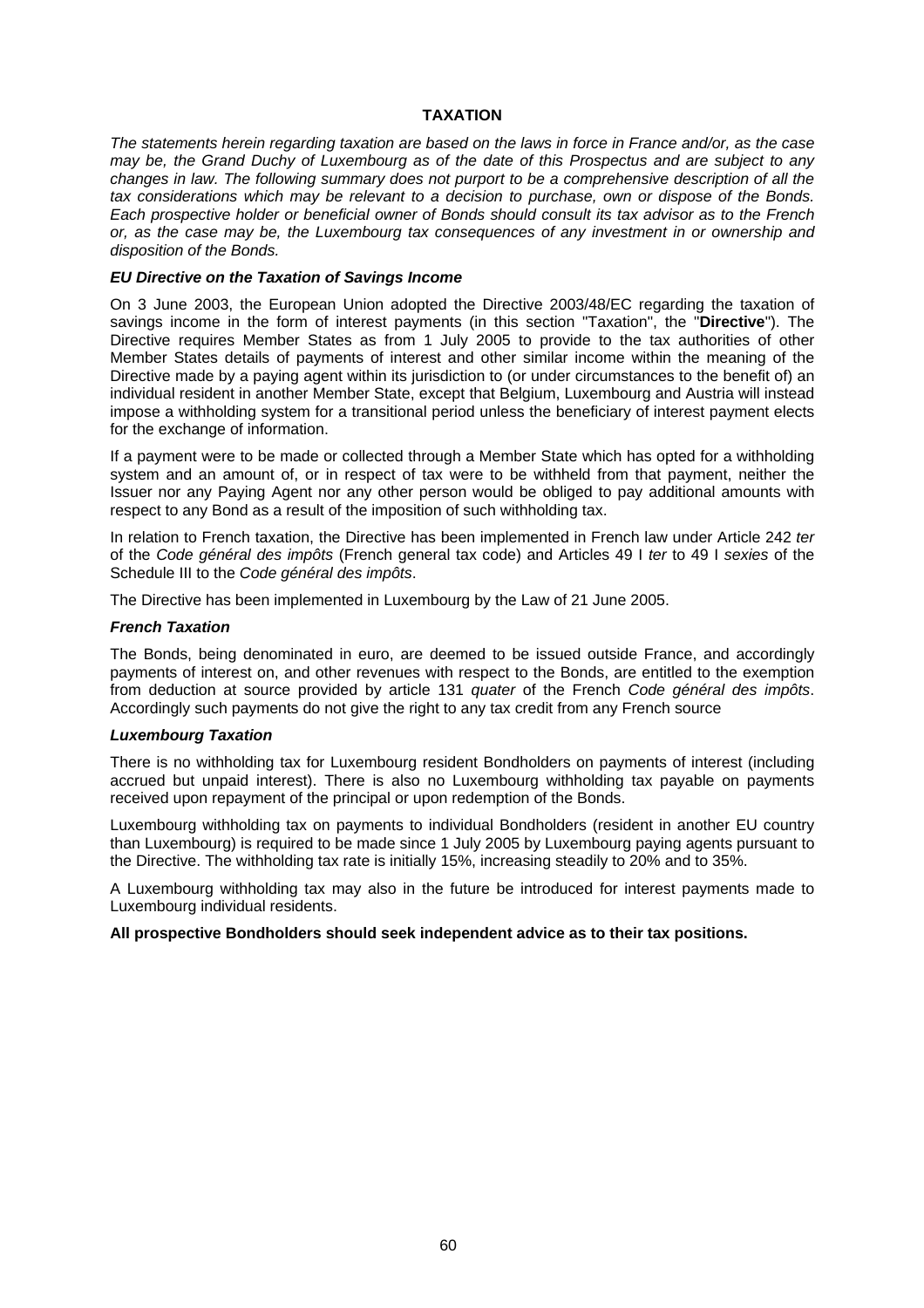# **TAXATION**

*The statements herein regarding taxation are based on the laws in force in France and/or, as the case may be, the Grand Duchy of Luxembourg as of the date of this Prospectus and are subject to any changes in law. The following summary does not purport to be a comprehensive description of all the tax considerations which may be relevant to a decision to purchase, own or dispose of the Bonds. Each prospective holder or beneficial owner of Bonds should consult its tax advisor as to the French or, as the case may be, the Luxembourg tax consequences of any investment in or ownership and disposition of the Bonds.* 

# *EU Directive on the Taxation of Savings Income*

On 3 June 2003, the European Union adopted the Directive 2003/48/EC regarding the taxation of savings income in the form of interest payments (in this section "Taxation", the "**Directive**"). The Directive requires Member States as from 1 July 2005 to provide to the tax authorities of other Member States details of payments of interest and other similar income within the meaning of the Directive made by a paying agent within its jurisdiction to (or under circumstances to the benefit of) an individual resident in another Member State, except that Belgium, Luxembourg and Austria will instead impose a withholding system for a transitional period unless the beneficiary of interest payment elects for the exchange of information.

If a payment were to be made or collected through a Member State which has opted for a withholding system and an amount of, or in respect of tax were to be withheld from that payment, neither the Issuer nor any Paying Agent nor any other person would be obliged to pay additional amounts with respect to any Bond as a result of the imposition of such withholding tax.

In relation to French taxation, the Directive has been implemented in French law under Article 242 *ter* of the *Code général des impôts* (French general tax code) and Articles 49 I *ter* to 49 I *sexies* of the Schedule III to the *Code général des impôts*.

The Directive has been implemented in Luxembourg by the Law of 21 June 2005.

#### *French Taxation*

The Bonds, being denominated in euro, are deemed to be issued outside France, and accordingly payments of interest on, and other revenues with respect to the Bonds, are entitled to the exemption from deduction at source provided by article 131 *quater* of the French *Code général des impôts*. Accordingly such payments do not give the right to any tax credit from any French source

#### *Luxembourg Taxation*

There is no withholding tax for Luxembourg resident Bondholders on payments of interest (including accrued but unpaid interest). There is also no Luxembourg withholding tax payable on payments received upon repayment of the principal or upon redemption of the Bonds.

Luxembourg withholding tax on payments to individual Bondholders (resident in another EU country than Luxembourg) is required to be made since 1 July 2005 by Luxembourg paying agents pursuant to the Directive. The withholding tax rate is initially 15%, increasing steadily to 20% and to 35%.

A Luxembourg withholding tax may also in the future be introduced for interest payments made to Luxembourg individual residents.

#### **All prospective Bondholders should seek independent advice as to their tax positions.**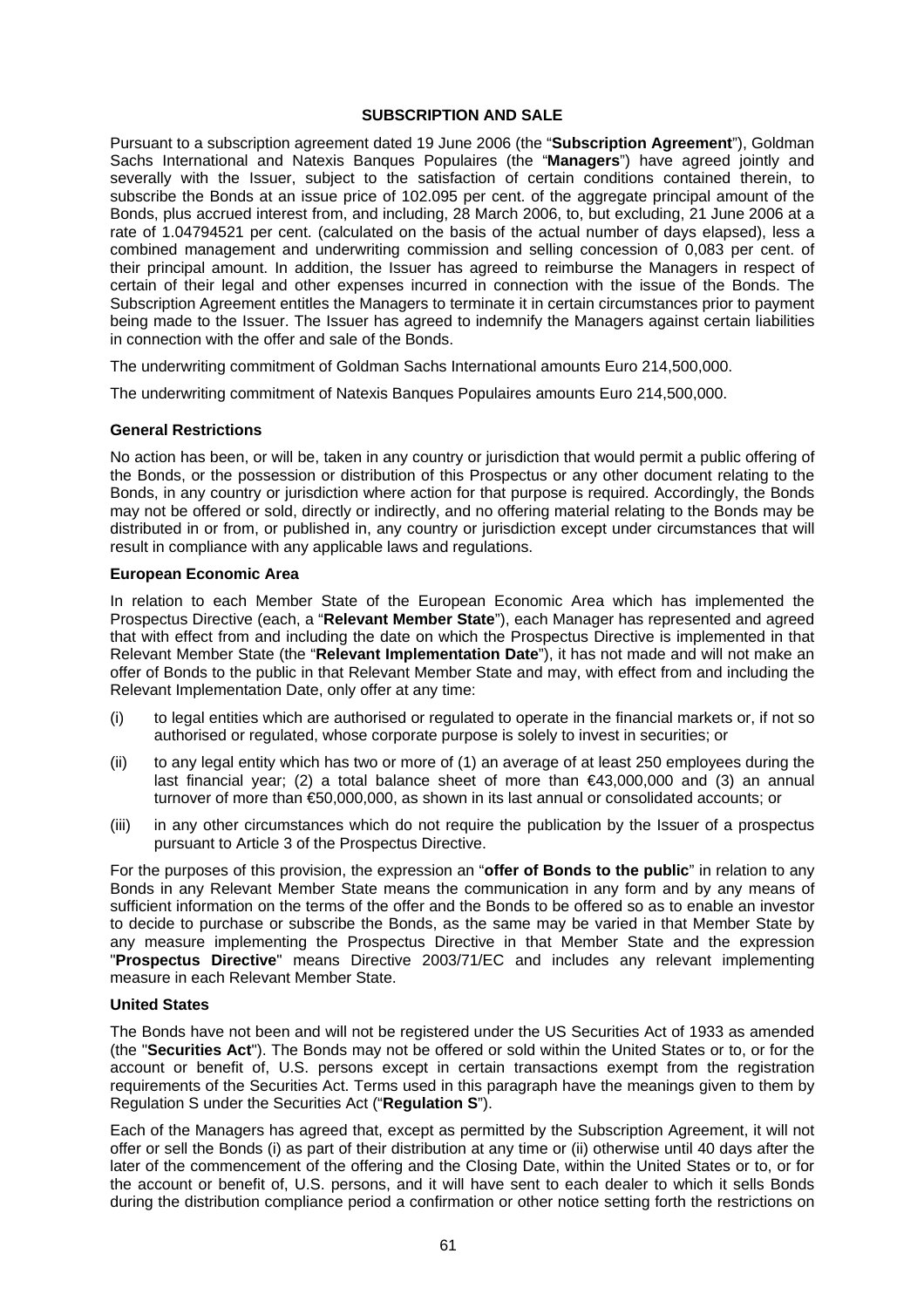# **SUBSCRIPTION AND SALE**

Pursuant to a subscription agreement dated 19 June 2006 (the "**Subscription Agreement**"), Goldman Sachs International and Natexis Banques Populaires (the "**Managers**") have agreed jointly and severally with the Issuer, subject to the satisfaction of certain conditions contained therein, to subscribe the Bonds at an issue price of 102.095 per cent. of the aggregate principal amount of the Bonds, plus accrued interest from, and including, 28 March 2006, to, but excluding, 21 June 2006 at a rate of 1.04794521 per cent. (calculated on the basis of the actual number of days elapsed), less a combined management and underwriting commission and selling concession of 0,083 per cent. of their principal amount. In addition, the Issuer has agreed to reimburse the Managers in respect of certain of their legal and other expenses incurred in connection with the issue of the Bonds. The Subscription Agreement entitles the Managers to terminate it in certain circumstances prior to payment being made to the Issuer. The Issuer has agreed to indemnify the Managers against certain liabilities in connection with the offer and sale of the Bonds.

The underwriting commitment of Goldman Sachs International amounts Euro 214,500,000.

The underwriting commitment of Natexis Banques Populaires amounts Euro 214,500,000.

# **General Restrictions**

No action has been, or will be, taken in any country or jurisdiction that would permit a public offering of the Bonds, or the possession or distribution of this Prospectus or any other document relating to the Bonds, in any country or jurisdiction where action for that purpose is required. Accordingly, the Bonds may not be offered or sold, directly or indirectly, and no offering material relating to the Bonds may be distributed in or from, or published in, any country or jurisdiction except under circumstances that will result in compliance with any applicable laws and regulations.

#### **European Economic Area**

In relation to each Member State of the European Economic Area which has implemented the Prospectus Directive (each, a "**Relevant Member State**"), each Manager has represented and agreed that with effect from and including the date on which the Prospectus Directive is implemented in that Relevant Member State (the "**Relevant Implementation Date**"), it has not made and will not make an offer of Bonds to the public in that Relevant Member State and may, with effect from and including the Relevant Implementation Date, only offer at any time:

- (i) to legal entities which are authorised or regulated to operate in the financial markets or, if not so authorised or regulated, whose corporate purpose is solely to invest in securities; or
- (ii) to any legal entity which has two or more of (1) an average of at least 250 employees during the last financial year; (2) a total balance sheet of more than  $\epsilon$ 43,000,000 and (3) an annual turnover of more than €50,000,000, as shown in its last annual or consolidated accounts; or
- (iii) in any other circumstances which do not require the publication by the Issuer of a prospectus pursuant to Article 3 of the Prospectus Directive.

For the purposes of this provision, the expression an "**offer of Bonds to the public**" in relation to any Bonds in any Relevant Member State means the communication in any form and by any means of sufficient information on the terms of the offer and the Bonds to be offered so as to enable an investor to decide to purchase or subscribe the Bonds, as the same may be varied in that Member State by any measure implementing the Prospectus Directive in that Member State and the expression "**Prospectus Directive**" means Directive 2003/71/EC and includes any relevant implementing measure in each Relevant Member State.

# **United States**

The Bonds have not been and will not be registered under the US Securities Act of 1933 as amended (the "**Securities Act**"). The Bonds may not be offered or sold within the United States or to, or for the account or benefit of, U.S. persons except in certain transactions exempt from the registration requirements of the Securities Act. Terms used in this paragraph have the meanings given to them by Regulation S under the Securities Act ("**Regulation S**").

Each of the Managers has agreed that, except as permitted by the Subscription Agreement, it will not offer or sell the Bonds (i) as part of their distribution at any time or (ii) otherwise until 40 days after the later of the commencement of the offering and the Closing Date, within the United States or to, or for the account or benefit of, U.S. persons, and it will have sent to each dealer to which it sells Bonds during the distribution compliance period a confirmation or other notice setting forth the restrictions on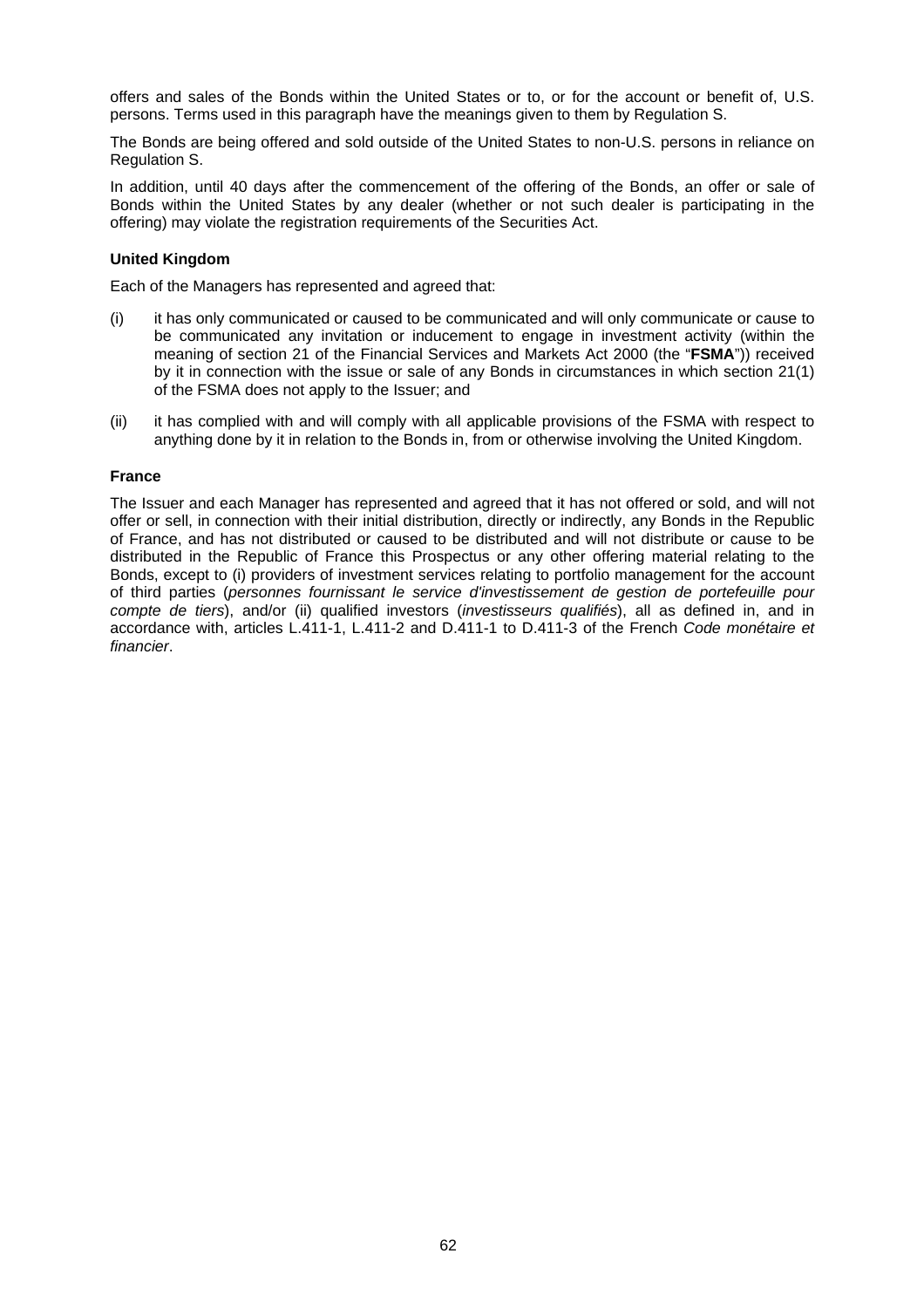offers and sales of the Bonds within the United States or to, or for the account or benefit of, U.S. persons. Terms used in this paragraph have the meanings given to them by Regulation S.

The Bonds are being offered and sold outside of the United States to non-U.S. persons in reliance on Regulation S.

In addition, until 40 days after the commencement of the offering of the Bonds, an offer or sale of Bonds within the United States by any dealer (whether or not such dealer is participating in the offering) may violate the registration requirements of the Securities Act.

# **United Kingdom**

Each of the Managers has represented and agreed that:

- (i) it has only communicated or caused to be communicated and will only communicate or cause to be communicated any invitation or inducement to engage in investment activity (within the meaning of section 21 of the Financial Services and Markets Act 2000 (the "**FSMA**")) received by it in connection with the issue or sale of any Bonds in circumstances in which section 21(1) of the FSMA does not apply to the Issuer; and
- (ii) it has complied with and will comply with all applicable provisions of the FSMA with respect to anything done by it in relation to the Bonds in, from or otherwise involving the United Kingdom.

#### **France**

The Issuer and each Manager has represented and agreed that it has not offered or sold, and will not offer or sell, in connection with their initial distribution, directly or indirectly, any Bonds in the Republic of France, and has not distributed or caused to be distributed and will not distribute or cause to be distributed in the Republic of France this Prospectus or any other offering material relating to the Bonds, except to (i) providers of investment services relating to portfolio management for the account of third parties (*personnes fournissant le service d'investissement de gestion de portefeuille pour compte de tiers*), and/or (ii) qualified investors (*investisseurs qualifiés*), all as defined in, and in accordance with, articles L.411-1, L.411-2 and D.411-1 to D.411-3 of the French *Code monétaire et financier*.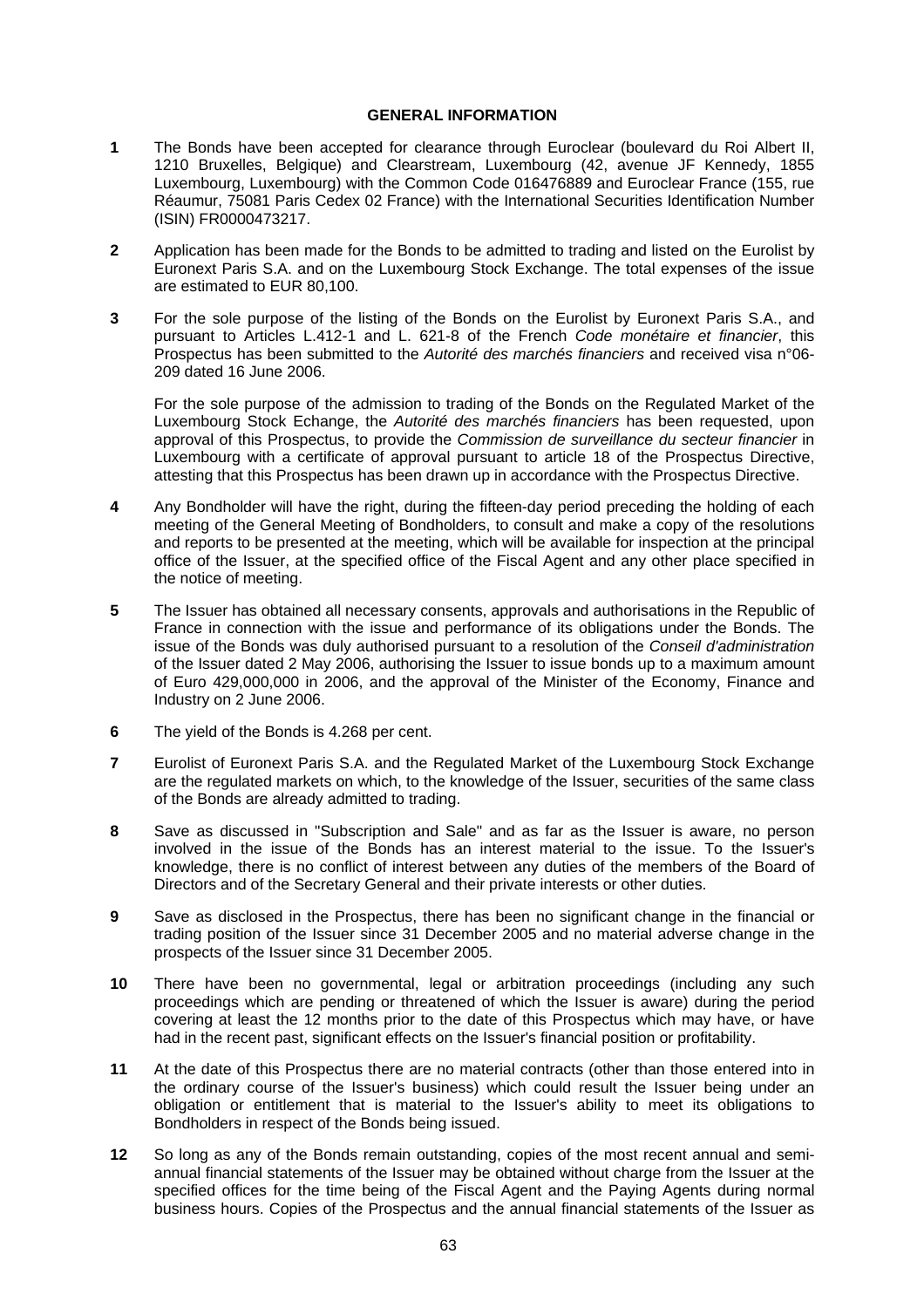#### **GENERAL INFORMATION**

- **1** The Bonds have been accepted for clearance through Euroclear (boulevard du Roi Albert II, 1210 Bruxelles, Belgique) and Clearstream, Luxembourg (42, avenue JF Kennedy, 1855 Luxembourg, Luxembourg) with the Common Code 016476889 and Euroclear France (155, rue Réaumur, 75081 Paris Cedex 02 France) with the International Securities Identification Number (ISIN) FR0000473217.
- **2** Application has been made for the Bonds to be admitted to trading and listed on the Eurolist by Euronext Paris S.A. and on the Luxembourg Stock Exchange. The total expenses of the issue are estimated to EUR 80,100.
- **3** For the sole purpose of the listing of the Bonds on the Eurolist by Euronext Paris S.A., and pursuant to Articles L.412-1 and L. 621-8 of the French *Code monétaire et financier*, this Prospectus has been submitted to the *Autorité des marchés financiers* and received visa n°06- 209 dated 16 June 2006.

For the sole purpose of the admission to trading of the Bonds on the Regulated Market of the Luxembourg Stock Echange, the *Autorité des marchés financiers* has been requested, upon approval of this Prospectus, to provide the *Commission de surveillance du secteur financier* in Luxembourg with a certificate of approval pursuant to article 18 of the Prospectus Directive, attesting that this Prospectus has been drawn up in accordance with the Prospectus Directive.

- **4** Any Bondholder will have the right, during the fifteen-day period preceding the holding of each meeting of the General Meeting of Bondholders, to consult and make a copy of the resolutions and reports to be presented at the meeting, which will be available for inspection at the principal office of the Issuer, at the specified office of the Fiscal Agent and any other place specified in the notice of meeting.
- **5** The Issuer has obtained all necessary consents, approvals and authorisations in the Republic of France in connection with the issue and performance of its obligations under the Bonds. The issue of the Bonds was duly authorised pursuant to a resolution of the *Conseil d'administration* of the Issuer dated 2 May 2006, authorising the Issuer to issue bonds up to a maximum amount of Euro 429,000,000 in 2006, and the approval of the Minister of the Economy, Finance and Industry on 2 June 2006.
- **6** The yield of the Bonds is 4.268 per cent.
- **7** Eurolist of Euronext Paris S.A. and the Regulated Market of the Luxembourg Stock Exchange are the regulated markets on which, to the knowledge of the Issuer, securities of the same class of the Bonds are already admitted to trading.
- **8** Save as discussed in "Subscription and Sale" and as far as the Issuer is aware, no person involved in the issue of the Bonds has an interest material to the issue. To the Issuer's knowledge, there is no conflict of interest between any duties of the members of the Board of Directors and of the Secretary General and their private interests or other duties.
- **9** Save as disclosed in the Prospectus, there has been no significant change in the financial or trading position of the Issuer since 31 December 2005 and no material adverse change in the prospects of the Issuer since 31 December 2005.
- **10** There have been no governmental, legal or arbitration proceedings (including any such proceedings which are pending or threatened of which the Issuer is aware) during the period covering at least the 12 months prior to the date of this Prospectus which may have, or have had in the recent past, significant effects on the Issuer's financial position or profitability.
- **11** At the date of this Prospectus there are no material contracts (other than those entered into in the ordinary course of the Issuer's business) which could result the Issuer being under an obligation or entitlement that is material to the Issuer's ability to meet its obligations to Bondholders in respect of the Bonds being issued.
- **12** So long as any of the Bonds remain outstanding, copies of the most recent annual and semiannual financial statements of the Issuer may be obtained without charge from the Issuer at the specified offices for the time being of the Fiscal Agent and the Paying Agents during normal business hours. Copies of the Prospectus and the annual financial statements of the Issuer as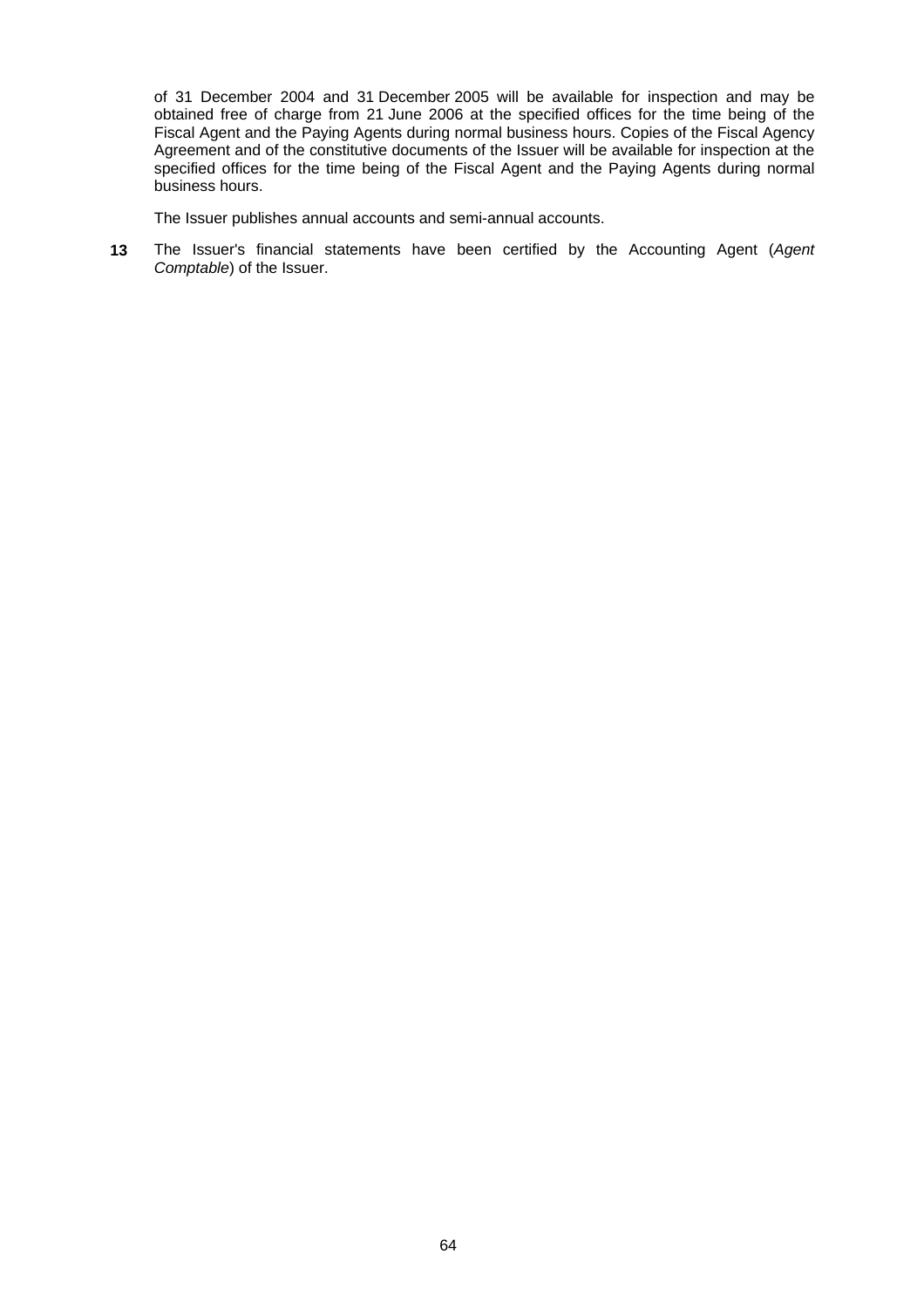of 31 December 2004 and 31 December 2005 will be available for inspection and may be obtained free of charge from 21 June 2006 at the specified offices for the time being of the Fiscal Agent and the Paying Agents during normal business hours. Copies of the Fiscal Agency Agreement and of the constitutive documents of the Issuer will be available for inspection at the specified offices for the time being of the Fiscal Agent and the Paying Agents during normal business hours.

The Issuer publishes annual accounts and semi-annual accounts.

**13** The Issuer's financial statements have been certified by the Accounting Agent (*Agent Comptable*) of the Issuer.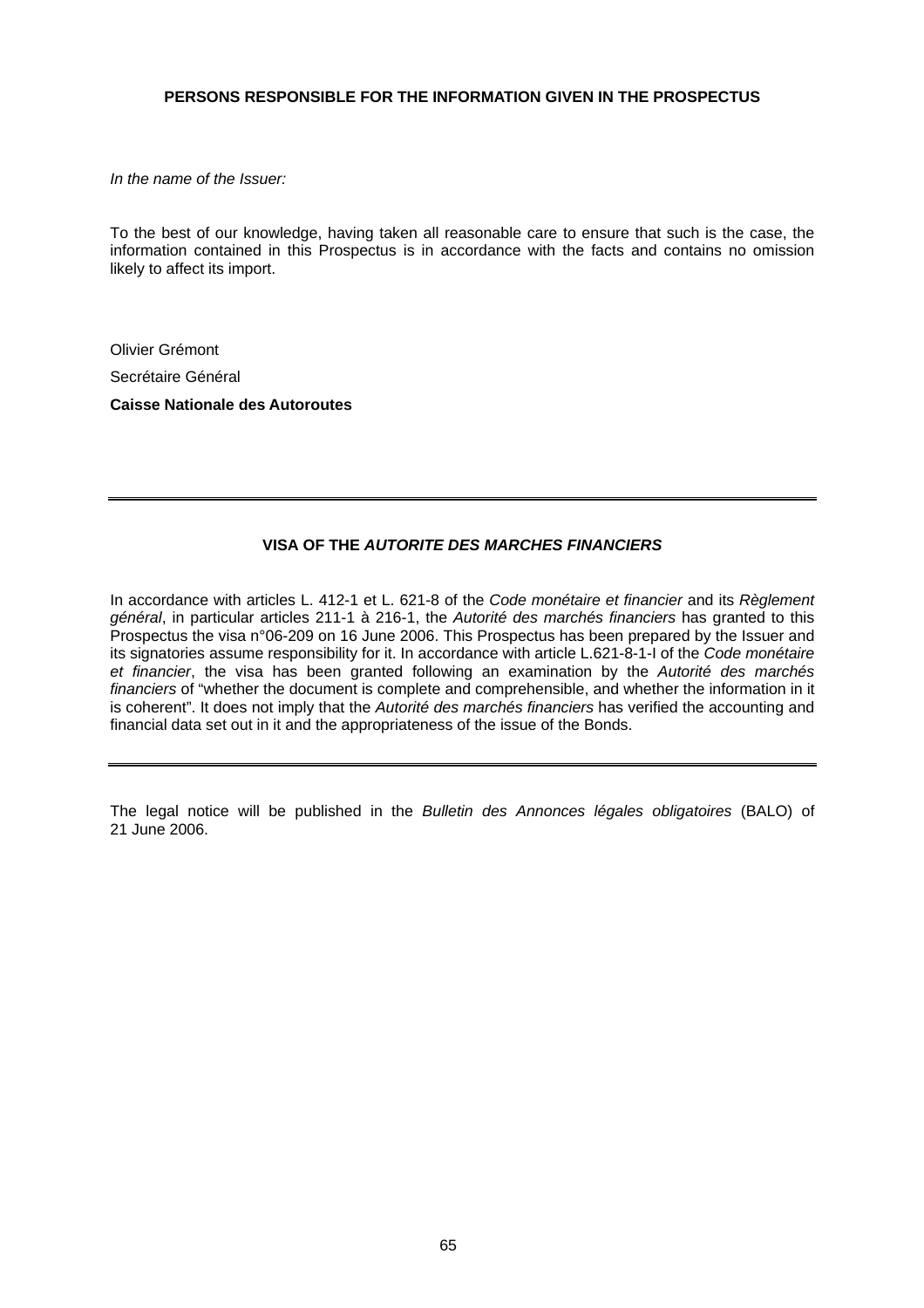## **PERSONS RESPONSIBLE FOR THE INFORMATION GIVEN IN THE PROSPECTUS**

*In the name of the Issuer:* 

To the best of our knowledge, having taken all reasonable care to ensure that such is the case, the information contained in this Prospectus is in accordance with the facts and contains no omission likely to affect its import.

Olivier Grémont

Secrétaire Général

**Caisse Nationale des Autoroutes** 

# **VISA OF THE** *AUTORITE DES MARCHES FINANCIERS*

In accordance with articles L. 412-1 et L. 621-8 of the *Code monétaire et financier* and its *Règlement général*, in particular articles 211-1 à 216-1, the *Autorité des marchés financiers* has granted to this Prospectus the visa n°06-209 on 16 June 2006. This Prospectus has been prepared by the Issuer and its signatories assume responsibility for it. In accordance with article L.621-8-1-I of the *Code monétaire et financier*, the visa has been granted following an examination by the *Autorité des marchés financiers* of "whether the document is complete and comprehensible, and whether the information in it is coherent". It does not imply that the *Autorité des marchés financiers* has verified the accounting and financial data set out in it and the appropriateness of the issue of the Bonds.

The legal notice will be published in the *Bulletin des Annonces légales obligatoires* (BALO) of 21 June 2006.